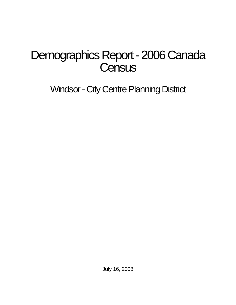# Demographics Report - 2006 Canada **Census**

Windsor - City Centre Planning District

July 16, 2008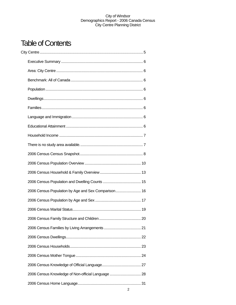# Table of Contents

| 2006 Census Population by Age and Sex Comparison 16 |  |
|-----------------------------------------------------|--|
|                                                     |  |
|                                                     |  |
|                                                     |  |
|                                                     |  |
|                                                     |  |
|                                                     |  |
|                                                     |  |
|                                                     |  |
| 2006 Census Knowledge of Non-official Language  28  |  |
|                                                     |  |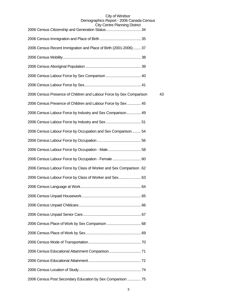| <b>UITY CENTER FIGHTING DISTING</b>                                 |    |
|---------------------------------------------------------------------|----|
|                                                                     |    |
| 2006 Census Recent Immigration and Place of Birth (2001-2006) 37    |    |
|                                                                     |    |
|                                                                     |    |
|                                                                     |    |
|                                                                     |    |
| 2006 Census Presence of Children and Labour Force by Sex Comparison | 43 |
| 2006 Census Presence of Children and Labour Force by Sex  45        |    |
| 2006 Census Labour Force by Industry and Sex Comparison 49          |    |
|                                                                     |    |
| 2006 Census Labour Force by Occupation and Sex Comparison 54        |    |
|                                                                     |    |
|                                                                     |    |
| 2006 Census Labour Force by Occupation - Female  60                 |    |
| 2006 Census Labour Force by Class of Worker and Sex Comparison. 62  |    |
| 2006 Census Labour Force by Class of Worker and Sex 63              |    |
|                                                                     |    |
|                                                                     |    |
|                                                                     |    |
|                                                                     |    |
|                                                                     |    |
|                                                                     |    |
|                                                                     |    |
|                                                                     |    |
|                                                                     |    |
|                                                                     |    |
| 2006 Census Post Secondary Education by Sex Comparison  75          |    |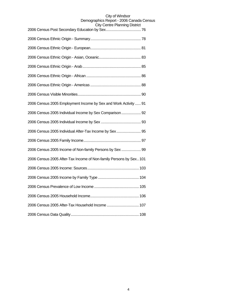| 2006 Census 2005 Employment Income by Sex and Work Activity  91    |
|--------------------------------------------------------------------|
| 2006 Census 2005 Individual Income by Sex Comparison 92            |
|                                                                    |
| 2006 Census 2005 Individual After-Tax Income by Sex 95             |
|                                                                    |
| 2006 Census 2005 Income of Non-family Persons by Sex  99           |
| 2006 Census 2005 After-Tax Income of Non-family Persons by Sex 101 |
|                                                                    |
|                                                                    |
|                                                                    |
|                                                                    |
| 2006 Census 2005 After-Tax Household Income  107                   |
|                                                                    |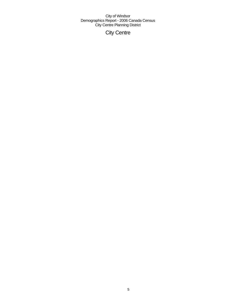City Centre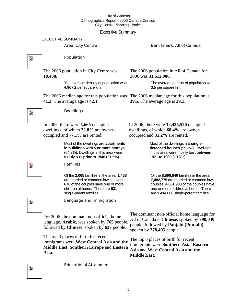# Executive Summary

EXECUTIVE SUMMARY

# Area: City Centre **Benchmark: All of Canada**

 $\overline{\mathbf{z}}$ 

Z.

# Population

The 2006 population in City Centre was **10,438**.

> The average density of population was **4,967.2** per square km.

The 2006 median age for this population was The 2006 median age for this population is **41.2**. The average age is **42.1**.

The 2006 population in All of Canada for 2006 was **31,612,900**.

> The average density of population was **3.5** per square km.

**39.5**. The average age is **39.1**.

In 2006, there were **12,435,520** occupied dwellings, of which **68.4%** are owner-

**1971 to 1980** (19.5%).

Most of the dwellings are **singledetached houses** (55.3%). Dwellings in this area were mostly built **between** 

Of the **8,896,840** families in the area, **7,482,775** are married or common law couples; **4,061,930** of the couples have one or more children at home. There are **1,414,060** single-parent families.

occupied and **31.2%** are rented.

In 2006, there were **5,665** occupied dwellings, of which **22.8%** are owneroccupied and **77.1%** are rented.

Dwellings

Most of the dwellings are **apartments in buildings with 5 or more storeys** (64.2%). Dwellings in this area were mostly built **prior to 1946** (21.5%).

# Families

Of the **2,065** families in the area, **1,438**  are married or common law couples; **670** of the couples have one or more children at home. There are **631**  single-parent families.

Z.

Language and Immigration

For 2006, the dominant non-official home language, **Arabic**, was spoken by **765** people, followed by **Chinese**, spoken by **637** people.

The top 3 places of birth for recent immigrants were **West Central Asia and the Middle East**, **Southern Europe** and **Eastern Asia**.

The dominant non-official home language for All of Canada is **Chinese**, spoken by **790,030** people, followed by **Panjabi (Punjabi)**, spoken by **278,495** people.

The top 3 places of birth for recent immigrants were **Southern Asia**, **Eastern Asia** and **West Central Asia and the Middle East**.

Þ,

Educational Attainment

Þ.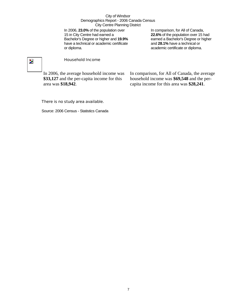In 2006, **23.0%** of the population over 15 in City Centre had earned a Bachelor's Degree or higher and **19.9%** have a technical or academic certificate or diploma.

In comparison, for All of Canada, **22.6%** of the population over 15 had earned a Bachelor's Degree or higher and **28.1%** have a technical or academic certificate or diploma.

# $\overline{\phantom{a}}$

# Household Income

In 2006, the average household income was **\$33,127** and the per-capita income for this area was **\$18,942**.

In comparison, for All of Canada, the average household income was **\$69,548** and the percapita income for this area was **\$28,241**.

# There is no study area available.

Source: 2006 Census - Statistics Canada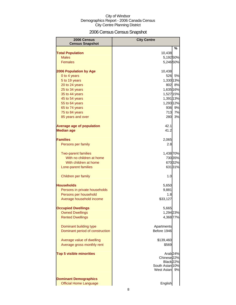# 2006 Census Census Snapshot

| 2006 Census                             | <b>City Centre</b>           |         |
|-----------------------------------------|------------------------------|---------|
| <b>Census Snapshot</b>                  |                              |         |
|                                         | 10,438                       | $\%$    |
| <b>Total Population</b><br><b>Males</b> |                              |         |
| <b>Females</b>                          | 5,19250%<br>5,246 50%        |         |
|                                         |                              |         |
| <b>2006 Population by Age</b>           | 10,438                       |         |
| 0 to 4 years                            |                              | 526 5%  |
| 5 to 19 years                           | 1,330 13%                    |         |
| 20 to 24 years                          |                              | 802 8%  |
| 25 to 34 years                          | 1,635 16%                    |         |
| 35 to 44 years                          | 1,527 15%                    |         |
| 45 to 54 years                          | 1,391 13%                    |         |
| 55 to 64 years                          | 1,293 12%                    |         |
| 65 to 74 years                          |                              | 936 9%  |
| 75 to 84 years                          | 713                          | 7%      |
| 85 years and over                       | 280                          | 3%      |
| <b>Average age of population</b>        | 42.1                         |         |
| <b>Median age</b>                       | 41.2                         |         |
| <b>Families</b>                         | 2,065                        |         |
| Persons per family                      | 2.8                          |         |
| <b>Two-parent families</b>              | 1,438 70%                    |         |
| With no children at home                |                              | 730 35% |
| With children at home                   |                              | 67032%  |
| Lone-parent families                    |                              | 63131%  |
| Children per family                     | 1.0                          |         |
| <b>Households</b>                       | 5,650                        |         |
| Persons in private households           | 9,881                        |         |
| Persons per household                   | 1.8                          |         |
| Average household income                | \$33,127                     |         |
| <b>Occupied Dwellings</b>               | 5,665                        |         |
| <b>Owned Dwellings</b>                  | 1,294 23%                    |         |
| <b>Rented Dwellings</b>                 | 4,368 77%                    |         |
| Dominant building type                  | Apartments                   |         |
| Dominant period of construction         | Before 1946                  |         |
| Average value of dwelling               | \$139,460                    |         |
| Average gross monthly rent              | \$569                        |         |
| <b>Top 5 visible minorities</b>         | Arab <sub>24%</sub>          |         |
|                                         | Chinese <sub>22%</sub>       |         |
|                                         | Black 22%<br>South Asian 10% |         |
|                                         | West Asian 9%                |         |
| <b>Dominant Demographics</b>            |                              |         |
| <b>Official Home Language</b>           | English                      |         |
|                                         |                              |         |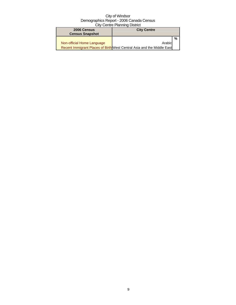| 2006 Census<br><b>City Centre</b> |                                                                        |   |
|-----------------------------------|------------------------------------------------------------------------|---|
| <b>Census Snapshot</b>            |                                                                        |   |
|                                   |                                                                        | % |
| Non-official Home Language        | Arabic                                                                 |   |
|                                   | Recent Immigrant Places of Birth West Central Asia and the Middle East |   |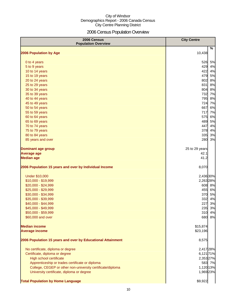# 2006 Census Population Overview

| 2006 Census<br><b>Population Overview</b>                   | <b>City Centre</b> |
|-------------------------------------------------------------|--------------------|
| 2006 Population by Age                                      | %<br>10,438        |
|                                                             |                    |
| 0 to 4 years                                                | 526<br>5%          |
| 5 to 9 years                                                | 429<br>4%          |
| 10 to 14 years                                              | 422<br>4%          |
| 15 to 19 years                                              | 479<br>5%          |
| 20 to 24 years                                              | 802<br>8%          |
| 25 to 29 years                                              | 831<br>8%          |
| 30 to 34 years                                              | 804<br>8%          |
| 35 to 39 years                                              | 732 7%             |
| 40 to 44 years                                              | 795<br>8%          |
| 45 to 49 years                                              | 724 7%             |
| 50 to 54 years                                              | 6%<br>667          |
| 55 to 59 years                                              | 717<br>7%          |
| 60 to 64 years                                              | 6%<br>575          |
| 65 to 69 years                                              | 489<br>5%          |
| 70 to 74 years                                              | 447<br>4%          |
| 75 to 79 years                                              | 378<br>4%          |
| 80 to 84 years                                              | 335<br>3%          |
| 85 years and over                                           | 280<br>3%          |
| <b>Dominant age group</b>                                   | 25 to 29 years     |
| <b>Average age</b>                                          | 42.1               |
| <b>Median age</b>                                           | 41.2               |
| 2006 Population 15 years and over by Individual Income      | 8,070              |
| <b>Under \$10,000</b>                                       | 2,436 30%          |
| \$10,000 - \$19,999                                         | 2,263 28%          |
| \$20,000 - \$24,999                                         | 608 8%             |
| \$25,000 - \$29,999                                         | 455<br>6%          |
| \$30,000 - \$34,999                                         | 370<br>5%          |
| \$35,000 - \$39,999                                         | 332<br>4%          |
| \$40,000 - \$44,999                                         | 227<br>3%          |
| \$45,000 - \$49,999                                         | 235 3%             |
| \$50,000 - \$59,999                                         | 4%<br>310          |
| \$60,000 and over                                           | 680<br>8%          |
| <b>Median income</b>                                        | \$15,874           |
| <b>Average income</b>                                       | \$23,196           |
| 2006 Population 15 years and over by Educational Attainment | 8,575              |
| No certificate, diploma or degree                           | 2,417 28%          |
| Certificate, diploma or degree                              | 6,121 71%          |
| <b>High school certificate</b>                              | 2,353 27%          |
| Apprenticeship or trades certificate or diploma             | 583 7%             |
| College, CEGEP or other non-university certificate/diploma  | 1,120 13%          |
| University certificate, diploma or degree                   | 1,969 23%          |
| <b>Total Population by Home Language</b>                    | \$9,922            |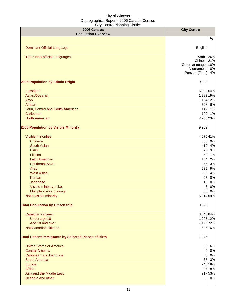| 2006 Census<br><b>Population Overview</b>                  | <b>City Centre</b>                  |
|------------------------------------------------------------|-------------------------------------|
|                                                            | %                                   |
|                                                            |                                     |
| <b>Dominant Official Language</b>                          | English                             |
| <b>Top 5 Non-official Languages</b>                        | Arabic <sub>26%</sub>               |
|                                                            | Chinese <sub>21%</sub>              |
|                                                            | Other languages 10%                 |
|                                                            | Vietnamese 8%<br>Persian (Farsi) 4% |
| 2006 Population by Ethnic Origin                           | 9,908                               |
| European                                                   | 6,320 64%                           |
| Asian, Oceanic                                             | 1,882 19%                           |
| Arab                                                       | 1,194 12%                           |
| African                                                    | 628 6%                              |
| Latin, Central and South American                          | 147 1%                              |
| Caribbean                                                  | 100 1%                              |
| <b>North American</b>                                      | 2,265 23%                           |
| 2006 Population by Visible Minority                        | 9,909                               |
| <b>Visible minorities</b>                                  | 4,07541%                            |
| <b>Chinese</b>                                             | 880 9%                              |
| <b>South Asian</b>                                         | 410 4%                              |
| <b>Black</b>                                               | 878 9%                              |
| Filipino                                                   | 62<br>1%                            |
| <b>Latin American</b>                                      | 164<br>2%                           |
| <b>Southeast Asian</b>                                     | 256<br>3%                           |
| Arab                                                       | 939<br>9%                           |
| <b>West Asian</b>                                          | 360<br>4%                           |
| Korean                                                     | 0%<br>25                            |
| Japanese                                                   | 10<br>0%                            |
| Visible minority, n.i.e.                                   | 0%<br>3                             |
| Multiple visible minority                                  | 35 0%                               |
| Not a visible minority                                     | 5,814 59%                           |
| <b>Total Population by Citizenship</b>                     | 9,928                               |
| Canadian citizens                                          | 8,340 84%                           |
| Under age 18                                               | 1,205 12%                           |
| Age 18 and over                                            | 7,12372%                            |
| Not Canadian citizens                                      | 1,626 16%                           |
| <b>Total Recent Immigrants by Selected Places of Birth</b> | 1,345                               |
| <b>United States of America</b>                            | 80 6%                               |
| <b>Central America</b>                                     | $0\,0\%$                            |
| <b>Caribbean and Bermuda</b>                               | 0 0%                                |
| <b>South America</b>                                       | 35 3%                               |
| Europe                                                     | 245 18%                             |
| Africa                                                     | 237 18%                             |
| Asia and the Middle East                                   | 71753%                              |
| Oceania and other                                          | 0 0%                                |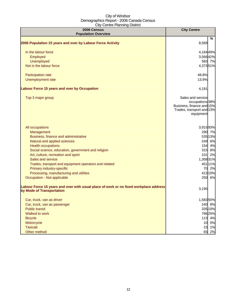| 2006 Census<br><b>Population Overview</b>                                                                          | <b>City Centre</b>                                                                                          |
|--------------------------------------------------------------------------------------------------------------------|-------------------------------------------------------------------------------------------------------------|
|                                                                                                                    | %                                                                                                           |
| 2006 Population 15 years and over by Labour Force Activity                                                         | 8,569                                                                                                       |
| In the labour force                                                                                                | 4,184 49%                                                                                                   |
| Employed                                                                                                           | 3,56642%                                                                                                    |
| Unemployed                                                                                                         | 583 7%                                                                                                      |
| Not in the labour force                                                                                            | 4,37351%                                                                                                    |
| Participation rate                                                                                                 | 48.8%                                                                                                       |
| Unemployment rate                                                                                                  | 13.9%                                                                                                       |
| Labour Force 15 years and over by Occupation                                                                       | 4,191                                                                                                       |
| Top 3 major group                                                                                                  | Sales and service<br>occupations 38%<br>Business, finance and 15%<br>Trades, transport and 13%<br>equipment |
| All occupations                                                                                                    | 3,91593%                                                                                                    |
| Management                                                                                                         | 290 7%                                                                                                      |
| Business, finance and administrative                                                                               | 535 13%                                                                                                     |
| Natural and applied sciences                                                                                       | 249 6%                                                                                                      |
| <b>Health occupations</b>                                                                                          | 154 4%                                                                                                      |
| Social science, education, government and religion                                                                 | 315 8%                                                                                                      |
| Art, culture, recreation and sport                                                                                 | 101 2%                                                                                                      |
| Sales and service                                                                                                  | 1,308 31%                                                                                                   |
| Trades, transport and equipment operators and related                                                              | 451 11%                                                                                                     |
| Primary industry-specific                                                                                          | 70 2%                                                                                                       |
| Processing, manufacturing and utilities                                                                            | 413 10%                                                                                                     |
| Occupation - Not applicable                                                                                        | 250 6%                                                                                                      |
| Labour Force 15 years and over with usual place of work or no fixed workplace address<br>by Mode of Transportation | 3,195                                                                                                       |
| Car, truck, van as driver                                                                                          | 1,58350%                                                                                                    |
| Car, truck, van as passenger                                                                                       | 240 8%                                                                                                      |
| <b>Public transit</b>                                                                                              | 335 10%                                                                                                     |
| Walked to work                                                                                                     | 78625%                                                                                                      |
| <b>Bicycle</b>                                                                                                     | 113 4%                                                                                                      |
| Motorcycle                                                                                                         | 10 0%                                                                                                       |
| <b>Taxicab</b>                                                                                                     | 23 1%                                                                                                       |
| Other method                                                                                                       | 2%<br>65                                                                                                    |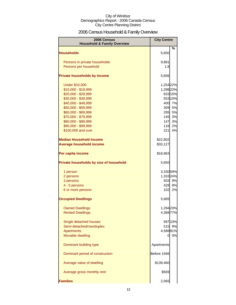# 2006 Census Household & Family Overview

| 2006 Census<br><b>Household &amp; Family Overview</b> | <b>City Centre</b> |         |
|-------------------------------------------------------|--------------------|---------|
| <b>Households</b>                                     | 5,650              | ℅       |
|                                                       |                    |         |
| Persons in private households                         | 9,881              |         |
| Persons per household                                 | 1.8                |         |
| <b>Private households by Income</b>                   | 5,656              |         |
| <b>Under \$10,000</b>                                 | 1,254 22%          |         |
| \$10,000 - \$19,999                                   | 1,298 23%          |         |
| \$20,000 - \$29,999                                   |                    | 833 15% |
| \$30,000 - \$39,999                                   |                    | 553 10% |
| \$40,000 - \$49,999                                   |                    | 400 7%  |
| \$50,000 - \$59,999                                   | 309                | 5%      |
| \$60,000 - \$69,999                                   | 295                | 5%      |
| \$70,000 - \$79,999                                   | 145                | 3%      |
| \$80,000 - \$89,999                                   | 147                | 3%      |
| \$90,000 - \$99,999                                   | 116                | 2%      |
| \$100,000 and over                                    | 221                | 4%      |
| <b>Median Household Income</b>                        | \$22,802           |         |
| <b>Average household income</b>                       | \$33,127           |         |
| Per capita income                                     | \$18,963           |         |
| Private households by size of household               | 5,650              |         |
| 1 person                                              | 3,330 59%          |         |
| 2 persons                                             | 1,333 24%          |         |
| 3 persons                                             |                    | 503 9%  |
| 4 - 5 persons                                         | 428                | 8%      |
| 6 or more persons                                     | 102                | 2%      |
| <b>Occupied Dwellings</b>                             | 5,665              |         |
| <b>Owned Dwellings</b>                                | 1,294 23%          |         |
| <b>Rented Dwellings</b>                               | 4,368 77%          |         |
| Single detached houses                                |                    | 587 10% |
| Semi-detached/row/duplex                              |                    | 515 9%  |
| <b>Apartments</b>                                     | 4,58881%           |         |
| Movable dwelling                                      | 0                  | 0%      |
| Dominant building type                                | Apartments         |         |
| Dominant period of construction                       | Before 1946        |         |
| Average value of dwelling                             | \$139,460          |         |
| Average gross monthly rent                            | \$569              |         |
| <b>Families</b>                                       | 2,065              |         |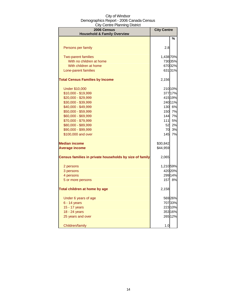| $\frac{1}{2}$<br>2006 Census                            | <b>City Centre</b> |         |
|---------------------------------------------------------|--------------------|---------|
| <b>Household &amp; Family Overview</b>                  |                    | %       |
|                                                         |                    |         |
| Persons per family                                      | 2.8                |         |
|                                                         |                    |         |
| <b>Two-parent families</b>                              | 1,438 70%          |         |
| With no children at home                                |                    | 730 35% |
| With children at home                                   |                    | 67032%  |
| Lone-parent families                                    |                    | 63131%  |
| <b>Total Census Families by Income</b>                  | 2,156              |         |
| <b>Under \$10,000</b>                                   |                    | 210 10% |
| \$10,000 - \$19,999                                     |                    | 377 17% |
| \$20,000 - \$29,999                                     |                    | 415 19% |
| \$30,000 - \$39,999                                     |                    | 240 11% |
| \$40,000 - \$49,999                                     |                    | 130 6%  |
| \$50,000 - \$59,999                                     | <b>150</b>         | 7%      |
| \$60,000 - \$69,999                                     | 144                | 7%      |
| \$70,000 - \$79,999                                     | $111$              | 5%      |
| \$80,000 - \$89,999                                     | 52                 | 2%      |
| \$90,000 - \$99,999                                     | 70                 | 3%      |
| \$100,000 and over                                      | 145                | 7%      |
| <b>Median income</b>                                    | \$30,842           |         |
| <b>Average income</b>                                   | \$44,959           |         |
|                                                         |                    |         |
| Census families in private households by size of family | 2,065              |         |
| 2 persons                                               | 1,210 59%          |         |
| 3 persons                                               |                    | 420 20% |
| 4 persons                                               |                    | 299 14% |
| 5 or more persons                                       |                    | 157 8%  |
| Total children at home by age                           | 2,158              |         |
| Under 6 years of age                                    |                    | 56926%  |
| 6 - 14 years                                            |                    | 70733%  |
| 15 - 17 years                                           |                    | 223 10% |
| 18 - 24 years                                           |                    | 353 16% |
| 25 years and over                                       |                    | 265 12% |
| Children/family                                         | 1.0                |         |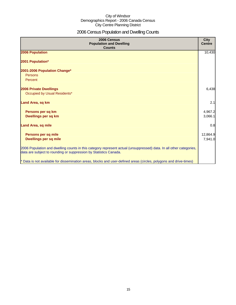# 2006 Census Population and Dwelling Counts

| 2006 Census<br><b>Population and Dwelling</b><br><b>Counts</b>                                                                                                                           | <b>City</b><br><b>Centre</b> |
|------------------------------------------------------------------------------------------------------------------------------------------------------------------------------------------|------------------------------|
| 2006 Population                                                                                                                                                                          | 10,430                       |
| 2001 Population*                                                                                                                                                                         |                              |
| 2001-2006 Population Change*                                                                                                                                                             |                              |
| Persons                                                                                                                                                                                  |                              |
| Percent                                                                                                                                                                                  |                              |
| <b>2006 Private Dwellings</b>                                                                                                                                                            | 6,438                        |
| Occupied by Usual Residents*                                                                                                                                                             |                              |
| Land Area, sq km                                                                                                                                                                         | 2.1                          |
| Persons per sq km                                                                                                                                                                        | 4,967.2                      |
| Dwellings per sq km                                                                                                                                                                      | 3,066.1                      |
| <b>Land Area, sq mile</b>                                                                                                                                                                | 0.8                          |
| Persons per sq mile                                                                                                                                                                      | 12,864.9                     |
| <b>Dwellings per sq mile</b>                                                                                                                                                             | 7,941.0                      |
| 2006 Population and dwelling counts in this category represent actual (unsuppressed) data. In all other categories,<br>data are subject to rounding or suppression by Statistics Canada. |                              |
| * Data is not available for dissemination areas, blocks and user-defined areas (circles, polygons and drive-times)                                                                       |                              |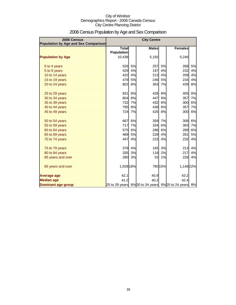| 2006 Census<br>Population by Age and Sex Comparison |                                   |    | <b>City Centre</b> |         |                                                    |    |
|-----------------------------------------------------|-----------------------------------|----|--------------------|---------|----------------------------------------------------|----|
|                                                     | <b>Total</b><br><b>Population</b> |    | <b>Males</b>       |         | <b>Females</b>                                     |    |
| <b>Population by Age</b>                            | 10,438                            |    | 5,192              |         | 5,246                                              |    |
| 0 to 4 years                                        | 526                               | 5% | 257                | 5%      | 268                                                | 5% |
| 5 to 9 years                                        | 429                               | 4% | 197                | 4%      | 232                                                | 4% |
| 10 to 14 years                                      | 422                               | 4% | 213                | 4%      | 209                                                | 4% |
| 15 to 19 years                                      | 479                               | 5% | 246                | 5%      | 234                                                | 4% |
| 20 to 24 years                                      | 802                               | 8% | 363                | 7%      | 439                                                | 8% |
| 25 to 29 years                                      | 831                               | 8% | 426                | 8%      | 405                                                | 8% |
| 30 to 34 years                                      | 804                               | 8% | 447                | 9%      | 357                                                | 7% |
| 35 to 39 years                                      | 732                               | 7% | 432                | 8%      | 300                                                | 6% |
| 40 to 44 years                                      | 795                               | 8% | 438                | 8%      | 357                                                | 7% |
| 45 to 49 years                                      | 724                               | 7% | 425                | 8%      | 300                                                | 6% |
| 50 to 54 years                                      | 667                               | 6% | 359                | 7%      | 308                                                | 6% |
| 55 to 59 years                                      | 717                               | 7% | 334                | 6%      | 383                                                | 7% |
| 60 to 64 years                                      | 575                               | 6% | 286                | 6%      | 289                                                | 6% |
| 65 to 69 years                                      | 489                               | 5% | 228                | 4%      | 261                                                | 5% |
| 70 to 74 years                                      | 447                               | 4% | 215                | 4%      | 232                                                | 4% |
| 75 to 79 years                                      | 378                               | 4% | 165                | 3%      | 213                                                | 4% |
| 80 to 84 years                                      | 335                               | 3% | 118                | 2%      | 217                                                | 4% |
| 85 years and over                                   | 280                               | 3% | 53                 | 1%      | 226                                                | 4% |
| 65 years and over                                   | 1,928 18%                         |    |                    | 780 15% | 1,148 22%                                          |    |
| <b>Average age</b>                                  | 42.1                              |    | 40.9               |         | 43.2                                               |    |
| <b>Median age</b>                                   | 41.2                              |    | 40.2               |         | 42.4                                               |    |
| <b>Dominant age group</b>                           |                                   |    |                    |         | 25 to 29 years 8% 30 to 34 years 9% 20 to 24 years | 8% |

# 2006 Census Population by Age and Sex Comparison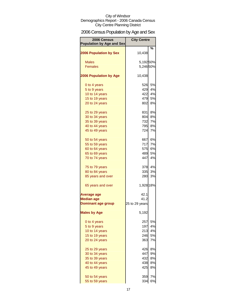# 2006 Census Population by Age and Sex

| 2006 Census<br><b>Population by Age and Sex</b> | <b>City Centre</b> |           |
|-------------------------------------------------|--------------------|-----------|
|                                                 |                    | %         |
| <b>2006 Population by Sex</b>                   | 10,438             |           |
| <b>Males</b>                                    | 5,19250%           |           |
| <b>Females</b>                                  | 5,246 50%          |           |
|                                                 |                    |           |
| <b>2006 Population by Age</b>                   | 10,438             |           |
| 0 to 4 years                                    | 526                | 5%        |
| 5 to 9 years                                    | 429                | 4%        |
| 10 to 14 years                                  | 422                | 4%        |
| 15 to 19 years                                  | 479                | 5%        |
| 20 to 24 years                                  | 802                | <b>8%</b> |
| 25 to 29 years                                  | 831                | 8%        |
| 30 to 34 years                                  | 804                | 8%        |
| 35 to 39 years                                  | 732                | 7%        |
| 40 to 44 years                                  | 795                | <b>8%</b> |
| 45 to 49 years                                  | 724                | 7%        |
|                                                 |                    |           |
| 50 to 54 years                                  | 667                | 6%        |
| 55 to 59 years                                  | 717                | 7%        |
| 60 to 64 years                                  | 575                | 6%        |
| 65 to 69 years                                  | 489                | <b>5%</b> |
| 70 to 74 years                                  | 447                | 4%        |
| 75 to 79 years                                  | 378                | 4%        |
| 80 to 84 years                                  | 335                | 3%        |
| 85 years and over                               | 280                | 3%        |
| 65 years and over                               | 1,928 18%          |           |
| Average age                                     | 42.1               |           |
| <b>Median age</b>                               | 41.2               |           |
| <b>Dominant age group</b>                       | 25 to 29 years     |           |
| <b>Males by Age</b>                             | 5,192              |           |
| 0 to 4 years                                    | 257                | 5%        |
| 5 to 9 years                                    | 197                | 4%        |
| 10 to 14 years                                  | 213                | 4%        |
| 15 to 19 years                                  | 246                | 5%        |
| 20 to 24 years                                  | 363                | 7%        |
|                                                 |                    |           |
| 25 to 29 years                                  | 426                | 8%        |
| 30 to 34 years                                  | 447                | 9%        |
| 35 to 39 years                                  | 432                | 8%        |
| 40 to 44 years                                  | 438                | 8%        |
| 45 to 49 years                                  | 425                | 8%        |
| 50 to 54 years                                  | 359                | 7%        |
| 55 to 59 years                                  | 334                | 6%        |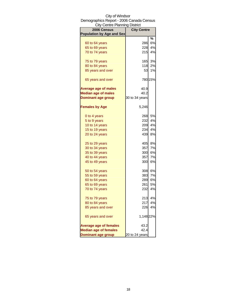| <b>City Centre Planning District</b> |                    |         |
|--------------------------------------|--------------------|---------|
| 2006 Census                          | <b>City Centre</b> |         |
| <b>Population by Age and Sex</b>     |                    |         |
|                                      |                    | %       |
| 60 to 64 years                       | 286                | 6%      |
| 65 to 69 years                       | 228                | 4%      |
| 70 to 74 years                       | 215                | 4%      |
| 75 to 79 years                       | 165                | 3%      |
| 80 to 84 years                       | 118                | 2%      |
| 85 years and over                    | 53                 | 1%      |
| 65 years and over                    |                    | 780 15% |
| <b>Average age of males</b>          | 40.9               |         |
| <b>Median age of males</b>           | 40.2               |         |
| <b>Dominant age group</b>            | 30 to 34 years     |         |
| <b>Females by Age</b>                | 5,246              |         |
| 0 to 4 years                         | 268                | 5%      |
| 5 to 9 years                         | 232                | 4%      |
| 10 to 14 years                       | 209                | 4%      |
| 15 to 19 years                       | 234                | 4%      |
| 20 to 24 years                       | 439                | 8%      |
| 25 to 29 years                       | 405                | 8%      |
| 30 to 34 years                       | 357                | 7%      |
| 35 to 39 years                       | 300                | 6%      |
| 40 to 44 years                       | 357                | 7%      |
| 45 to 49 years                       | 300                | 6%      |
|                                      |                    |         |
| 50 to 54 years                       | 308                | 6%      |
| 55 to 59 years                       | 383                | 7%      |
| 60 to 64 years                       | 289                | 6%      |
| 65 to 69 years                       | 261                | 5%      |
| 70 to 74 years                       | 232                | 4%      |
| 75 to 79 years                       | 213                | 4%      |
| 80 to 84 years                       | 217                | 4%      |
| 85 years and over                    | 226                | 4%      |
| 65 years and over                    | 1,148 22%          |         |
| <b>Average age of females</b>        | 43.2               |         |
| <b>Median age of females</b>         | 42.4               |         |
| <b>Dominant age group</b>            | 20 to 24 years     |         |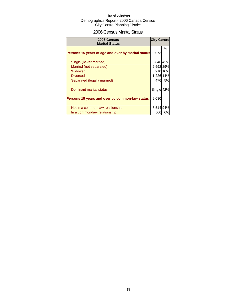# 2006 Census Marital Status

| 2006 Census<br><b>Marital Status</b>               | <b>City Centre</b> |         |
|----------------------------------------------------|--------------------|---------|
| Persons 15 years of age and over by marital status | 9.073              | %       |
| Single (never married)                             | 3,846 42%          |         |
| Married (not separated)                            | 2,592 29%          |         |
| Widowed                                            |                    | 910 10% |
| <b>Divorced</b>                                    | 1,226 14%          |         |
| Separated (legally married)                        | 476                | 5%      |
| Dominant marital status                            | Single 42%         |         |
| Persons 15 years and over by common-law status     | 9,080              |         |
| Not in a common-law relationship                   | 8,514 94%          |         |
| In a common-law relationship                       | 566                | 6%      |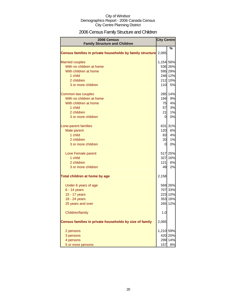# 2006 Census Family Structure and Children

| 2006 Census<br><b>Family Structure and Children</b>       | <b>City Centre</b> |         |
|-----------------------------------------------------------|--------------------|---------|
|                                                           |                    | ℅       |
| Census families in private households by family structure | 2,065              |         |
| <b>Married couples</b>                                    | 1,154 56%          |         |
| With no children at home                                  |                    | 536 26% |
| With children at home                                     |                    | 595 29% |
| 1 child                                                   |                    | 246 12% |
| 2 children                                                |                    | 212 10% |
| 3 or more children                                        | 110                | 5%      |
| Common-law couples                                        |                    | 285 14% |
| With no children at home                                  | 194                | 9%      |
| With children at home                                     | 75                 | 4%      |
| 1 child                                                   | 57                 | 3%      |
| 2 children                                                | 21                 | 1%      |
| 3 or more children                                        | $\overline{0}$     | 0%      |
| Lone-parent families                                      |                    | 631 31% |
| Male parent                                               | 120                | 6%      |
| 1 child                                                   | 83                 | 4%      |
| 2 children                                                | 20                 | 1%      |
| 3 or more children                                        | 0                  | 0%      |
| Lone Female parent                                        |                    | 517 25% |
| 1 child                                                   |                    | 327 16% |
| 2 children                                                | 121                | 6%      |
| 3 or more children                                        | 49                 | 2%      |
| Total children at home by age                             | 2,158              |         |
| Under 6 years of age                                      |                    | 569 26% |
| $6 - 14$ years                                            |                    | 707 33% |
| 15 - 17 years                                             |                    | 223 10% |
| 18 - 24 years                                             |                    | 353 16% |
| 25 years and over                                         |                    | 265 12% |
| Children/family                                           | 1.0                |         |
| Census families in private households by size of family   | 2,065              |         |
| 2 persons                                                 | 1,210 59%          |         |
| 3 persons                                                 |                    | 420 20% |
| 4 persons                                                 | 299                | 14%     |
| 5 or more persons                                         | 157                | 8%      |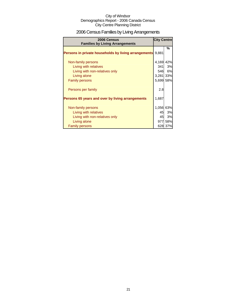# 2006 Census Families by Living Arrangements

| 2006 Census<br><b>Families by Living Arrangements</b> | <b>City Centre</b> |         |
|-------------------------------------------------------|--------------------|---------|
|                                                       |                    | %       |
| Persons in private households by living arrangements  | 9,881              |         |
|                                                       |                    |         |
| Non-family persons                                    | 4,169 42%          |         |
| Living with relatives                                 | 341                | 3%      |
| Living with non-relatives only                        | 546                | 6%      |
| Living alone                                          | 3,281 33%          |         |
| <b>Family persons</b>                                 | 5,699 58%          |         |
| Persons per family                                    | 2.8                |         |
| Persons 65 years and over by living arrangements      | 1,687              |         |
| Non-family persons                                    | 1,056 63%          |         |
| Living with relatives                                 | 45                 | 3%      |
| Living with non-relatives only                        | 45                 | 3%      |
| Living alone                                          |                    | 977 58% |
| <b>Family persons</b>                                 |                    | 628 37% |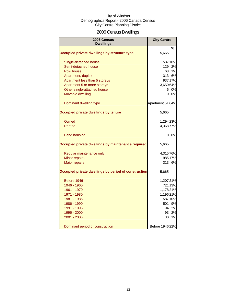# 2006 Census Dwellings

| 2006 Census<br><b>Dwellings</b>                      | <b>City Centre</b> |         |
|------------------------------------------------------|--------------------|---------|
|                                                      |                    | %       |
| Occupied private dwellings by structure type         | 5,665              |         |
| Single-detached house                                |                    | 587 10% |
| Semi-detached house                                  |                    | 129 2%  |
| <b>Row house</b>                                     |                    | 68 1%   |
| Apartment, duplex                                    |                    | 313 6%  |
| Apartment less than 5 storeys                        |                    | 937 17% |
| Apartment 5 or more storeys                          | 3,650 64%          |         |
| Other single-attached house                          |                    | 6 0%    |
| Movable dwelling                                     | 0l                 | 0%      |
| Dominant dwelling type                               | Apartment 5+64%    |         |
| Occupied private dwellings by tenure                 | 5,665              |         |
| Owned                                                | 1,294 23%          |         |
| Rented                                               | 4,368 77%          |         |
| <b>Band housing</b>                                  | 0                  | 0%      |
| Occupied private dwellings by maintenance required   | 5,665              |         |
| Regular maintenance only                             | 4,315 76%          |         |
| <b>Minor repairs</b>                                 |                    | 985 17% |
| <b>Major repairs</b>                                 | 313                | 6%      |
| Occupied private dwellings by period of construction | 5,665              |         |
| Before 1946                                          | 1,20721%           |         |
| 1946 - 1960                                          |                    | 72113%  |
| 1961 - 1970                                          | 1,17821%           |         |
| 1971 - 1980                                          | 1,19621%           |         |
| 1981 - 1985                                          |                    | 58710%  |
| 1986 - 1990                                          | 501                | 9%      |
| 1991 - 1995                                          |                    | 94 2%   |
| 1996 - 2000                                          | 93                 | 2%      |
| 2001 - 2006                                          | 30                 | 1%      |
| Dominant period of construction                      | Before 1946 22%    |         |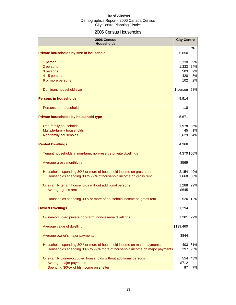# 2006 Census Households

| 2006 Census<br><b>Households</b>                                          | <b>City Centre</b> |            |
|---------------------------------------------------------------------------|--------------------|------------|
| Private households by size of household                                   | 5,650              | ℅          |
| 1 person                                                                  | 3,330              | 59%        |
| 2 persons                                                                 | 1,333              | 24%        |
| 3 persons                                                                 | 503                | 9%         |
| 4 - 5 persons                                                             | 428                | 8%         |
| 6 or more persons                                                         | 102                | 2%         |
| Dominant household size                                                   | 1 person           | 58%        |
| <b>Persons in households</b>                                              | 9,914              |            |
| Persons per household                                                     | 1.8                |            |
| Private households by household type                                      | 5,671              |            |
| One-family households                                                     | 1,978              | 35%        |
| Multiple-family households                                                | 45                 | 1%         |
| Non-family households                                                     | 3,629              | 64%        |
| <b>Rented Dwellings</b>                                                   | 4,368              |            |
| Tenant households in non-farm, non-reserve private dwellings              |                    | 4,370 100% |
| Average gross monthly rent                                                | \$569              |            |
| Households spending 30% or more of household income on gross rent         | 2,154              | 49%        |
| Households spending 30 to 99% of household income on gross rent           | 1,668              | 38%        |
| One-family tenant households without additional persons                   | 1,288              | 29%        |
| Average gross rent                                                        | \$645              |            |
| Households spending 30% or more of household income on gross rent         | 520                | 12%        |
| <b>Owned Dwellings</b>                                                    | 1,294              |            |
| Owner-occupied private non-farm, non-reserve dwellings                    | 1,281              | 99%        |
| Average value of dwelling                                                 | \$139,460          |            |
| Average owner's major payments                                            | \$844              |            |
| Households spending 30% or more of household income on major payments     | 403                | 31%        |
| Households spending 30% to 99% more of household income on major payments | 297                | 23%        |
| One-family owner-occupied households without additional persons           | 554                | 43%        |
| Average major payments                                                    | \$712              |            |
| Spending 30%+ of hh income on shelter                                     | 97                 | 7%         |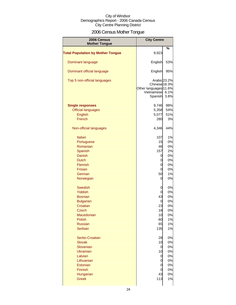# 2006 Census Mother Tongue

| 2006 Census                              | <b>City Centre</b>                                                              |              |
|------------------------------------------|---------------------------------------------------------------------------------|--------------|
| <b>Mother Tongue</b>                     |                                                                                 |              |
| <b>Total Population by Mother Tongue</b> | 9,923                                                                           | %            |
| Dominant language                        | English                                                                         | 53%          |
| Dominant official language               | English                                                                         | 95%          |
| Top 5 non-official languages             | Arabic 23.2%<br>Chinese 18.3%<br>Other languages 11.6%<br>Vietnamese<br>Spanish | 6.1%<br>3.8% |
| <b>Single responses</b>                  | 9,746                                                                           | 98%          |
| <b>Official languages</b>                | 5,358                                                                           | 54%          |
| English                                  | 5,077                                                                           | 51%          |
| French                                   | 280                                                                             | 3%           |
|                                          |                                                                                 |              |
| Non-official languages                   | 4,346                                                                           | 44%          |
| <b>Italian</b>                           | 107                                                                             | 1%           |
| Portuguese                               | 15                                                                              | 0%           |
| Romanian                                 | 46                                                                              | 0%           |
|                                          |                                                                                 |              |
| Spanish                                  | 157                                                                             | 2%           |
| Danish                                   | 0                                                                               | 0%           |
| <b>Dutch</b>                             | 0                                                                               | 0%           |
| Flemish                                  | 0                                                                               | 0%           |
| <b>Frisian</b>                           | 0                                                                               | 0%           |
| German                                   | 50                                                                              | 1%           |
| Norwegian                                | 0                                                                               | 0%           |
| <b>Swedish</b>                           | 0                                                                               | 0%           |
| Yiddish                                  | 0                                                                               | 0%           |
| <b>Bosnian</b>                           | 43                                                                              | 0%           |
| <b>Bulgarian</b>                         | 0                                                                               | 0%           |
| Croatian                                 | 23                                                                              | 0%           |
| Czech                                    |                                                                                 |              |
| Macedonian                               | 18<br>10                                                                        | U% <br>0%    |
| Polish                                   | 60                                                                              | 1%           |
|                                          |                                                                                 |              |
| <b>Russian</b>                           | 65                                                                              | 1%           |
| <b>Serbian</b>                           | 135                                                                             | 1%           |
| Serbo-Croatian                           | 28                                                                              | 0%           |
| <b>Slovak</b>                            | 10                                                                              | 0%           |
| Slovenian                                | 0                                                                               | 0%           |
| <b>Ukrainian</b>                         | 10                                                                              | 0%           |
| Latvian                                  | 0                                                                               | 0%           |
| Lithuanian                               | 0                                                                               | 0%           |
| Estonian                                 | 0                                                                               | 0%           |
| Finnish                                  | 0                                                                               | 0%           |
| Hungarian                                | 43                                                                              | 0%           |
| <b>Greek</b>                             | 113                                                                             | 1%           |
|                                          |                                                                                 |              |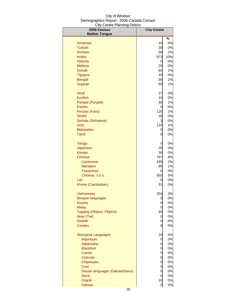| 2006 Census                              | <b>City Centre</b> |          |
|------------------------------------------|--------------------|----------|
| <b>Mother Tongue</b>                     |                    | %        |
| Armenian                                 | 10                 | 0%       |
| <b>Turkish</b>                           | 30                 | 0%       |
| Amharic                                  | 58                 | 1%       |
| Arabic                                   | 973                | 10%      |
| <b>Hebrew</b>                            | 0                  | 0%       |
| <b>Maltese</b>                           | 20                 | 0%       |
| Somali                                   | 65                 | 1%       |
| <b>Tigrigna</b>                          | 10                 | 0%       |
| Bengali                                  | 50                 | 1%       |
| Gujarati                                 | 50                 | 1%       |
| Hindi                                    | 27                 | 0%       |
| <b>Kurdish</b>                           | 10                 | 0%       |
| Panjabi (Punjabi)                        | 50                 | 1%       |
| Pashto                                   | 0                  | 0%       |
| Persian (Farsi)<br>Sindhi                | 120<br>28          | 1%<br>0% |
| Sinhala (Sinhalese)                      | 3                  | 0%       |
| Urdu                                     | 110                | 1%       |
| Malayalam                                | 0                  | 0%       |
| Tamil                                    | 0                  | 0%       |
| <b>Telugu</b>                            | 0                  | 0%       |
| Japanese                                 | 20                 | 0%       |
| Korean                                   | 30                 | 0%       |
| Chinese                                  | 767                | 8%       |
| Cantonese                                | 169                | 2%       |
| Mandarin                                 | 95                 | $1\%$    |
| Taiwanese                                | 0                  | 0%       |
| Chinese, n.o.s.                          | 503                | 5%       |
| Lao                                      | 0                  | 0%       |
| Khmer (Cambodian)                        | 31                 | 0%       |
| Vietnamese                               | 254                | 3%       |
| <b>Bisayan languages</b>                 | 0                  | 0%       |
| Ilocano                                  | 0                  | 0%       |
| <b>Malay</b>                             | 0                  | 0%       |
| Tagalog (Pilipino, Filipino)             | 40                 | 0%       |
| Akan (Twi)                               | 0                  | 0%       |
| <b>Swahili</b><br><b>Creoles</b>         | 0<br>0             | 0%<br>0% |
|                                          |                    |          |
| <b>Aboriginal Languages</b><br>Algonquin | 10<br>0            | 0%<br>0% |
| Atikamekw                                | 0                  | 0%       |
| <b>Blackfoot</b>                         | 0                  | 0%       |
| Carrier                                  | 0                  | 0%       |
| Chilcotin                                | 0                  | 0%       |
| Chipewyan                                | 0                  | 0%       |
| <b>Cree</b>                              | 0                  | 0%       |
| Siouan languages (Dakota/Sioux)          | 0                  | 0%       |
| Dene                                     | 0                  | 0%       |
| <b>Dogrib</b>                            | 10                 | 0%       |
| Gitksan                                  | $\overline{O}$     | 0%       |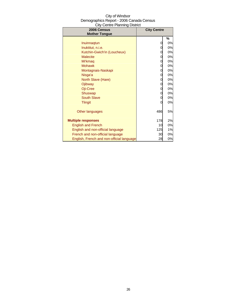| City of Windsor                          |
|------------------------------------------|
| Demographics Report - 2006 Canada Census |
| <b>City Centre Planning District</b>     |

| 2006 Census<br><b>Mother Tongue</b>       | <b>City Centre</b> |       |
|-------------------------------------------|--------------------|-------|
|                                           |                    | %     |
| Inuinnagtun                               | 0                  | 0%    |
| Inuktitut, n.i.e.                         | 0                  | 0%    |
| Kutchin-Gwich'in (Loucheux)               | 0                  | 0%    |
| <b>Malecite</b>                           | 0                  | 0%    |
| <b>Mi'kmaq</b>                            | 0                  | 0%    |
| <b>Mohawk</b>                             | 0                  | 0%    |
| Montagnais-Naskapi                        | 0                  | 0%    |
|                                           |                    | 0%    |
| Nisga'a                                   | 0<br>0             | 0%    |
| North Slave (Hare)                        |                    |       |
| Ojibway                                   | 0                  | 0%    |
| Oji-Cree                                  | 0                  | 0%    |
| Shuswap                                   | 0                  | $0\%$ |
| <b>South Slave</b>                        | 0                  | 0%    |
| <b>Tlingit</b>                            | 0                  | 0%    |
| Other languages                           | 486                | 5%    |
| <b>Multiple responses</b>                 | 178                | 2%    |
| <b>English and French</b>                 | 10                 | 0%    |
| English and non-official language         | 125                | 1%    |
| French and non-official language          | 30                 | 0%    |
| English, French and non-official language | 28                 | 0%    |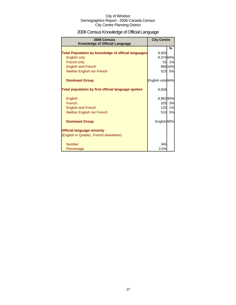# 2006 Census Knowledge of Official Language

| 2006 Census<br><b>Knowledge of Official Language</b>       | <b>City Centre</b> |           |
|------------------------------------------------------------|--------------------|-----------|
|                                                            |                    | %         |
| <b>Total Population by knowledge of official languages</b> | 9,926              |           |
| English only                                               | 8,374 84%          |           |
| French only                                                | 53                 | 1%        |
| <b>English and French</b>                                  |                    | 968 10%   |
| Neither English nor French                                 |                    | 523 5%    |
| <b>Dominant Group</b>                                      | English only 84%   |           |
| Total population by first official language spoken         | 9,926              |           |
| English                                                    | 8,962 90%          |           |
| French                                                     | 325                | 3%        |
| <b>English and French</b>                                  | 125                | 1%        |
| Neither English nor French                                 | 510                | <b>5%</b> |
| <b>Dominant Group</b>                                      | English 90%        |           |
| <b>Official language minority</b>                          |                    |           |
| (English in Quebec, French elsewhere)                      |                    |           |
| <b>Number</b>                                              | 345                |           |
| Percentage                                                 | 3.5%               |           |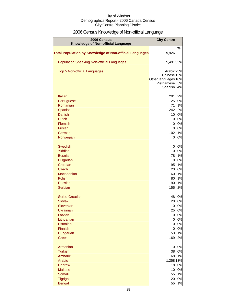# 2006 Census Knowledge of Non-official Language

| 2006 Census<br>Knowledge of Non-official Language              | <b>City Centre</b>                |          |
|----------------------------------------------------------------|-----------------------------------|----------|
|                                                                |                                   | %        |
| <b>Total Population by Knowledge of Non-official Languages</b> | 9,926                             |          |
| <b>Population Speaking Non-official Languages</b>              | 5,491 55%                         |          |
| <b>Top 5 Non-official Languages</b>                            | Arabic 23%                        |          |
|                                                                | Chinese 15%                       |          |
|                                                                | Other languages 10%<br>Vietnamese | 5%       |
|                                                                | Spanish                           | 4%       |
|                                                                |                                   |          |
| <b>Italian</b>                                                 | 201<br>25                         | 2%<br>0% |
| Portuguese<br>Romanian                                         | 71                                | 1%       |
| Spanish                                                        | 242                               | 2%       |
| <b>Danish</b>                                                  | 10                                | 0%       |
| <b>Dutch</b>                                                   | $\overline{0}$                    | 0%       |
| Flemish                                                        | 0                                 | 0%       |
| Frisian                                                        | 0                                 | 0%       |
| German                                                         | 102                               | 1%       |
| Norwegian                                                      | 0                                 | 0%       |
| <b>Swedish</b>                                                 | 0                                 | 0%       |
| <b>Yiddish</b>                                                 | $\overline{0}$                    | 0%       |
| <b>Bosnian</b>                                                 | 78                                | 1%       |
| <b>Bulgarian</b>                                               | $\overline{0}$                    | 0%       |
| Croatian                                                       | 95                                | 1%       |
| <b>Czech</b><br>Macedonian                                     | 20<br>60                          | 0%<br>1% |
| <b>Polish</b>                                                  | 80                                | 1%       |
| <b>Russian</b>                                                 | 90                                | 1%       |
| <b>Serbian</b>                                                 | 155                               | 2%       |
| Serbo-Croatian                                                 | 48                                | 0%       |
| <b>Slovak</b>                                                  | 20                                | 0%       |
| Slovenian                                                      | 0                                 | 0%       |
| Ukrainian                                                      | 25                                | 0%       |
| Latvian                                                        | $\overline{0}$                    | 0%       |
| Lithuanian                                                     | $\overline{0}$                    | 0%       |
| Estonian                                                       | $\overline{0}$                    | 0%       |
| Finnish<br>Hungarian                                           | 0<br>53                           | 0%<br>1% |
| <b>Greek</b>                                                   | 169                               | 2%       |
| Armenian                                                       | $\overline{0}$                    | 0%       |
| <b>Turkish</b>                                                 | 38                                | 0%       |
| Amharic                                                        | 68                                | 1%       |
| Arabic                                                         | 1,258 13%                         |          |
| <b>Hebrew</b>                                                  | 18                                | 0%       |
| <b>Maltese</b>                                                 | 10                                | 0%       |
| Somali                                                         | 55                                | 1%       |
| Tigrigna                                                       | 20                                | 0%       |
| Bengali                                                        | 55                                | 1%       |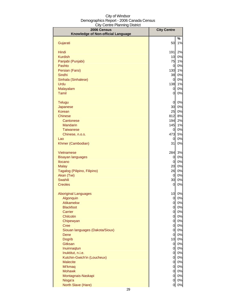| 2006 Census                        | <b>City Centre</b> |          |
|------------------------------------|--------------------|----------|
| Knowledge of Non-official Language |                    |          |
|                                    |                    | %        |
| Gujarati                           | 50                 | 1%       |
| Hindi                              | 191                | 2%       |
| <b>Kurdish</b>                     | 10                 | 0%       |
| Panjabi (Punjabi)                  | 75                 | 1%       |
| Pashto                             | $\overline{0}$     | 0%       |
| Persian (Farsi)                    | 130                | 1%       |
| Sindhi                             | 38                 | 0%       |
| Sinhala (Sinhalese)                | $\mathbf{0}$       | 0%       |
| Urdu                               | 138                | 1%       |
| Malayalam                          | 0                  | 0%       |
| <b>Tamil</b>                       | 0                  | 0%       |
|                                    |                    |          |
| <b>Telugu</b>                      | $\overline{0}$     | 0%       |
| Japanese                           | 30                 | 0%       |
| Korean                             | 25                 | 0%       |
| <b>Chinese</b>                     | 812                | 8%       |
| Cantonese                          | 194                | 2%       |
| <b>Mandarin</b>                    | 145                | 1%       |
| <b>Taiwanese</b>                   | 0<br>473           | 0%       |
| Chinese, n.o.s.                    |                    | 5%<br>0% |
| Lao<br>Khmer (Cambodian)           | 0<br>31            | 0%       |
|                                    |                    |          |
| <b>Vietnamese</b>                  | 284                | 3%       |
| <b>Bisayan languages</b>           | 0                  | 0%       |
| Ilocano                            | 0                  | 0%       |
| <b>Malay</b>                       | 20                 | 0%       |
| Tagalog (Pilipino, Filipino)       | 26                 | 0%       |
| Akan (Twi)                         | $\overline{0}$     | 0%       |
| Swahili                            | 30                 | 0%       |
| <b>Creoles</b>                     | 0                  | 0%       |
| <b>Aboriginal Languages</b>        | 10                 | 0%       |
| Algonquin                          | 0                  | 0%       |
| Atikamekw                          | $\overline{0}$     | 0%       |
| <b>Blackfoot</b>                   | $\overline{0}$     | 0%       |
| Carrier                            | $\overline{0}$     | 0%       |
| Chilcotin                          | $\overline{0}$     | 0%       |
| Chipewyan                          | $\overline{0}$     | 0%       |
| Cree                               | $\overline{0}$     | 0%       |
| Siouan languages (Dakota/Sioux)    | $\overline{O}$     | 0%       |
| Dene                               | $\mathbf{0}$       | 0%       |
| <b>Dogrib</b>                      | 10 <sub>1</sub>    | 0%       |
| Gitksan                            | $\overline{0}$     | 0%       |
| Inuinnaqtun                        | <sub>0</sub>       | 0%       |
| Inuktitut, n.i.e.                  | <sub>0</sub>       | 0%       |
| Kutchin-Gwich'in (Loucheux)        | $\overline{0}$     | 0%       |
| <b>Malecite</b>                    | $\overline{0}$     | 0%       |
| Mi'kmaq                            | $\overline{0}$     | 0%       |
| <b>Mohawk</b>                      | $\overline{O}$     | 0%       |
| Montagnais-Naskapi                 | 0                  | 0%       |
| Nisga'a                            | 0                  | 0%       |
| North Slave (Hare)                 | $\overline{0}$     | $0\%$    |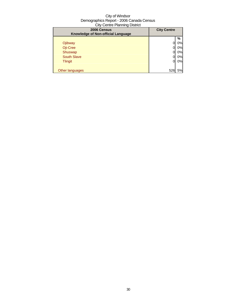| 2006 Census<br>Knowledge of Non-official Language | <b>City Centre</b> |    |
|---------------------------------------------------|--------------------|----|
|                                                   |                    | %  |
| Ojibway                                           |                    | 0% |
| Oji-Cree                                          |                    | 0% |
| Shuswap                                           |                    | 0% |
| <b>South Slave</b>                                |                    | 0% |
| <b>Tlingit</b>                                    |                    | 0% |
|                                                   |                    |    |
| Other languages                                   | 526                | 5% |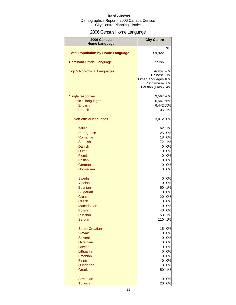# 2006 Census Home Language

| 2006 Census                              | <b>City Centre</b>                                                                                      |          |
|------------------------------------------|---------------------------------------------------------------------------------------------------------|----------|
| <b>Home Language</b>                     |                                                                                                         |          |
| <b>Total Population by Home Language</b> | \$9,922                                                                                                 | %        |
| <b>Dominant Official Language</b>        | English                                                                                                 |          |
| Top 5 Non-official Languages             | Arabic 26%<br>Chinese <sub>21%</sub><br>Other languages <sup>10%</sup><br>Vietnamese<br>Persian (Farsi) | 8%<br>4% |
| Single responses                         | 9,56796%                                                                                                |          |
| <b>Official languages</b>                | 6,547 66%                                                                                               |          |
| <b>English</b>                           | 6,442 65%                                                                                               |          |
| French                                   | 105                                                                                                     | 1%       |
| Non-official languages                   | 3,012 30%                                                                                               |          |
| <b>Italian</b>                           | 62                                                                                                      | 1%       |
| Portuguese                               | 25                                                                                                      | 0%       |
| Romanian                                 | 18                                                                                                      | 0%       |
| Spanish                                  | 72                                                                                                      | 1%       |
| Danish                                   | $\overline{0}$                                                                                          | 0%       |
| <b>Dutch</b>                             | $\overline{0}$                                                                                          | 0%       |
| Flemish                                  | $\overline{0}$                                                                                          | 0%       |
| <b>Frisian</b>                           | $\overline{0}$                                                                                          | 0%       |
| German                                   | $\overline{0}$                                                                                          | 0%       |
| Norwegian                                | $\overline{0}$                                                                                          | 0%       |
| <b>Swedish</b>                           | $\overline{O}$                                                                                          | 0%       |
| Yiddish                                  | $\mathbf 0$                                                                                             | 0%       |
| <b>Bosnian</b>                           | 60                                                                                                      | 1%       |
| <b>Bulgarian</b>                         | $\overline{0}$                                                                                          | 0%       |
| Croatian                                 | 20                                                                                                      | 0%       |
| <b>Czech</b>                             | 0                                                                                                       | 0%       |
| Macedonian                               | 0                                                                                                       | 0%       |
| Polish                                   | 40                                                                                                      | 0%       |
| <b>Russian</b>                           | 53                                                                                                      | 1%       |
| Serbian                                  | 110                                                                                                     | 1%       |
| Serbo-Croatian                           | 15                                                                                                      | 0%       |
| <b>Slovak</b>                            | $\overline{0}$                                                                                          | 0%       |
| Slovenian                                | $\mathbf 0$                                                                                             | 0%       |
| <b>Ukrainian</b>                         | 0                                                                                                       | 0%       |
| Latvian                                  | $\mathbf 0$                                                                                             | 0%       |
| Lithuanian                               | 0                                                                                                       | 0%       |
| Estonian<br>Finnish                      | 0<br>$\mathbf 0$                                                                                        | 0%       |
| Hungarian                                | 18                                                                                                      | 0%<br>0% |
| <b>Greek</b>                             | 50                                                                                                      | 1%       |
|                                          |                                                                                                         |          |
| Armenian                                 | 10                                                                                                      | 0%       |
| <b>Turkish</b>                           | 20                                                                                                      | 0%       |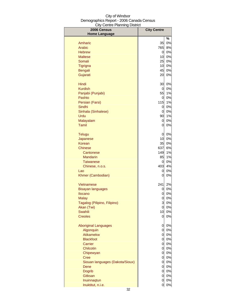| 2006 Census                     | <b>City Centre</b> |       |
|---------------------------------|--------------------|-------|
| <b>Home Language</b>            |                    |       |
|                                 |                    | %     |
| Amharic                         | 35                 | 0%    |
| Arabic                          | 765                | 8%    |
| <b>Hebrew</b>                   | 0                  | 0%    |
| <b>Maltese</b>                  | 10                 | $0\%$ |
| Somali                          | 25                 | $0\%$ |
| Tigrigna                        | 10                 | $0\%$ |
| <b>Bengali</b>                  | 45                 | $0\%$ |
| Gujarati                        | 20                 | 0%    |
| Hindi                           | 30                 | 0%    |
| <b>Kurdish</b>                  | 0                  | $0\%$ |
| Panjabi (Punjabi)               | 55                 | 1%    |
| Pashto                          | 0                  | $0\%$ |
| Persian (Farsi)                 | 115                | 1%    |
| Sindhi                          | 0                  | $0\%$ |
| Sinhala (Sinhalese)             | 0                  | 0%    |
| Urdu                            | 90                 | 1%    |
| Malayalam                       | 0                  | 0%    |
| Tamil                           | 0                  | 0%    |
| <b>Telugu</b>                   | 0                  | 0%    |
| Japanese                        | 10                 | 0%    |
| Korean                          | 35                 | 0%    |
| Chinese                         | 637                | 6%    |
| Cantonese                       | 149                | 1%    |
| <b>Mandarin</b>                 | 85                 | 1%    |
| <b>Taiwanese</b>                | 0                  | 0%    |
| Chinese, n.o.s.                 | 403                | 4%    |
| Lao                             | 0                  | 0%    |
| Khmer (Cambodian)               | 0                  | 0%    |
| Vietnamese                      | 241                | 2%    |
| <b>Bisayan languages</b>        | 0                  | 0%    |
| <b>Ilocano</b>                  | 0                  | 0%    |
| <b>Malay</b>                    | 0                  | 0%    |
| Tagalog (Pilipino, Filipino)    | 3                  | 0%    |
| Akan (Twi)                      | $\overline{0}$     | 0%    |
| <b>Swahili</b>                  | 10                 | 0%    |
| <b>Creoles</b>                  | 0                  | 0%    |
| <b>Aboriginal Languages</b>     | 0                  | 0%    |
| Algonquin                       | $\overline{0}$     | $0\%$ |
| <b>Atikamekw</b>                | $\overline{O}$     | $0\%$ |
| <b>Blackfoot</b>                | 0                  | $0\%$ |
| <b>Carrier</b>                  | 0                  | $0\%$ |
| Chilcotin                       | $\overline{O}$     | $0\%$ |
| Chipewyan                       | <sub>0</sub>       | $0\%$ |
| <b>Cree</b>                     | 0                  | $0\%$ |
| Siouan languages (Dakota/Sioux) | <sub>0</sub>       | 0%    |
| Dene                            | <sub>0</sub>       | $0\%$ |
| <b>Dogrib</b>                   | <sub>0</sub>       | $0\%$ |
| Gitksan                         | $\mathbf 0$        | $0\%$ |
| Inuinnaqtun                     | 0                  | 0%    |
| Inuktitut, n.i.e.               | 0                  | 0%    |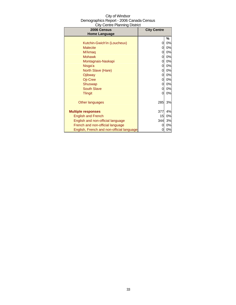| 2006 Census                               | <b>City Centre</b> |    |
|-------------------------------------------|--------------------|----|
| <b>Home Language</b>                      |                    |    |
|                                           |                    | %  |
| Kutchin-Gwich'in (Loucheux)               | 0                  | 0% |
| <b>Malecite</b>                           | 0                  | 0% |
| Mi'kmag                                   | 0                  | 0% |
| <b>Mohawk</b>                             | 0                  | 0% |
| Montagnais-Naskapi                        | 0                  | 0% |
| Nisga'a                                   | 0                  | 0% |
| North Slave (Hare)                        | 0                  | 0% |
| Ojibway                                   | 0                  | 0% |
| Oji-Cree                                  | 0                  | 0% |
| Shuswap                                   | 0                  | 0% |
| <b>South Slave</b>                        | 0                  | 0% |
| <b>Tlingit</b>                            | 0                  | 0% |
|                                           |                    |    |
| Other languages                           | 285                | 3% |
|                                           |                    |    |
| <b>Multiple responses</b>                 | 377                | 4% |
| <b>English and French</b>                 | 15                 | 0% |
| English and non-official language         | 344                | 3% |
| French and non-official language          | 0                  | 0% |
| English, French and non-official language |                    | 0% |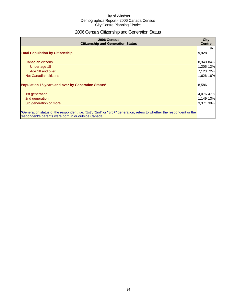# 2006 Census Citizenship and Generation Status

| 2006 Census<br><b>Citizenship and Generation Status</b>                                                                                                                       | <b>City</b><br><b>Centre</b> |   |
|-------------------------------------------------------------------------------------------------------------------------------------------------------------------------------|------------------------------|---|
| <b>Total Population by Citizenship</b>                                                                                                                                        | 9,928                        | % |
| Canadian citizens                                                                                                                                                             | 8,340 84%                    |   |
| Under age 18                                                                                                                                                                  | 1,205 12%                    |   |
| Age 18 and over                                                                                                                                                               | 7,123 72%                    |   |
| Not Canadian citizens                                                                                                                                                         | 1,626 16%                    |   |
| Population 15 years and over by Generation Status*                                                                                                                            | 8,586                        |   |
| 1st generation                                                                                                                                                                | 4,076 47%                    |   |
| 2nd generation                                                                                                                                                                | 1,149 13%                    |   |
| 3rd generation or more                                                                                                                                                        | 3,371 39%                    |   |
| *Generation status of the respondent, i.e. "1st", "2nd" or "3rd+" generation, refers to whether the respondent or the<br>respondent's parents were born in or outside Canada. |                              |   |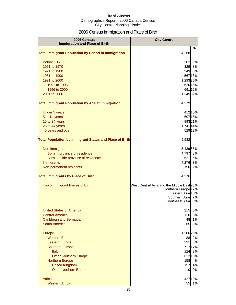# 2006 Census Immigration and Place of Birth

| 2006 Census<br><b>Immigration and Place of Birth</b>           | <b>City Centre</b>                                                                                                                          |
|----------------------------------------------------------------|---------------------------------------------------------------------------------------------------------------------------------------------|
|                                                                | %                                                                                                                                           |
| <b>Total Immigrant Population by Period of Immigration</b>     | 4,268                                                                                                                                       |
| Before 1961                                                    | 9%<br>382                                                                                                                                   |
| 1961 to 1970                                                   | 8%<br>329                                                                                                                                   |
| 1971 to 1980                                                   | 343<br>8%                                                                                                                                   |
| 1981 to 1990                                                   | 56713%                                                                                                                                      |
| 1991 to 2000                                                   | 1,293 30%                                                                                                                                   |
| 1991 to 1995<br>1996 to 2000                                   | 620 15%<br>691 16%                                                                                                                          |
| 2001 to 2006                                                   | 1,345 32%                                                                                                                                   |
| <b>Total Immigrant Population by Age at Immigration</b>        | 4,279                                                                                                                                       |
|                                                                |                                                                                                                                             |
| Under 5 years                                                  | 412 10%                                                                                                                                     |
| 5 to 14 years                                                  | 697 16%                                                                                                                                     |
| 15 to 24 years                                                 | 89321%                                                                                                                                      |
| 25 to 44 years                                                 | 1,74141%                                                                                                                                    |
| 45 years and over                                              | 529 12%                                                                                                                                     |
| <b>Total Population by Immigrant Status and Place of Birth</b> | 9,932                                                                                                                                       |
| Non-immigrants                                                 | 5,439 55%                                                                                                                                   |
| Born in province of residence                                  | 4,79748%                                                                                                                                    |
| Born outside province of residence                             | 621 6%                                                                                                                                      |
| Immigrants                                                     | 4,27643%                                                                                                                                    |
| Non-permanent residents                                        | 190<br>2%                                                                                                                                   |
| <b>Total Immigrants by Place of Birth</b>                      | 4,276                                                                                                                                       |
| Top 5 Immigrant Places of Birth                                | West Central Asia and the Middle East 23%<br>Southern Europe <sup>17%</sup><br>Eastern Asia 15%<br>Southern Asia 7%<br>Southeast Asia<br>6% |
| <b>United States of America</b>                                | 5%<br>215                                                                                                                                   |
| <b>Central America</b>                                         | 3%<br>120                                                                                                                                   |
| Caribbean and Bermuda                                          | 1%<br>48                                                                                                                                    |
| South America                                                  | 2%<br>65                                                                                                                                    |
| <b>Europe</b>                                                  | 1,206 28%                                                                                                                                   |
| <b>Western Europe</b>                                          | 2%<br>88                                                                                                                                    |
| <b>Eastern Europe</b>                                          | 231<br>5%                                                                                                                                   |
| <b>Southern Europe</b>                                         | 717 17%                                                                                                                                     |
| <b>Italy</b>                                                   | 3%<br>124                                                                                                                                   |
| <b>Other Southern Europe</b>                                   | 623 15%                                                                                                                                     |
| <b>Northern Europe</b>                                         | 158<br>4%                                                                                                                                   |
| <b>United Kingdom</b>                                          | 157<br>4%                                                                                                                                   |
| <b>Other Northern Europe</b>                                   | 0%<br>10                                                                                                                                    |
| Africa                                                         | 427 10%                                                                                                                                     |
| <b>Western Africa</b>                                          | 55<br>1%                                                                                                                                    |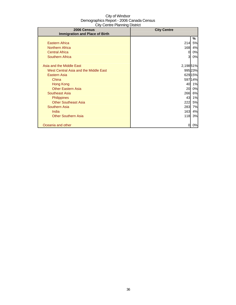| 2006 Census                           | <b>City Centre</b> |         |
|---------------------------------------|--------------------|---------|
| <b>Immigration and Place of Birth</b> |                    |         |
|                                       |                    | %       |
| <b>Eastern Africa</b>                 | 214                | 5%      |
| <b>Northern Africa</b>                | 168                | 4%      |
| <b>Central Africa</b>                 | 0                  | 0%      |
| <b>Southern Africa</b>                | 3                  | 0%      |
|                                       |                    |         |
| Asia and the Middle East              | 2,198 51%          |         |
| West Central Asia and the Middle East |                    | 995 23% |
| Eastern Asia                          |                    | 629 15% |
| China                                 |                    | 597 14% |
| Hong Kong                             | 40                 | 1%      |
| <b>Other Eastern Asia</b>             | 20                 | 0%      |
| Southeast Asia                        | 266                | 6%      |
| <b>Philippines</b>                    | 43                 | 1%      |
| <b>Other Southeast Asia</b>           | 222                | 5%      |
| <b>Southern Asia</b>                  | 283                | 7%      |
| India                                 | 163                | 4%      |
| <b>Other Southern Asia</b>            | 118                | 3%      |
|                                       |                    |         |
| Oceania and other                     | 0                  | 0%      |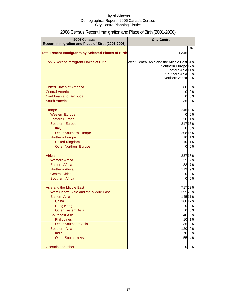| 2006 Census<br>Recent Immigration and Place of Birth (2001-2006) | <b>City Centre</b>                        |          |
|------------------------------------------------------------------|-------------------------------------------|----------|
|                                                                  |                                           | $\%$     |
| <b>Total Recent Immigrants by Selected Places of Birth</b>       | 1,345                                     |          |
| Top 5 Recent Immigrant Places of Birth                           | West Central Asia and the Middle East 31% |          |
|                                                                  | Southern Europe <sup>17%</sup>            |          |
|                                                                  | Eastern Asia 11%<br>Southern Asia         | 9%       |
|                                                                  | Northern Africa                           | 9%       |
| <b>United States of America</b>                                  | 80                                        | 6%       |
| <b>Central America</b>                                           | $\overline{0}$                            | 0%       |
| Caribbean and Bermuda                                            | $\overline{0}$                            | 0%       |
| <b>South America</b>                                             | 35                                        | 3%       |
| Europe                                                           |                                           | 245 18%  |
| <b>Western Europe</b>                                            | $\overline{0}$                            | 0%       |
| <b>Eastern Europe</b>                                            | 20                                        | 1%       |
| <b>Southern Europe</b>                                           |                                           | 217 16%  |
| Italy                                                            | 0                                         | 0%       |
| <b>Other Southern Europe</b>                                     |                                           | 208 15%  |
| <b>Northern Europe</b>                                           | 10                                        | 1%       |
| <b>United Kingdom</b>                                            | 10                                        | 1%       |
| <b>Other Northern Europe</b>                                     | $\overline{0}$                            | 0%       |
| Africa                                                           |                                           | 237 18%  |
| <b>Western Africa</b>                                            | 25                                        | 2%       |
| <b>Eastern Africa</b>                                            | 88                                        | 7%       |
| <b>Northern Africa</b>                                           | 119                                       | 9%       |
| <b>Central Africa</b>                                            | $\overline{0}$                            | 0%       |
| <b>Southern Africa</b>                                           | $\Omega$                                  | 0%       |
| Asia and the Middle East                                         |                                           | 71753%   |
| West Central Asia and the Middle East                            |                                           | 395 29%  |
| Eastern Asia                                                     |                                           | 145 11%  |
| China                                                            |                                           | 160 12%  |
| <b>Hong Kong</b>                                                 | 0                                         | 0%       |
| <b>Other Eastern Asia</b>                                        | <sub>O</sub>                              | 0%       |
| <b>Southeast Asia</b>                                            | 40                                        | 3%       |
| Philippines                                                      | 10                                        | 1%       |
| <b>Other Southeast Asia</b>                                      | 35                                        | 3%       |
| Southern Asia<br>India                                           | 120<br>70                                 | 9%<br>5% |
| <b>Other Southern Asia</b>                                       | 55                                        | 4%       |
|                                                                  |                                           |          |
| Oceania and other                                                | 0                                         | 0%       |

# 2006 Census Recent Immigration and Place of Birth (2001-2006)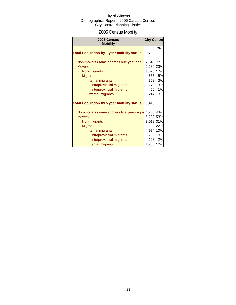# 2006 Census Mobility

| 2006 Census<br><b>Mobility</b>                                                                                                                                                                        | <b>City Centre</b>                                                                 |                                   |
|-------------------------------------------------------------------------------------------------------------------------------------------------------------------------------------------------------|------------------------------------------------------------------------------------|-----------------------------------|
| <b>Total Population by 1 year mobility status</b>                                                                                                                                                     | 9,783                                                                              | %                                 |
| Non-movers (same address one year ago)<br><b>Movers</b><br>Non-migrants<br><b>Migrants</b><br>Internal migrants<br>Intraprovincial migrants<br>Interprovincial migrants<br><b>External migrants</b>   | 7,546 77%<br>2,236 23%<br>1,678<br>535<br>308<br>279<br>50<br>247                  | 17%<br>5%<br>3%<br>3%<br>1%<br>3% |
| <b>Total Population by 5 year mobility status</b>                                                                                                                                                     | 9,413                                                                              |                                   |
| Non-movers (same address five years ago)<br><b>Movers</b><br>Non-migrants<br><b>Migrants</b><br>Internal migrants<br>Intraprovincial migrants<br>Interprovincial migrants<br><b>External migrants</b> | 4,208 43%<br>5,208 53%<br>3,018 31%<br>2,190 22%<br>974<br>796<br>163<br>1,203 12% | 10%<br>8%<br>2%                   |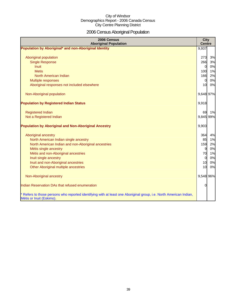# 2006 Census Aboriginal Population

| 2006 Census<br><b>Aboriginal Population</b>                                                                                                    | <b>City</b><br><b>Centre</b> |    |
|------------------------------------------------------------------------------------------------------------------------------------------------|------------------------------|----|
| Population by Aboriginal* and non-Aboriginal Identity                                                                                          | 9,937                        |    |
| Aboriginal population                                                                                                                          | 273                          | 3% |
| <b>Single Response</b>                                                                                                                         | 266                          | 3% |
| Inuit                                                                                                                                          | $\overline{0}$               | 0% |
| <b>Metis</b>                                                                                                                                   | 100                          | 1% |
| North American Indian                                                                                                                          | 166                          | 2% |
| Multiple responses                                                                                                                             | $\overline{0}$               | 0% |
| Aboriginal responses not included elsewhere                                                                                                    | 10                           | 0% |
| Non-Aboriginal population                                                                                                                      | 9,648 97%                    |    |
| <b>Population by Registered Indian Status</b>                                                                                                  | 9,918                        |    |
| <b>Registered Indian</b>                                                                                                                       | 69                           | 1% |
| Not a Registered Indian                                                                                                                        | 9,845 99%                    |    |
| <b>Population by Aboriginal and Non-Aboriginal Ancestry</b>                                                                                    | 9,903                        |    |
| Aboriginal ancestry                                                                                                                            | 364                          | 4% |
| North American Indian single ancestry                                                                                                          | 85                           | 1% |
| North American Indian and non-Aboriginal ancestries                                                                                            | 159                          | 2% |
| Métis single ancestry                                                                                                                          | 9                            | 0% |
| Métis and non-Aboriginal ancestries                                                                                                            | 70                           | 1% |
| Inuit single ancestry                                                                                                                          | $\overline{0}$               | 0% |
| Inuit and non-Aboriginal ancestries                                                                                                            | 10                           | 0% |
| Other Aboriginal multiple ancestries                                                                                                           | 10                           | 0% |
| Non-Aboriginal ancestry                                                                                                                        | 9,548 96%                    |    |
| Indian Reservation DAs that refused enumeration                                                                                                | O                            |    |
| * Refers to those persons who reported identifying with at least one Aboriginal group, i.e. North American Indian,<br>Métis or Inuit (Eskimo). |                              |    |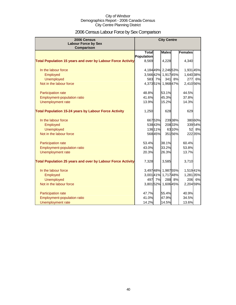# 2006 Census Labour Force by Sex Comparison

| 2006 Census                                                        | <b>City Centre</b> |         |                     |         |                |         |
|--------------------------------------------------------------------|--------------------|---------|---------------------|---------|----------------|---------|
| <b>Labour Force by Sex</b><br>Comparison                           |                    |         |                     |         |                |         |
|                                                                    | <b>Total</b>       |         | <b>Males</b>        |         | <b>Females</b> |         |
|                                                                    | <b>Population</b>  |         |                     |         |                |         |
| <b>Total Population 15 years and over by Labour Force Activity</b> | 8,569              |         | 4,228               |         | 4,340          |         |
| In the labour force                                                |                    |         | 4,18449% 2,24653%   |         | 1,931 45%      |         |
| Employed                                                           |                    |         | 3,56642% 1,91745%   |         | 1,640 38%      |         |
| <b>Unemployed</b>                                                  | 583                | 7%      | 341                 | 8%      | 277            | 6%      |
| Not in the labour force                                            |                    |         | 4,37351% 1,96847%   |         | 2,410 56%      |         |
| Participation rate                                                 | 48.8%              |         | 53.1%               |         | 44.5%          |         |
| Employment-population ratio                                        | 41.6%              |         | 45.3%               |         | 37.8%          |         |
| Unemployment rate                                                  | 13.9%              |         | 15.2%               |         | 14.3%          |         |
| <b>Total Population 15-24 years by Labour Force Activity</b>       | 1,250              |         | 628                 |         | 629            |         |
| In the labour force                                                |                    | 66753%  |                     | 23938%  |                | 38060%  |
| Employed                                                           |                    | 53843%  |                     | 208 33% |                | 33954%  |
| <b>Unemployed</b>                                                  |                    | 136 11% |                     | 63 10%  | 52             | 8%      |
| Not in the labour force                                            |                    | 568 45% |                     | 35156%  |                | 222 35% |
| Participation rate                                                 | 53.4%              |         | 38.1%               |         | 60.4%          |         |
| Employment-population ratio                                        | 43.0%              |         | 33.2%               |         | 53.8%          |         |
| Unemployment rate                                                  | 20.3%              |         | 26.3%               |         | 13.7%          |         |
| <b>Total Population 25 years and over by Labour Force Activity</b> | 7,328              |         | 3,585               |         | 3,710          |         |
| In the labour force                                                |                    |         | 3,497 48% 1,987 55% |         | 1,51941%       |         |
| Employed                                                           |                    |         | 3,001 41% 1,717 48% |         | 1,281 35%      |         |
| <b>Unemployed</b>                                                  | 497                | 7%      |                     | 288 8%  |                | 206 6%  |
| Not in the labour force                                            |                    |         | 3,80152% 1,60645%   |         | 2,204 59%      |         |
| Participation rate                                                 | 47.7%              |         | 55.4%               |         | 40.9%          |         |
| <b>Employment-population ratio</b>                                 | 41.0%              |         | 47.9%               |         | 34.5%          |         |
| Unemployment rate                                                  | 14.2%              |         | 14.5%               |         | 13.6%          |         |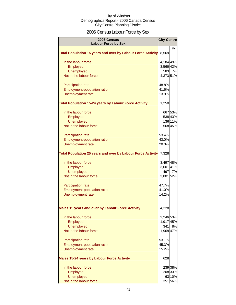# 2006 Census Labour Force by Sex

| 2006 Census<br><b>Labour Force by Sex</b>                          | <b>City Centre</b> |         |
|--------------------------------------------------------------------|--------------------|---------|
|                                                                    |                    | %       |
| <b>Total Population 15 years and over by Labour Force Activity</b> | 8,569              |         |
| In the labour force                                                | 4,184 49%          |         |
| Employed                                                           | 3,566 42%          |         |
| <b>Unemployed</b>                                                  | 583                | 7%      |
| Not in the labour force                                            | 4,373 51%          |         |
| Participation rate                                                 | 48.8%              |         |
| <b>Employment-population ratio</b>                                 | 41.6%              |         |
| Unemployment rate                                                  | 13.9%              |         |
| <b>Total Population 15-24 years by Labour Force Activity</b>       | 1,250              |         |
| In the labour force                                                |                    | 667 53% |
| Employed                                                           |                    | 538 43% |
| <b>Unemployed</b>                                                  |                    | 136 11% |
| Not in the labour force                                            |                    | 568 45% |
| Participation rate                                                 | 53.4%              |         |
| Employment-population ratio                                        | 43.0%              |         |
| Unemployment rate                                                  | 20.3%              |         |
| <b>Total Population 25 years and over by Labour Force Activity</b> | 7,328              |         |
| In the labour force                                                | 3,497 48%          |         |
| Employed                                                           | 3,001 41%          |         |
| <b>Unemployed</b>                                                  | 497                | 7%      |
| Not in the labour force                                            | 3,801 52%          |         |
| <b>Participation rate</b>                                          | 47.7%              |         |
| Employment-population ratio                                        | 41.0%              |         |
| Unemployment rate                                                  | 14.2%              |         |
| Males 15 years and over by Labour Force Activity                   | 4,228              |         |
| In the labour force                                                | 2,246 53%          |         |
| Employed                                                           | 1,917 45%          |         |
| <b>Unemployed</b>                                                  | 341                | 8%      |
| Not in the labour force                                            | 1,968 47%          |         |
| <b>Participation rate</b>                                          | 53.1%              |         |
| <b>Employment-population ratio</b>                                 | 45.3%              |         |
| Unemployment rate                                                  | 15.2%              |         |
| <b>Males 15-24 years by Labour Force Activity</b>                  | 628                |         |
| In the labour force                                                |                    | 239 38% |
| Employed                                                           |                    | 208 33% |
| <b>Unemployed</b>                                                  |                    | 63 10%  |
| Not in the labour force                                            |                    | 351 56% |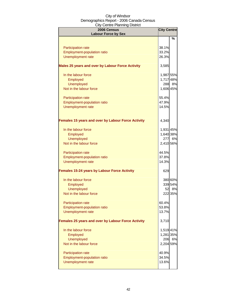| <b>2006 Census</b><br><b>Labour Force by Sex</b>          | <b>City Centre</b> |                  |
|-----------------------------------------------------------|--------------------|------------------|
|                                                           |                    | %                |
| <b>Participation rate</b>                                 | 38.1%              |                  |
| Employment-population ratio                               | 33.2%              |                  |
| Unemployment rate                                         | 26.3%              |                  |
| Males 25 years and over by Labour Force Activity          | 3,585              |                  |
| In the labour force                                       | 1,987 55%          |                  |
| Employed                                                  | 1,717 48%          |                  |
| <b>Unemployed</b>                                         |                    | 288 8%           |
| Not in the labour force                                   | 1,606 45%          |                  |
| <b>Participation rate</b>                                 | 55.4%              |                  |
| Employment-population ratio                               | 47.9%              |                  |
| Unemployment rate                                         | 14.5%              |                  |
| <b>Females 15 years and over by Labour Force Activity</b> | 4,340              |                  |
| In the labour force                                       | 1,931 45%          |                  |
| Employed                                                  | 1,640 38%          |                  |
| <b>Unemployed</b>                                         |                    | 277 6%           |
| Not in the labour force                                   | 2,410 56%          |                  |
| Participation rate                                        | 44.5%              |                  |
| Employment-population ratio                               | 37.8%              |                  |
| Unemployment rate                                         | 14.3%              |                  |
| <b>Females 15-24 years by Labour Force Activity</b>       | 629                |                  |
| In the labour force                                       |                    | 380 60%          |
| Employed                                                  |                    | 339 54%          |
| <b>Unemployed</b><br>Not in the labour force              |                    | 52 8%<br>222 35% |
|                                                           |                    |                  |
| <b>Participation rate</b>                                 | 60.4%              |                  |
| <b>Employment-population ratio</b>                        | 53.8%              |                  |
| Unemployment rate                                         | 13.7%              |                  |
| <b>Females 25 years and over by Labour Force Activity</b> | 3,710              |                  |
| In the labour force                                       | 1,519 41%          |                  |
| Employed                                                  | 1,281 35%          |                  |
| <b>Unemployed</b>                                         |                    | 206 6%           |
| Not in the labour force                                   | 2,204 59%          |                  |
| <b>Participation rate</b>                                 | 40.9%              |                  |
| Employment-population ratio                               | 34.5%              |                  |
| Unemployment rate                                         | 13.6%              |                  |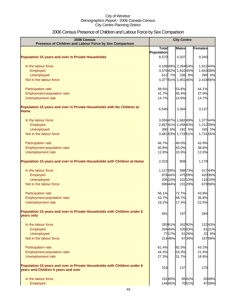# 2006 Census Presence of Children and Labour Force by Sex Comparison

| 2006 Census<br>Presence of Children and Labour Force by Sex Comparison                                          | <b>City Centre</b> |         |                     |         |           |
|-----------------------------------------------------------------------------------------------------------------|--------------------|---------|---------------------|---------|-----------|
|                                                                                                                 | <b>Total</b>       |         | <b>Males</b>        |         | Females   |
|                                                                                                                 | <b>Population</b>  |         |                     |         |           |
| <b>Population 15 years and over in Private Households</b>                                                       | 8,570              |         | 4,207               |         | 4,340     |
| In the labour force                                                                                             |                    |         | 4,16849% 2,26454%   |         | 1,91244%  |
| Employed                                                                                                        |                    |         | 3,57642% 1,91045%   |         | 1,643 38% |
| <b>Unemployed</b>                                                                                               |                    | 613 7%  |                     | 336 8%  | 280 6%    |
| Not in the labour force                                                                                         |                    |         | 4,37751% 1,95146%   |         | 2,418 56% |
| Participation rate                                                                                              | 48.6%              |         | 53.8%               |         | 44.1%     |
| Employment-population ratio                                                                                     | 41.7%              |         | 45.4%               |         | 37.9%     |
| Unemployment rate                                                                                               | 14.7%              |         | 14.9%               |         | 14.7%     |
| Population 15 years and over in Private Households with No Children at<br>Home                                  | 6,540              |         | 3,394               |         | 3,137     |
| In the labour force                                                                                             |                    |         | 3,05647% 1,66249%   |         | 1,37744%  |
| Employed                                                                                                        |                    |         | 2,66741% 1,45843%   |         | 1,212 39% |
| <b>Unemployed</b>                                                                                               |                    | 390 6%  |                     | 182 5%  | 165 5%    |
| Not in the labour force                                                                                         |                    |         | 3,481 53% 1,719 51% |         | 1,73155%  |
|                                                                                                                 |                    |         |                     |         |           |
| Participation rate                                                                                              | 46.7%              |         | 49.0%               |         | 43.9%     |
| Employment-population ratio                                                                                     | 40.8%              |         | 43.0%               |         | 38.6%     |
| <b>Unemployment rate</b>                                                                                        | 12.8%              |         | 10.9%               |         | 12.0%     |
| Population 15 years and over in Private Households with Children at Home                                        | 2,010              |         | 808                 |         | 1,179     |
| In the labour force                                                                                             | 1,12756%           |         |                     | 588 73% | 51744%    |
| Employed                                                                                                        |                    | 87844%  |                     | 47559%  | 420 36%   |
| <b>Unemployed</b>                                                                                               |                    | 206 10% |                     | 102 13% | 116 10%   |
| Not in the labour force                                                                                         |                    | 890 44% |                     | 231 29% | 67958%    |
| Participation rate                                                                                              | 56.1%              |         | 72.7%               |         | 43.9%     |
| Employment-population ratio                                                                                     | 43.7%              |         | 58.7%               |         | 35.6%     |
| Unemployment rate                                                                                               | 18.2%              |         | 17.3%               |         | 22.5%     |
| Population 15 years and over in Private Households with Children under 6<br>years only                          | 461                |         | 197                 |         | 284       |
| In the labour force                                                                                             |                    | 28361%  |                     | 16282%  | 12243%    |
| Employed                                                                                                        |                    | 20444%  |                     | 10553%  | 6121%     |
| Unemployed                                                                                                      |                    | 77 17%  |                     | 5126%   | 23 8%     |
| Not in the labour force                                                                                         |                    | 21446%  |                     | 6734%   | 16759%    |
| Participation rate                                                                                              | 61.4%              |         | 82.3%               |         | 43.2%     |
| Employment-population ratio                                                                                     | 44.3%              |         | 53.3%               |         | 21.5%     |
| Unemployment rate                                                                                               | 27.3%              |         | 31.7%               |         | 18.9%     |
| Population 15 years and over in Private Households with Children under 6<br>years and Children 6 years and over | 318                |         | 137                 |         | 170       |
|                                                                                                                 |                    |         |                     |         |           |
| In the labour force                                                                                             |                    | 19160%  |                     | 8562%   | 8349%     |
| Employed                                                                                                        |                    | 14445%  |                     | 7051%   | 6739%     |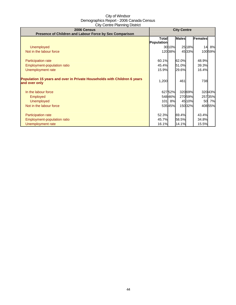| 2006 Census<br>Presence of Children and Labour Force by Sex Comparison                    | <b>City Centre</b> |        |              |         |         |         |
|-------------------------------------------------------------------------------------------|--------------------|--------|--------------|---------|---------|---------|
|                                                                                           | <b>Total</b>       |        | <b>Males</b> |         | Females |         |
| <b>Unemployed</b>                                                                         | Population         | 30 10% |              | 2518%   | 14      | 8%      |
| Not in the labour force                                                                   |                    | 12038% |              | 4533%   |         | 100 59% |
|                                                                                           |                    |        |              |         |         |         |
| <b>Participation rate</b>                                                                 | 60.1%              |        | 62.0%        |         | 48.9%   |         |
| Employment-population ratio                                                               | 45.4%              |        | 51.0%        |         | 39.3%   |         |
| Unemployment rate                                                                         | 15.9%              |        | 29.6%        |         | 16.4%   |         |
| Population 15 years and over in Private Households with Children 6 years<br>and over only | 1,200              |        | 461          |         | 738     |         |
| In the labour force                                                                       |                    | 62752% |              | 320 69% |         | 32043%  |
| <b>Employed</b>                                                                           |                    | 54846% |              | 27059%  |         | 257 35% |
| <b>Unemployed</b>                                                                         |                    | 101 8% |              | 4510%   |         | 50 7%   |
| Not in the labour force                                                                   |                    | 53545% |              | 15032%  |         | 408 55% |
|                                                                                           |                    |        |              |         |         |         |
| Participation rate                                                                        | 52.3%              |        | 69.4%        |         | 43.4%   |         |
| Employment-population ratio                                                               | 45.7%              |        | 58.5%        |         | 34.8%   |         |
| Unemployment rate                                                                         | 16.1%              |        | 14.1%        |         | 15.5%   |         |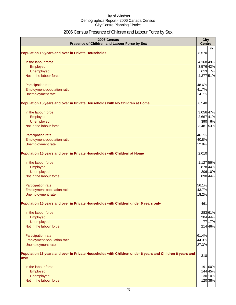# 2006 Census Presence of Children and Labour Force by Sex

| 2006 Census<br>Presence of Children and Labour Force by Sex                                                     | <b>City</b><br><b>Centre</b> |         |
|-----------------------------------------------------------------------------------------------------------------|------------------------------|---------|
| <b>Population 15 years and over in Private Households</b>                                                       | 8,570                        | %       |
| In the labour force                                                                                             | 4,168 49%                    |         |
| Employed                                                                                                        | 3,576 42%                    |         |
| Unemployed                                                                                                      |                              | 613 7%  |
| Not in the labour force                                                                                         | 4,377 51%                    |         |
| Participation rate                                                                                              | 48.6%                        |         |
| Employment-population ratio                                                                                     | 41.7%                        |         |
| Unemployment rate                                                                                               | 14.7%                        |         |
| Population 15 years and over in Private Households with No Children at Home                                     | 6,540                        |         |
| In the labour force                                                                                             | 3,056 47%                    |         |
| Employed                                                                                                        | 2,667 41%                    |         |
| Unemployed                                                                                                      |                              | 390 6%  |
| Not in the labour force                                                                                         | 3,481 53%                    |         |
| Participation rate                                                                                              | 46.7%                        |         |
| Employment-population ratio                                                                                     | 40.8%                        |         |
| Unemployment rate                                                                                               | 12.8%                        |         |
| Population 15 years and over in Private Households with Children at Home                                        | 2,010                        |         |
| In the labour force                                                                                             | 1,127 56%                    |         |
| Employed                                                                                                        |                              | 878 44% |
| Unemployed                                                                                                      |                              | 206 10% |
| Not in the labour force                                                                                         |                              | 890 44% |
| Participation rate                                                                                              | 56.1%                        |         |
| Employment-population ratio                                                                                     | 43.7%                        |         |
| Unemployment rate                                                                                               | 18.2%                        |         |
| Population 15 years and over in Private Households with Children under 6 years only                             | 461                          |         |
| In the labour force                                                                                             |                              | 283 61% |
| Employed                                                                                                        |                              | 204 44% |
| Unemployed                                                                                                      |                              | 77 17%  |
| Not in the labour force                                                                                         |                              | 214 46% |
| <b>Participation rate</b>                                                                                       | 61.4%                        |         |
| Employment-population ratio                                                                                     | 44.3%                        |         |
| Unemployment rate                                                                                               | 27.3%                        |         |
| Population 15 years and over in Private Households with Children under 6 years and Children 6 years and<br>over | 318                          |         |
| In the labour force                                                                                             |                              | 191 60% |
| Employed                                                                                                        |                              | 144 45% |
| Unemployed                                                                                                      |                              | 30 10%  |
| Not in the labour force                                                                                         |                              | 120 38% |
|                                                                                                                 |                              |         |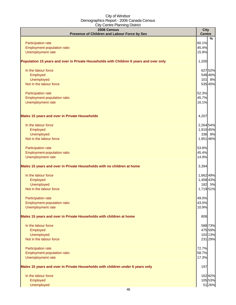| $50.0001$ $\mu$ $\mu$ $\mu$ $\mu$ $\mu$ $\sigma$<br>2006 Census                        | <b>City</b>    |         |
|----------------------------------------------------------------------------------------|----------------|---------|
| Presence of Children and Labour Force by Sex                                           | <b>Centre</b>  |         |
|                                                                                        |                | %       |
| Participation rate                                                                     | 60.1%<br>45.4% |         |
| Employment-population ratio<br>Unemployment rate                                       | 15.9%          |         |
|                                                                                        |                |         |
| Population 15 years and over in Private Households with Children 6 years and over only | 1,200          |         |
| In the labour force                                                                    |                | 627 52% |
| Employed                                                                               |                | 548 46% |
| Unemployed                                                                             |                | 101 8%  |
| Not in the labour force                                                                |                | 535 45% |
| Participation rate                                                                     | 52.3%          |         |
| Employment-population ratio                                                            | 45.7%          |         |
| Unemployment rate                                                                      | 16.1%          |         |
|                                                                                        |                |         |
| <b>Males 15 years and over in Private Households</b>                                   | 4,207          |         |
| In the labour force                                                                    | 2,264 54%      |         |
| Employed                                                                               | 1,910 45%      |         |
| Unemployed                                                                             |                | 336 8%  |
| Not in the labour force                                                                | 1,951 46%      |         |
|                                                                                        |                |         |
| Participation rate                                                                     | 53.8%          |         |
| Employment-population ratio                                                            | 45.4%          |         |
| Unemployment rate                                                                      | 14.9%          |         |
| Males 15 years and over in Private Households with no children at home                 | 3,394          |         |
| In the labour force                                                                    | 1,662 49%      |         |
| Employed                                                                               | 1,458 43%      |         |
| Unemployed                                                                             |                | 182 5%  |
| Not in the labour force                                                                | 1,719 51%      |         |
|                                                                                        |                |         |
| <b>Participation rate</b>                                                              | 49.0%          |         |
| Employment-population ratio                                                            | 43.0%          |         |
| Unemployment rate                                                                      | 10.9%          |         |
| Males 15 years and over in Private Households with children at home                    | 808            |         |
| In the labour force                                                                    |                | 588 73% |
| Employed                                                                               |                | 475 59% |
| Unemployed                                                                             |                | 102 13% |
| Not in the labour force                                                                |                | 231 29% |
| Participation rate                                                                     | 72.7%          |         |
| Employment-population ratio                                                            | 58.7%          |         |
| Unemployment rate                                                                      | 17.3%          |         |
| Males 15 years and over in Private Households with children under 6 years only         | 197            |         |
| In the labour force                                                                    |                | 162 82% |
| Employed                                                                               |                | 105 53% |
| Unemployed                                                                             |                | 51 26%  |
|                                                                                        |                |         |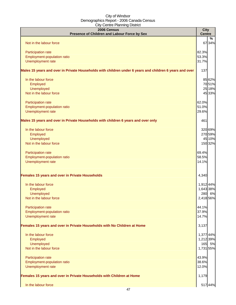| $50.160 + 10.111119 = 10.1101$<br>2006 Census                                                           | <b>City</b>   |                    |
|---------------------------------------------------------------------------------------------------------|---------------|--------------------|
| Presence of Children and Labour Force by Sex                                                            | <b>Centre</b> |                    |
|                                                                                                         |               | %                  |
| Not in the labour force                                                                                 |               | 67 34%             |
| Participation rate                                                                                      | 82.3%         |                    |
| Employment-population ratio                                                                             | 53.3%         |                    |
| Unemployment rate                                                                                       | 31.7%         |                    |
| Males 15 years and over in Private Households with children under 6 years and children 6 years and over | 137           |                    |
|                                                                                                         |               |                    |
| In the labour force                                                                                     |               | 85 62%             |
| Employed                                                                                                |               | 70 51%             |
| Unemployed<br>Not in the labour force                                                                   |               | 25 18%<br>45 33%   |
|                                                                                                         |               |                    |
| Participation rate                                                                                      | 62.0%         |                    |
| Employment-population ratio                                                                             | 51.0%         |                    |
| Unemployment rate                                                                                       | 29.6%         |                    |
| Males 15 years and over in Private Households with children 6 years and over only                       | 461           |                    |
|                                                                                                         |               |                    |
| In the labour force                                                                                     |               | 320 69%<br>270 59% |
| Employed<br>Unemployed                                                                                  |               | 45 10%             |
| Not in the labour force                                                                                 |               | 150 32%            |
|                                                                                                         |               |                    |
| Participation rate                                                                                      | 69.4%         |                    |
| Employment-population ratio                                                                             | 58.5%         |                    |
| Unemployment rate                                                                                       | 14.1%         |                    |
| Females 15 years and over in Private Households                                                         | 4,340         |                    |
| In the labour force                                                                                     | 1,912 44%     |                    |
| Employed                                                                                                | 1,643 38%     |                    |
| Unemployed                                                                                              |               | 280 6%             |
| Not in the labour force                                                                                 | 2,418 56%     |                    |
| Participation rate                                                                                      | 44.1%         |                    |
| Employment-population ratio                                                                             | 37.9%         |                    |
| Unemployment rate                                                                                       | 14.7%         |                    |
| Females 15 years and over in Private Households with No Children at Home                                | 3,137         |                    |
|                                                                                                         |               |                    |
| In the labour force                                                                                     | 1,377 44%     |                    |
| Employed                                                                                                | 1,212 39%     |                    |
| Unemployed<br>Not in the labour force                                                                   |               | 165 5%             |
|                                                                                                         | 1,731 55%     |                    |
| Participation rate                                                                                      | 43.9%         |                    |
| Employment-population ratio                                                                             | 38.6%         |                    |
| Unemployment rate                                                                                       | 12.0%         |                    |
| Females 15 years and over in Private Households with Children at Home                                   | 1,179         |                    |
| In the labour force                                                                                     |               | 517 44%            |
| $\overline{17}$                                                                                         |               |                    |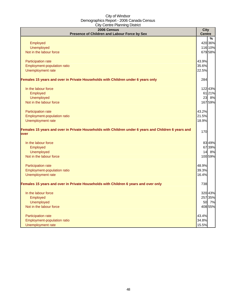| 2006 Census<br>Presence of Children and Labour Force by Sex                                                  | <b>City</b><br><b>Centre</b> |                    |
|--------------------------------------------------------------------------------------------------------------|------------------------------|--------------------|
|                                                                                                              |                              | %                  |
| Employed                                                                                                     |                              | 420 36%            |
| <b>Unemployed</b>                                                                                            |                              | 116 10%<br>679 58% |
| Not in the labour force                                                                                      |                              |                    |
| Participation rate                                                                                           | 43.9%                        |                    |
| Employment-population ratio                                                                                  | 35.6%                        |                    |
| Unemployment rate                                                                                            | 22.5%                        |                    |
| Females 15 years and over in Private Households with Children under 6 years only                             | 284                          |                    |
| In the labour force                                                                                          |                              | 122 43%            |
| Employed                                                                                                     |                              | 61 21%             |
| <b>Unemployed</b>                                                                                            |                              | 23 8%              |
| Not in the labour force                                                                                      |                              | 167 59%            |
| Participation rate                                                                                           | 43.2%                        |                    |
| Employment-population ratio                                                                                  | 21.5%                        |                    |
| Unemployment rate                                                                                            | 18.9%                        |                    |
| Females 15 years and over in Private Households with Children under 6 years and Children 6 years and<br>over | 170                          |                    |
| In the labour force                                                                                          |                              | 83 49%             |
| Employed                                                                                                     |                              | 67 39%             |
| <b>Unemployed</b>                                                                                            |                              | 14 8%              |
| Not in the labour force                                                                                      |                              | 100 59%            |
| Participation rate                                                                                           | 48.9%                        |                    |
| Employment-population ratio                                                                                  | 39.3%                        |                    |
| Unemployment rate                                                                                            | 16.4%                        |                    |
| Females 15 years and over in Private Households with Children 6 years and over only                          | 738                          |                    |
| In the labour force                                                                                          |                              | 320 43%            |
| Employed                                                                                                     |                              | 257 35%            |
| <b>Unemployed</b>                                                                                            |                              | 50 7%              |
| Not in the labour force                                                                                      |                              | 408 55%            |
| Participation rate                                                                                           | 43.4%                        |                    |
| Employment-population ratio                                                                                  | 34.8%                        |                    |
| Unemployment rate                                                                                            | 15.5%                        |                    |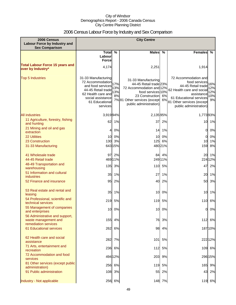# 2006 Census Labour Force by Industry and Sex Comparison

| 2006 Census<br><b>Labour Force by Industry and</b><br><b>Sex Comparison</b>    | <b>City Centre</b>                                                                                                                                          |                         |                                                                                                                                                                               |                  |                                                                                                                                                                                         |                                |
|--------------------------------------------------------------------------------|-------------------------------------------------------------------------------------------------------------------------------------------------------------|-------------------------|-------------------------------------------------------------------------------------------------------------------------------------------------------------------------------|------------------|-----------------------------------------------------------------------------------------------------------------------------------------------------------------------------------------|--------------------------------|
|                                                                                | Total %<br>Labour<br><b>Force</b>                                                                                                                           |                         | Males %                                                                                                                                                                       |                  | <b>Females</b>                                                                                                                                                                          | %                              |
| <b>Total Labour Force 15 years and</b><br>over by Industry*                    | 4,174                                                                                                                                                       |                         | 2,251                                                                                                                                                                         |                  | 1,914                                                                                                                                                                                   |                                |
| <b>Top 5 Industries</b>                                                        | 31-33 Manufacturing<br>72 Accommodation<br>and food services<br>44-45 Retail trade<br>62 Health care and<br>social assistance<br>61 Educational<br>services | 17%<br>13%<br>13%<br>8% | 31-33 Manufacturing<br>44-45 Retail trade 23%<br>72 Accommodation and 12%<br>food services 10%<br>23 Construction 6%<br>7%81 Other services (except<br>public administration) | 6%               | 72 Accommodation and<br>food services<br>44-45 Retail trade<br>62 Health care and socia<br>assistance<br>61 Educational services<br>81 Other services (except<br>public administration) | 16%<br>12%<br>12%<br>10%<br>9% |
| <b>All industries</b>                                                          | 3,91994%                                                                                                                                                    |                         | 2,135 95%                                                                                                                                                                     |                  | 1,77393%                                                                                                                                                                                |                                |
| 11 Agriculture, forestry, fishing<br>and hunting                               | 62                                                                                                                                                          | 1%                      | 37                                                                                                                                                                            | 2%               |                                                                                                                                                                                         | 10 1%                          |
| 21 Mining and oil and gas<br>extraction                                        | 4                                                                                                                                                           | 0%                      | 14                                                                                                                                                                            | 1%               | 0                                                                                                                                                                                       | 0%                             |
| <b>22 Utilities</b>                                                            | 10                                                                                                                                                          | 0%                      |                                                                                                                                                                               | 10 0%            | 0                                                                                                                                                                                       | 0%                             |
| 23 Construction<br>31-33 Manufacturing                                         | 130                                                                                                                                                         | 3%<br>643 15%           |                                                                                                                                                                               | 125 6%<br>48021% | 10<br>159                                                                                                                                                                               | 1%<br>8%                       |
| 41 Wholesale trade<br>44-45 Retail trade                                       | 97                                                                                                                                                          | 2%<br>46911%            |                                                                                                                                                                               | 84 4%<br>249 11% | 20                                                                                                                                                                                      | 1%<br>224 12%                  |
| 48-49 Transportation and<br>warehousing                                        | 135                                                                                                                                                         | 3%                      |                                                                                                                                                                               | 110 5%           | 47                                                                                                                                                                                      | 2%                             |
| 51 Information and cultural<br><b>industries</b>                               | 35                                                                                                                                                          | 1%                      | 27                                                                                                                                                                            | 1%               | 20                                                                                                                                                                                      | 1%                             |
| 52 Finance and insurance                                                       | 95                                                                                                                                                          | 2%                      |                                                                                                                                                                               | 40 2%            | 50                                                                                                                                                                                      | 3%                             |
| 53 Real estate and rental and<br>leasing                                       | 35                                                                                                                                                          | 1%                      | 10                                                                                                                                                                            | 0%               | 10                                                                                                                                                                                      | 1%                             |
| 54 Professional, scientific and<br>technical services                          | 219                                                                                                                                                         | 5%                      | 119                                                                                                                                                                           | 5%               |                                                                                                                                                                                         | 110 6%                         |
| 55 Management of companies<br>and enterprises                                  |                                                                                                                                                             | 10 0%                   |                                                                                                                                                                               | 10 0%            |                                                                                                                                                                                         | $0\,0\%$                       |
| 56 Administrative and support,<br>waste management and<br>remediation services | 155                                                                                                                                                         | 4%                      |                                                                                                                                                                               | 76 3%            |                                                                                                                                                                                         | 112 6%                         |
| <b>61 Educational services</b>                                                 | 262                                                                                                                                                         | 6%                      |                                                                                                                                                                               | 98 4%            |                                                                                                                                                                                         | 18710%                         |
| 62 Health care and social<br>assistance                                        |                                                                                                                                                             | 282 7%                  | $101$                                                                                                                                                                         | 5%               |                                                                                                                                                                                         | 22212%                         |
| 71 Arts, entertainment and<br>recreation                                       |                                                                                                                                                             | 236 6%                  |                                                                                                                                                                               | 112 5%           |                                                                                                                                                                                         | 109 6%                         |
| 72 Accommodation and food<br>services                                          |                                                                                                                                                             | 494 12%                 |                                                                                                                                                                               | 203 9%           |                                                                                                                                                                                         | 296 15%                        |
| 81 Other services (except public<br>administration)                            |                                                                                                                                                             | 256 6%                  |                                                                                                                                                                               | 119 5%           |                                                                                                                                                                                         | 165 9%                         |
| 91 Public administration                                                       |                                                                                                                                                             | 108 3%                  |                                                                                                                                                                               | 55 2%            |                                                                                                                                                                                         | 43 2%                          |
| Industry - Not applicable                                                      |                                                                                                                                                             | 256 6%                  |                                                                                                                                                                               | 148 7%           |                                                                                                                                                                                         | 119 6%                         |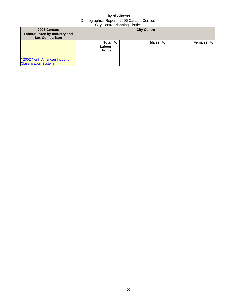| 2006 Census<br>Labour Force by Industry and<br><b>Sex Comparison</b> | <b>City Centre</b>                  |  |              |   |           |  |
|----------------------------------------------------------------------|-------------------------------------|--|--------------|---|-----------|--|
| * 2002 North American Industry<br><b>Classification System</b>       | Total %<br>Labourl<br><b>Forcel</b> |  | <b>Males</b> | % | Females % |  |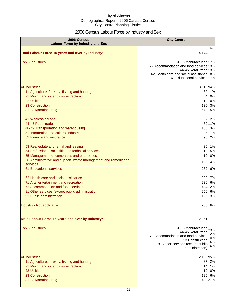# 2006 Census Labour Force by Industry and Sex

| 2006 Census<br><b>Labour Force by Industry and Sex</b>                                                                                                                                                                         | <b>City Centre</b>                                                                                                                                                                         |
|--------------------------------------------------------------------------------------------------------------------------------------------------------------------------------------------------------------------------------|--------------------------------------------------------------------------------------------------------------------------------------------------------------------------------------------|
| Total Labour Force 15 years and over by Industry*                                                                                                                                                                              | %<br>4,174                                                                                                                                                                                 |
| <b>Top 5 Industries</b>                                                                                                                                                                                                        | 31-33 Manufacturing 17%<br>72 Accommodation and food services 13%<br>44-45 Retail trade 13%<br>62 Health care and social assistance 8%<br>61 Educational services 7%                       |
| All industries<br>11 Agriculture, forestry, fishing and hunting<br>21 Mining and oil and gas extraction<br>22 Utilities<br>23 Construction<br>31-33 Manufacturing<br>41 Wholesale trade<br>44-45 Retail trade                  | 3,91994%<br>62<br>1%<br>0%<br>4<br>10 0%<br>130 3%<br>643 15%<br>97 2%<br>469 11%                                                                                                          |
| 48-49 Transportation and warehousing<br>51 Information and cultural industries<br>52 Finance and insurance                                                                                                                     | 135 3%<br>35 1%<br>95 2%                                                                                                                                                                   |
| 53 Real estate and rental and leasing<br>54 Professional, scientific and technical services<br>55 Management of companies and enterprises<br>56 Administrative and support, waste management and remediation<br>services       | 35 1%<br>219 5%<br>0%<br>10<br>155<br>4%                                                                                                                                                   |
| 61 Educational services<br>62 Health care and social assistance<br>71 Arts, entertainment and recreation<br>72 Accommodation and food services<br>81 Other services (except public administration)<br>91 Public administration | 262<br>6%<br>282 7%<br>236<br>6%<br>494 12%<br>256 6%<br>108 3%                                                                                                                            |
| Industry - Not applicable<br>Male Labour Force 15 years and over by Industry*                                                                                                                                                  | 256 6%<br>2,251                                                                                                                                                                            |
| <b>Top 5 Industries</b>                                                                                                                                                                                                        | 31-33 Manufacturing<br>23%<br>44-45 Retail trade<br>12%<br>72 Accommodation and food services<br>10%<br>23 Construction<br>6%<br>81 Other services (except public<br>6%<br>administration) |
| <b>All industries</b><br>11 Agriculture, forestry, fishing and hunting<br>21 Mining and oil and gas extraction<br>22 Utilities<br>23 Construction<br>31-33 Manufacturing                                                       | 2,13595%<br>37 2%<br>14 1%<br>10 0%<br>125 6%<br>480 21%                                                                                                                                   |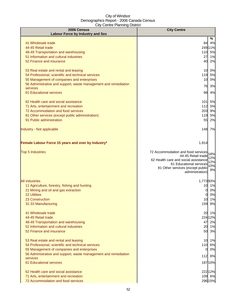| 2006 Census                                                                    | <b>City Centre</b>                                                     |  |
|--------------------------------------------------------------------------------|------------------------------------------------------------------------|--|
| <b>Labour Force by Industry and Sex</b>                                        | %                                                                      |  |
| 41 Wholesale trade                                                             | 4%<br>84                                                               |  |
| 44-45 Retail trade                                                             | 249 11%                                                                |  |
| 48-49 Transportation and warehousing                                           | 110 5%                                                                 |  |
| 51 Information and cultural industries                                         | 27<br>1%                                                               |  |
| 52 Finance and insurance                                                       | 2%<br>40                                                               |  |
|                                                                                |                                                                        |  |
| 53 Real estate and rental and leasing                                          | 10 0%                                                                  |  |
| 54 Professional, scientific and technical services                             | 119 5%                                                                 |  |
| 55 Management of companies and enterprises                                     | 0%<br>10                                                               |  |
| 56 Administrative and support, waste management and remediation<br>services    | 3%<br>76                                                               |  |
| 61 Educational services                                                        | 4%<br>98                                                               |  |
|                                                                                |                                                                        |  |
| 62 Health care and social assistance                                           | 101<br>5%                                                              |  |
| 71 Arts, entertainment and recreation                                          | 112<br>5%                                                              |  |
| 72 Accommodation and food services                                             | 203<br>9%                                                              |  |
| 81 Other services (except public administration)                               | 119<br>5%                                                              |  |
| 91 Public administration                                                       | 55<br>2%                                                               |  |
| Industry - Not applicable                                                      | 148 7%                                                                 |  |
| Female Labour Force 15 years and over by Industry*                             | 1,914                                                                  |  |
|                                                                                |                                                                        |  |
| <b>Top 5 Industries</b>                                                        | 72 Accommodation and food services<br>16%                              |  |
|                                                                                | 44-45 Retail trade<br>12%                                              |  |
|                                                                                | 62 Health care and social assistance<br>12%<br>61 Educational services |  |
|                                                                                | 10%<br>81 Other services (except public                                |  |
|                                                                                | 9%<br>administration)                                                  |  |
| <b>All industries</b>                                                          | 1,77393%                                                               |  |
| 11 Agriculture, forestry, fishing and hunting                                  | 1%<br>10                                                               |  |
| 21 Mining and oil and gas extraction                                           | 0%<br>01                                                               |  |
| <b>22 Utilities</b>                                                            | 0%<br>01                                                               |  |
| 23 Construction                                                                | 1%<br>10                                                               |  |
| 31-33 Manufacturing                                                            | 159 8%                                                                 |  |
|                                                                                |                                                                        |  |
| 41 Wholesale trade                                                             | 20 1%                                                                  |  |
| 44-45 Retail trade                                                             | 224 12%                                                                |  |
| 48-49 Transportation and warehousing<br>51 Information and cultural industries | 47 2%<br>20 1%                                                         |  |
| 52 Finance and insurance                                                       | 50 3%                                                                  |  |
|                                                                                |                                                                        |  |
| 53 Real estate and rental and leasing                                          | 10 1%                                                                  |  |
| 54 Professional, scientific and technical services                             | 110 6%                                                                 |  |
| 55 Management of companies and enterprises                                     | 0%<br>$\overline{0}$                                                   |  |
| 56 Administrative and support, waste management and remediation                | 112 6%                                                                 |  |
| services<br>61 Educational services                                            | 18710%                                                                 |  |
|                                                                                |                                                                        |  |
| 62 Health care and social assistance                                           | 222 12%                                                                |  |
| 71 Arts, entertainment and recreation                                          | 109 6%                                                                 |  |
| 72 Accommodation and food services                                             | 296 15%                                                                |  |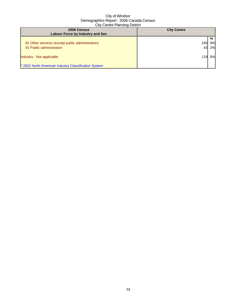| 2006 Census<br>Labour Force by Industry and Sex      | <b>City Centre</b> |    |  |  |  |
|------------------------------------------------------|--------------------|----|--|--|--|
|                                                      |                    | %  |  |  |  |
| 81 Other services (except public administration)     | 165                | 9% |  |  |  |
| 91 Public administration                             | 43                 | 2% |  |  |  |
| Industry - Not applicable                            |                    | 6% |  |  |  |
| * 2002 North American Industry Classification System |                    |    |  |  |  |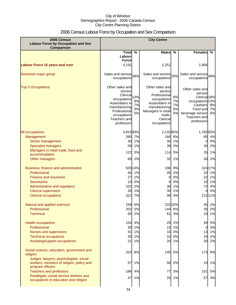# 2006 Census Labour Force by Occupation and Sex Comparison

| 2006 Census<br><b>Labour Force by Occupation and Sex</b><br><b>Comparison</b>                            | <b>City Centre</b>                                                                                                                                   |                             |                                                                                                                                                        |                            |                                                                                                                                                    |                |
|----------------------------------------------------------------------------------------------------------|------------------------------------------------------------------------------------------------------------------------------------------------------|-----------------------------|--------------------------------------------------------------------------------------------------------------------------------------------------------|----------------------------|----------------------------------------------------------------------------------------------------------------------------------------------------|----------------|
|                                                                                                          | Total                                                                                                                                                | $\%$                        | <b>Males</b>                                                                                                                                           | $\%$                       | <b>Females</b>                                                                                                                                     | %              |
|                                                                                                          | Labour<br><b>Force</b>                                                                                                                               |                             |                                                                                                                                                        |                            |                                                                                                                                                    |                |
| <b>Labour Force 15 years and over</b>                                                                    | 4,191                                                                                                                                                |                             | 2,251                                                                                                                                                  |                            | 1,906                                                                                                                                              |                |
| Dominant major group                                                                                     | Sales and service 38%<br>occupations                                                                                                                 |                             | Sales and service 29%<br>occupations                                                                                                                   |                            | Sales and service 49%<br>occupations                                                                                                               |                |
| <b>Top 5 Occupations</b>                                                                                 | Other sales and<br>service<br>Clerical<br>occupations<br>Assemblers in<br>manufacturing<br>Professional<br>occupations<br>Teachers and<br>professors | 13%<br>8%<br>7%<br>5%<br>5% | Other sales and<br>service<br>Professional<br>occupations<br>Assemblers in<br>manufacturing<br>Managers in retail<br>trade,<br>Clerical<br>occupations | 8%<br>7%<br>7%<br>6%<br>5% | Other sales and<br>service<br>Clerical <sub>18%</sub><br>occupations 13%<br>Cashiers<br>Food and<br>beverage service<br>Teachers and<br>professors | 8%<br>7%<br>6% |
| All occupations                                                                                          | 3,91593%                                                                                                                                             |                             | 2,13295%                                                                                                                                               |                            | 1,782 93%                                                                                                                                          |                |
| Management                                                                                               | 290                                                                                                                                                  | 7%                          | 184                                                                                                                                                    | 8%                         | 85                                                                                                                                                 | 4%             |
| Senior management                                                                                        | 30                                                                                                                                                   | 1%                          | 30                                                                                                                                                     | 1%                         | 0                                                                                                                                                  | 0%             |
| <b>Specialist managers</b>                                                                               | 59                                                                                                                                                   | 1%                          | 39                                                                                                                                                     | 2%                         | 30                                                                                                                                                 | 2%             |
| Managers in retail trade, food and                                                                       | 122                                                                                                                                                  | 3%                          | 114                                                                                                                                                    | 5%                         | 25                                                                                                                                                 | 1%             |
| accommodation                                                                                            |                                                                                                                                                      |                             |                                                                                                                                                        |                            |                                                                                                                                                    |                |
| Other managers                                                                                           | 69                                                                                                                                                   | 2%                          | 32                                                                                                                                                     | 1%                         | 30                                                                                                                                                 | 2%             |
| Business, finance and administrative<br>Professional                                                     | 40                                                                                                                                                   | 535 13%<br>1%               | 196<br>45                                                                                                                                              | 9%<br>2%                   | 10                                                                                                                                                 | 324 17%<br>1%  |
| Finance and insurance                                                                                    | 27                                                                                                                                                   | 1%                          | 0                                                                                                                                                      | 0%                         | 22                                                                                                                                                 | 1%             |
| Secretaries                                                                                              | 10                                                                                                                                                   | 0%                          | 0                                                                                                                                                      | 0%                         | 10                                                                                                                                                 | 1%             |
| Administrative and regulatory                                                                            | 102                                                                                                                                                  | 2%                          | 30                                                                                                                                                     | 1%                         | 72                                                                                                                                                 | 4%             |
| <b>Clerical supervisors</b>                                                                              | 30                                                                                                                                                   | 1%                          | 30                                                                                                                                                     | 1%                         | $\Omega$                                                                                                                                           | 0%             |
| <b>Clerical occupations</b>                                                                              | 312                                                                                                                                                  | 7%                          | 99                                                                                                                                                     | 4%                         |                                                                                                                                                    | 212 11%        |
| Natural and applied sciences                                                                             | 249                                                                                                                                                  | 6%                          |                                                                                                                                                        | 222 10%                    |                                                                                                                                                    | 45 2%          |
| Professional                                                                                             | 202                                                                                                                                                  | 5%                          | 144                                                                                                                                                    | 6%                         | 351                                                                                                                                                | 2%             |
| <b>Technical</b>                                                                                         | 65                                                                                                                                                   | 2%                          | 61                                                                                                                                                     | 3%                         |                                                                                                                                                    | 10 1%          |
| <b>Health occupations</b>                                                                                |                                                                                                                                                      | 154 4%                      | 25                                                                                                                                                     | 1%                         | 94                                                                                                                                                 | 5%             |
| Professional                                                                                             | 30                                                                                                                                                   | 1%                          | 15                                                                                                                                                     | 1%                         | $\overline{0}$                                                                                                                                     | 0%             |
| Nurses and supervisors                                                                                   | 61                                                                                                                                                   | 1%                          | 10                                                                                                                                                     | 0%                         |                                                                                                                                                    | 13 1%          |
| <b>Technical occupations</b>                                                                             | 30                                                                                                                                                   | 1%                          | 10                                                                                                                                                     | 0%                         | 24                                                                                                                                                 | 1%             |
| Assisting/support occupations                                                                            | 21                                                                                                                                                   | 1%                          | 20                                                                                                                                                     | 1%                         | 30                                                                                                                                                 | 2%             |
| Social science, education, government and<br>religion                                                    |                                                                                                                                                      | 315 8%                      | 140                                                                                                                                                    | 6%                         | 173                                                                                                                                                | 9%             |
| Judges, lawyers, psychologists, social<br>workers, ministers of religion, policy and<br>program officers | 57                                                                                                                                                   | 1%                          | 50                                                                                                                                                     | 2%                         | 10                                                                                                                                                 | 1%             |
| <b>Teachers and professors</b>                                                                           | 186                                                                                                                                                  | 4%                          | 77                                                                                                                                                     | 3%                         | 101                                                                                                                                                | 5%             |
| Paralegals, social service workers and<br>occupations in education and religion                          | 47                                                                                                                                                   | 1%                          | 25                                                                                                                                                     | 1%                         | 57                                                                                                                                                 | 3%             |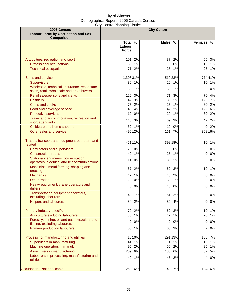| 2006 Census<br><b>Labour Force by Occupation and Sex</b><br><b>Comparison</b>                                               |                                   |                    | <b>City Centre</b> |                |                                |                |
|-----------------------------------------------------------------------------------------------------------------------------|-----------------------------------|--------------------|--------------------|----------------|--------------------------------|----------------|
|                                                                                                                             | Total %<br>Labour<br><b>Force</b> |                    | <b>Males</b>       | $\frac{0}{0}$  | <b>Females</b>                 | %              |
| Art, culture, recreation and sport<br><b>Professional occupations</b><br><b>Technical occupations</b>                       | 101<br>38<br>71                   | 2%<br>1%<br>2%     | 37<br>10<br>25     | 2%<br>0%<br>1% | 55<br>15<br>25                 | 3%<br>1%<br>1% |
| Sales and service<br><b>Supervisors</b>                                                                                     | 1,308 31%<br>30                   | 1%                 | 20                 | 51923%<br>1%   | 10                             | 77441%<br>1%   |
| Wholesale, technical, insurance, real estate<br>sales, retail, wholesale and grain buyers<br>Retail salespersons and clerks | 30<br>126                         | 1%<br>3%           | 30<br>71           | 1%<br>3%       | $\mathbf{0}$<br>70             | 0%<br>4%       |
| <b>Cashiers</b><br>Chefs and cooks<br>Food and beverage service                                                             | 142<br>75                         | 3%<br>2%<br>148 4% | 30<br>25<br>42     | 1%<br>1%<br>2% | 129<br>30<br>122               | 7%<br>2%<br>6% |
| <b>Protective services</b><br>Travel and accommodation, recreation and                                                      | 10<br>143                         | 0%<br>3%           | 29<br>69           | 1%<br>3%       | 30<br>42                       | 2%<br>2%       |
| sport attendants<br>Childcare and home support<br>Other sales and service                                                   | 32                                | 1%<br>496 12%      | 10<br>161          | 0%<br>7%       | 40                             | 2%<br>308 16%  |
| Trades, transport and equipment operators and<br>related                                                                    |                                   | 451 11%            |                    | 398 18%        | 10                             | 1%             |
| <b>Contractors and supervisors</b><br><b>Construction trades</b><br>Stationary engineers, power station                     | 20<br>40                          | 0%<br>1%           | 10<br>25           | 0%<br>1%       | $\overline{O}$<br>$\mathbf{0}$ | 0%<br>$0\%$    |
| operators, electrical and telecommunications<br>Machinists, metal forming, shaping and                                      | 14<br>67                          | 0%<br>2%           | 30<br>62           | 1%<br>3%       | 0<br>10                        | 0%<br>1%       |
| erecting<br><b>Mechanics</b><br>Other trades                                                                                | 47<br>20                          | 1%<br>0%           | 45<br>30           | 2%<br>1%       | $\overline{0}$<br>Ol           | 0%<br>0%       |
| Heavy equipment, crane operators and<br>drillers<br>Transportation equipment operators,                                     | 0l                                | 0%                 | 10                 | 0%             | $\Omega$                       | $0\%$          |
| excluding labourers<br><b>Helpers and labourers</b>                                                                         | 49<br>84                          | 1%<br>2%           | 51<br>89           | 2%<br>4%       | 0l<br>0                        | 0%<br>0%       |
| Primary industry-specific<br>Agriculture excluding labourers                                                                | 70<br>30 <sub>1</sub>             | 2%<br>1%           | 62<br>12           | 3%<br>1%       | 10<br>20                       | 1%<br>1%       |
| Forestry, mining, oil and gas extraction, and<br>fishing, excluding labourers<br>Primary production labourers               | $\overline{0}$<br>50              | 0%<br>1%           | 0<br>60            | 0%<br>3%       | $\overline{0}$<br>7            | $0\%$<br>0%    |
| Processing, manufacturing and utilities<br>Supervisors in manufacturing                                                     | 44                                | 413 10%<br>1%      | 14                 | 291 13%<br>1%  | 138<br>10                      | 7%<br>1%       |
| Machine operators in manuf.<br>Assemblers in manufacturing                                                                  | 95<br>259                         | 2%<br>6%           | 50<br>136          | 2%<br>6%       | 25<br>87                       | 1%<br>5%       |
| Labourers in processing, manufacturing and<br>utilities                                                                     | 49                                | 1%                 | 45                 | 2%             | 4                              | 0%             |
| Occupation - Not applicable                                                                                                 | 250                               | 6%                 | 148                | 7%             | 124                            | 6%             |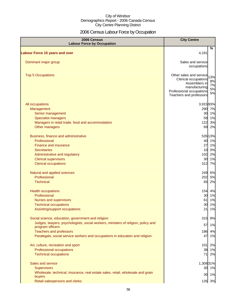# 2006 Census Labour Force by Occupation

| 2006 Census<br><b>Labour Force by Occupation</b>                                                      | <b>City Centre</b>                                                                                                                                                      |
|-------------------------------------------------------------------------------------------------------|-------------------------------------------------------------------------------------------------------------------------------------------------------------------------|
| <b>Labour Force 15 years and over</b>                                                                 | %<br>4,191                                                                                                                                                              |
| Dominant major group                                                                                  | Sales and service<br>occupations                                                                                                                                        |
| <b>Top 5 Occupations</b>                                                                              | Other sales and service<br>13%<br>Clerical occupations<br>8%<br>Assemblers in<br>7%<br>manufacturing<br>5%<br>Professional occupations<br>5%<br>Teachers and professors |
| All occupations<br>Management                                                                         | 3,91593%<br>290<br>7%                                                                                                                                                   |
| Senior management                                                                                     | 30<br>1%<br>59<br>1%                                                                                                                                                    |
| <b>Specialist managers</b><br>Managers in retail trade, food and accommodation                        | 122<br>3%                                                                                                                                                               |
| Other managers                                                                                        | 69<br>2%                                                                                                                                                                |
| Business, finance and administrative                                                                  | 53513%                                                                                                                                                                  |
| Professional                                                                                          | 40<br>1%                                                                                                                                                                |
| <b>Finance and insurance</b>                                                                          | 27<br>1%                                                                                                                                                                |
| <b>Secretaries</b>                                                                                    | 0%<br>10                                                                                                                                                                |
| Administrative and regulatory                                                                         | 2%<br>102<br>30<br>1%                                                                                                                                                   |
| <b>Clerical supervisors</b><br><b>Clerical occupations</b>                                            | 312<br>7%                                                                                                                                                               |
| Natural and applied sciences                                                                          | 249<br>6%                                                                                                                                                               |
| Professional                                                                                          | 202<br>5%                                                                                                                                                               |
| <b>Technical</b>                                                                                      | 65<br>2%                                                                                                                                                                |
| <b>Health occupations</b>                                                                             | 154<br>4%                                                                                                                                                               |
| Professional                                                                                          | 30<br>1%                                                                                                                                                                |
| Nurses and supervisors                                                                                | 1%<br>61                                                                                                                                                                |
| <b>Technical occupations</b>                                                                          | 30<br>1%<br>21                                                                                                                                                          |
| Assisting/support occupations                                                                         | 1%                                                                                                                                                                      |
| Social science, education, government and religion                                                    | 315<br>8%                                                                                                                                                               |
| Judges, lawyers, psychologists, social workers, ministers of religion, policy and<br>program officers | 1%<br>57                                                                                                                                                                |
| <b>Teachers and professors</b>                                                                        | 186<br>4%                                                                                                                                                               |
| Paralegals, social service workers and occupations in education and religion                          | 47<br>1%                                                                                                                                                                |
| Art, culture, recreation and sport                                                                    | 2%<br>101                                                                                                                                                               |
| Professional occupations                                                                              | 38<br>1%                                                                                                                                                                |
| <b>Technical occupations</b>                                                                          | 2%<br>71                                                                                                                                                                |
| Sales and service                                                                                     | 1,308 31%                                                                                                                                                               |
| <b>Supervisors</b>                                                                                    | 30 1%                                                                                                                                                                   |
| Wholesale, technical, insurance, real estate sales, retail, wholesale and grain<br>buyers             | 30 1%                                                                                                                                                                   |
| Retail salespersons and clerks                                                                        | 126 3%                                                                                                                                                                  |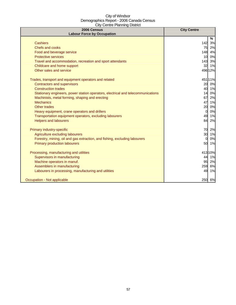| 2006 Census<br><b>Labour Force by Occupation</b>                                 | <b>City Centre</b> |
|----------------------------------------------------------------------------------|--------------------|
|                                                                                  | %                  |
| <b>Cashiers</b>                                                                  | 142<br>3%          |
| Chefs and cooks                                                                  | 75<br>2%           |
| Food and beverage service                                                        | 148<br>4%          |
| <b>Protective services</b>                                                       | 0%<br>10           |
| Travel and accommodation, recreation and sport attendants                        | 143 3%             |
| Childcare and home support                                                       | 32<br>1%           |
| Other sales and service                                                          | 49612%             |
| Trades, transport and equipment operators and related                            | 45111%             |
| <b>Contractors and supervisors</b>                                               | 0%<br>20           |
| <b>Construction trades</b>                                                       | 40 1%              |
| Stationary engineers, power station operators, electrical and telecommunications | 0%<br>14           |
| Machinists, metal forming, shaping and erecting                                  | 67<br>2%           |
| <b>Mechanics</b>                                                                 | 47<br>1%           |
| Other trades                                                                     | 20<br>0%           |
| Heavy equipment, crane operators and drillers                                    | 0%<br>$\Omega$     |
| Transportation equipment operators, excluding labourers                          | 49<br>1%           |
| <b>Helpers and labourers</b>                                                     | 2%<br>84           |
| Primary industry-specific                                                        | 70<br>2%           |
| Agriculture excluding labourers                                                  | 30<br>1%           |
| Forestry, mining, oil and gas extraction, and fishing, excluding labourers       | 0%<br>$\Omega$     |
| <b>Primary production labourers</b>                                              | 1%<br>50           |
| Processing, manufacturing and utilities                                          | 41310%             |
| Supervisors in manufacturing                                                     | 1%<br>44           |
| Machine operators in manuf.                                                      | 95<br>2%           |
| Assemblers in manufacturing                                                      | 6%<br>259          |
| Labourers in processing, manufacturing and utilities                             | 1%<br>49           |
| Occupation - Not applicable                                                      | 250 6%             |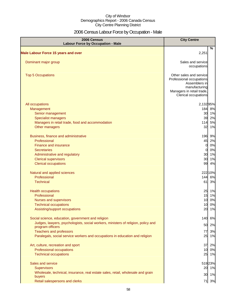# 2006 Census Labour Force by Occupation - Male

| <b>2006 Census</b><br><b>Labour Force by Occupation - Male</b>                    | <b>City Centre</b>                                                                                                                         |
|-----------------------------------------------------------------------------------|--------------------------------------------------------------------------------------------------------------------------------------------|
| <b>Male Labour Force 15 years and over</b>                                        | %<br>2,251                                                                                                                                 |
| Dominant major group                                                              | Sales and service<br>occupations                                                                                                           |
| <b>Top 5 Occupations</b>                                                          | Other sales and service<br>Professional occupations<br>Assemblers in<br>manufacturing<br>Managers in retail trade,<br>Clerical occupations |
| All occupations                                                                   | 2,13295%                                                                                                                                   |
| Management                                                                        | 184 8%                                                                                                                                     |
| Senior management                                                                 | 30<br>1%<br>39                                                                                                                             |
| <b>Specialist managers</b><br>Managers in retail trade, food and accommodation    | 2%<br>5%<br>114                                                                                                                            |
| Other managers                                                                    | 32<br>1%                                                                                                                                   |
|                                                                                   |                                                                                                                                            |
| Business, finance and administrative                                              | 196<br>9%                                                                                                                                  |
| Professional                                                                      | 45<br>2%                                                                                                                                   |
| Finance and insurance                                                             | 0%<br>$\overline{0}$                                                                                                                       |
| <b>Secretaries</b>                                                                | 0%<br><sub>0</sub>                                                                                                                         |
| Administrative and regulatory                                                     | 30<br>1%                                                                                                                                   |
| <b>Clerical supervisors</b>                                                       | 30<br>1%                                                                                                                                   |
| <b>Clerical occupations</b>                                                       | 99<br>4%                                                                                                                                   |
| Natural and applied sciences                                                      | 22210%                                                                                                                                     |
| Professional                                                                      | 144<br>6%                                                                                                                                  |
| <b>Technical</b>                                                                  | 61<br>3%                                                                                                                                   |
| <b>Health occupations</b>                                                         | 25<br>1%                                                                                                                                   |
| Professional                                                                      | 15<br>1%                                                                                                                                   |
| Nurses and supervisors                                                            | 10 <sup>1</sup><br>0%                                                                                                                      |
| <b>Technical occupations</b>                                                      | 0%<br>10                                                                                                                                   |
| Assisting/support occupations                                                     | 20<br>1%                                                                                                                                   |
| Social science, education, government and religion                                | 140<br>6%                                                                                                                                  |
| Judges, lawyers, psychologists, social workers, ministers of religion, policy and | 50<br>2%                                                                                                                                   |
| program officers                                                                  |                                                                                                                                            |
| <b>Teachers and professors</b>                                                    | 3%<br>77                                                                                                                                   |
| Paralegals, social service workers and occupations in education and religion      | 25<br>1%                                                                                                                                   |
| Art, culture, recreation and sport                                                | 37<br>2%                                                                                                                                   |
| Professional occupations                                                          | 10<br>0%                                                                                                                                   |
| <b>Technical occupations</b>                                                      | 25<br>1%                                                                                                                                   |
| Sales and service                                                                 | 51923%                                                                                                                                     |
| <b>Supervisors</b>                                                                | 20 1%                                                                                                                                      |
| Wholesale, technical, insurance, real estate sales, retail, wholesale and grain   |                                                                                                                                            |
| buyers                                                                            | 30 1%                                                                                                                                      |
| Retail salespersons and clerks                                                    | 71 3%                                                                                                                                      |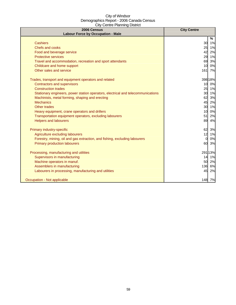| 2006 Census<br><b>Labour Force by Occupation - Male</b>                          | <b>City Centre</b> |
|----------------------------------------------------------------------------------|--------------------|
|                                                                                  | %                  |
| <b>Cashiers</b>                                                                  | 30 1%              |
| Chefs and cooks                                                                  | 25<br>1%           |
| Food and beverage service                                                        | 42<br>2%           |
| <b>Protective services</b>                                                       | 29<br>1%           |
| Travel and accommodation, recreation and sport attendants                        | 69<br>3%           |
| Childcare and home support                                                       | 0%<br>10           |
| Other sales and service                                                          | 7%<br>161          |
| Trades, transport and equipment operators and related                            | 39818%             |
| <b>Contractors and supervisors</b>                                               | 10 0%              |
| <b>Construction trades</b>                                                       | 25 1%              |
| Stationary engineers, power station operators, electrical and telecommunications | 30 1%              |
| Machinists, metal forming, shaping and erecting                                  | 62<br>3%           |
| <b>Mechanics</b>                                                                 | 45<br>2%           |
| <b>Other trades</b>                                                              | 30<br>1%           |
| Heavy equipment, crane operators and drillers                                    | 10<br>0%           |
| Transportation equipment operators, excluding labourers                          | 2%<br>51           |
| <b>Helpers and labourers</b>                                                     | 89<br>4%           |
| Primary industry-specific                                                        | 62<br>3%           |
| Agriculture excluding labourers                                                  | 12<br>1%           |
| Forestry, mining, oil and gas extraction, and fishing, excluding labourers       | 0%<br>$\Omega$     |
| <b>Primary production labourers</b>                                              | 3%<br>60           |
| Processing, manufacturing and utilities                                          | 291 13%            |
| Supervisors in manufacturing                                                     | 1%<br>14           |
| Machine operators in manuf.                                                      | 2%<br>50           |
| Assemblers in manufacturing                                                      | 6%<br>136          |
| Labourers in processing, manufacturing and utilities                             | 45<br>2%           |
| Occupation - Not applicable                                                      | 148 7%             |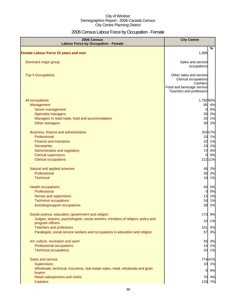# 2006 Census Labour Force by Occupation - Female

| 2006 Census<br><b>Labour Force by Occupation - Female</b>                                                                                                                                                                                                                     | <b>City Centre</b>                                                                                                  |
|-------------------------------------------------------------------------------------------------------------------------------------------------------------------------------------------------------------------------------------------------------------------------------|---------------------------------------------------------------------------------------------------------------------|
| <b>Female Labour Force 15 years and over</b>                                                                                                                                                                                                                                  | $\%$<br>1,906                                                                                                       |
| Dominant major group                                                                                                                                                                                                                                                          | Sales and service<br>occupations                                                                                    |
| <b>Top 5 Occupations</b>                                                                                                                                                                                                                                                      | Other sales and service<br>Clerical occupations<br>Cashiers<br>Food and beverage service<br>Teachers and professors |
| All occupations<br>Management<br>Senior management<br><b>Specialist managers</b><br>Managers in retail trade, food and accommodation<br>Other managers                                                                                                                        | 1,78293%<br>85<br>4%<br>$\mathbf{0}$<br>0%<br>30 2%<br>25 1%<br>30<br>2%                                            |
| Business, finance and administrative<br>Professional<br>Finance and insurance<br><b>Secretaries</b><br>Administrative and regulatory<br><b>Clerical supervisors</b><br><b>Clerical occupations</b>                                                                            | 324 17%<br>10<br>1%<br>22<br>1%<br>10<br>1%<br>72<br>4%<br>$\overline{0}$<br>0%<br>212 11%                          |
| Natural and applied sciences<br>Professional<br><b>Technical</b>                                                                                                                                                                                                              | 45<br>2%<br>35<br>2%<br>10<br>1%                                                                                    |
| <b>Health occupations</b><br>Professional<br><b>Nurses and supervisors</b><br><b>Technical occupations</b><br>Assisting/support occupations                                                                                                                                   | 94<br>5%<br>$\overline{0}$<br>0%<br>13<br>1%<br>24<br>1%<br>30<br>2%                                                |
| Social science, education, government and religion<br>Judges, lawyers, psychologists, social workers, ministers of religion, policy and<br>program officers<br><b>Teachers and professors</b><br>Paralegals, social service workers and occupations in education and religion | 173<br>9%<br>10 1%<br>101<br>5%<br>57<br>3%                                                                         |
| Art, culture, recreation and sport<br>Professional occupations<br><b>Technical occupations</b>                                                                                                                                                                                | 55<br>3%<br>15 1%<br>25 1%                                                                                          |
| Sales and service<br><b>Supervisors</b><br>Wholesale, technical, insurance, real estate sales, retail, wholesale and grain<br>buyers<br>Retail salespersons and clerks<br><b>Cashiers</b>                                                                                     | 77441%<br>10 1%<br>$\overline{O}$<br>0%<br>70 4%<br>129 7%                                                          |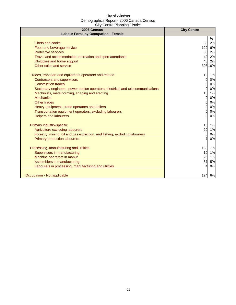| 2006 Census<br><b>Labour Force by Occupation - Female</b>                        | <b>City Centre</b> |
|----------------------------------------------------------------------------------|--------------------|
|                                                                                  | %                  |
| Chefs and cooks                                                                  | 30<br>2%           |
| Food and beverage service                                                        | 122<br>6%          |
| <b>Protective services</b>                                                       | 2%<br>30           |
| Travel and accommodation, recreation and sport attendants                        | 42<br>2%           |
| Childcare and home support                                                       | 40<br>2%           |
| Other sales and service                                                          | 308 16%            |
| Trades, transport and equipment operators and related                            | 10<br>1%           |
| Contractors and supervisors                                                      | 0%<br>0            |
| <b>Construction trades</b>                                                       | 0%<br>0            |
| Stationary engineers, power station operators, electrical and telecommunications | 0%<br>$\Omega$     |
| Machinists, metal forming, shaping and erecting                                  | 1%<br>10           |
| <b>Mechanics</b>                                                                 | 0%<br>0            |
| Other trades                                                                     | 0%<br>0            |
| Heavy equipment, crane operators and drillers                                    | 0%<br>$\Omega$     |
| Transportation equipment operators, excluding labourers                          | 0%<br>$\Omega$     |
| <b>Helpers and labourers</b>                                                     | 0%<br>$\Omega$     |
| Primary industry-specific                                                        | 10<br>1%           |
| Agriculture excluding labourers                                                  | 20<br>1%           |
| Forestry, mining, oil and gas extraction, and fishing, excluding labourers       | 0%<br>0            |
| <b>Primary production labourers</b>                                              | 0%                 |
| Processing, manufacturing and utilities                                          | 138<br>7%          |
| Supervisors in manufacturing                                                     | 1%<br>10           |
| Machine operators in manuf.                                                      | 25<br>1%           |
| Assemblers in manufacturing                                                      | 87<br>5%           |
| Labourers in processing, manufacturing and utilities                             | 0%                 |
| Occupation - Not applicable                                                      | 124 6%             |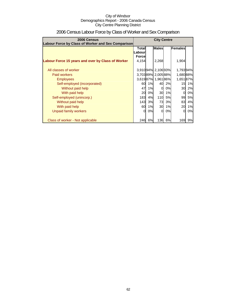| 2006 Census<br>Labour Force by Class of Worker and Sex Comparison | <b>City Centre</b>                                |    |                   |    |           |           |
|-------------------------------------------------------------------|---------------------------------------------------|----|-------------------|----|-----------|-----------|
|                                                                   | <b>Males</b><br>Females<br><b>Total</b><br>.abour |    |                   |    |           |           |
| Labour Force 15 years and over by Class of Worker                 | <b>Force</b><br>4,154                             |    | 2,268             |    | 1,904     |           |
| All classes of worker                                             |                                                   |    | 3,91094% 2,10693% |    | 1,79394%  |           |
| Paid workers                                                      |                                                   |    | 3,70389% 2,00588% |    | 1,680 88% |           |
| <b>Employees</b>                                                  |                                                   |    | 3,61987% 1,96186% |    | 1,651 87% |           |
| Self-employed (incorporated)                                      | 60                                                | 1% | 40                | 2% | 15        | 1%        |
| Without paid help                                                 | 47                                                | 1% | $\Omega$          | 0% | 30        | 2%        |
| With paid help                                                    | 20                                                | 0% | 30                | 1% | 0         | 0%        |
| Self-employed (unincorp.)                                         | 183                                               | 4% | 110 <sup>l</sup>  | 5% | 99        | <b>5%</b> |
| Without paid help                                                 | 143                                               | 3% | 73                | 3% | 83        | 4%        |
| With paid help                                                    | 60                                                | 1% | 30                | 1% | 20        | 1%        |
| Unpaid family workers                                             | 0                                                 | 0% | $\Omega$          | 0% | $\Omega$  | 0%        |
| Class of worker - Not applicable                                  | 246                                               | 6% | 136               | 6% | 169       | 9%        |

# 2006 Census Labour Force by Class of Worker and Sex Comparison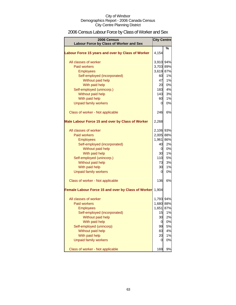# 2006 Census Labour Force by Class of Worker and Sex

| 2006 Census<br>Labour Force by Class of Worker and Sex | <b>City Centre</b> |      |
|--------------------------------------------------------|--------------------|------|
|                                                        |                    | $\%$ |
| Labour Force 15 years and over by Class of Worker      | 4,154              |      |
| All classes of worker                                  | 3,910 94%          |      |
| <b>Paid workers</b>                                    | 3,703 89%          |      |
| <b>Employees</b>                                       | 3,619 87%          |      |
| Self-employed (incorporated)                           | 60                 | 1%   |
| Without paid help                                      | 47                 | 1%   |
| With paid help                                         | 20                 | 0%   |
| Self-employed (unincorp.)                              | 183                | 4%   |
| Without paid help                                      | 143                | 3%   |
| With paid help                                         | 60                 | 1%   |
| <b>Unpaid family workers</b>                           | $\overline{0}$     | 0%   |
| Class of worker - Not applicable                       | 246                | 6%   |
| Male Labour Force 15 and over by Class of Worker       | 2,268              |      |
| All classes of worker                                  | 2,106 93%          |      |
| Paid workers                                           | 2,005 88%          |      |
| <b>Employees</b>                                       | 1,961 86%          |      |
| Self-employed (incorporated)                           | 40                 | 2%   |
| Without paid help                                      | $\mathbf{0}$       | 0%   |
| With paid help                                         | 30                 | 1%   |
| Self-employed (unincorp.)                              | 110                | 5%   |
| Without paid help                                      | 73                 | 3%   |
| With paid help                                         | 30                 | 1%   |
| <b>Unpaid family workers</b>                           | $\overline{0}$     | 0%   |
| Class of worker - Not applicable                       | 136                | 6%   |
| Female Labour Force 15 and over by Class of Worker     | 1,904              |      |
| All classes of worker                                  | 1,793 94%          |      |
| Paid workers                                           | 1,680 88%          |      |
| <b>Employees</b>                                       | 1,651 87%          |      |
| Self-employed (incorporated)                           | 15                 | 1%   |
| Without paid help                                      | 30                 | 2%   |
| With paid help                                         | 0                  | 0%   |
| Self-employed (unincorp)                               | 99                 | 5%   |
| Without paid help                                      | 83                 | 4%   |
| With paid help                                         | 20                 | 1%   |
| <b>Unpaid family workers</b>                           | 0                  | 0%   |
| Class of worker - Not applicable                       | 169                | 9%   |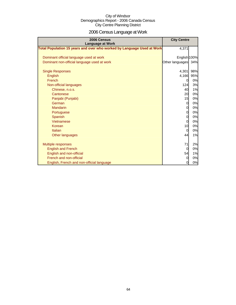# 2006 Census Language at Work

| 2006 Census<br><b>Language at Work</b>                                 | <b>City Centre</b> |     |
|------------------------------------------------------------------------|--------------------|-----|
| Total Population 15 years and over who worked by Language Used at Work | 4,371              |     |
| Dominant official language used at work                                | English 100%       |     |
| Dominant non-official language used at work                            | Other languages    | 34% |
| <b>Single Responses</b>                                                | 4,301              | 98% |
|                                                                        |                    |     |
| English                                                                | 4,166              | 95% |
| French                                                                 | 0                  | 0%  |
| Non-official languages                                                 | 124                | 3%  |
| Chinese, n.o.s.                                                        | 40                 | 1%  |
| Cantonese                                                              | 20                 | 0%  |
| Panjabi (Punjabi)                                                      | 15                 | 0%  |
| German                                                                 | $\overline{0}$     | 0%  |
| Mandarin                                                               | 0                  | 0%  |
| Portuguese                                                             | $\overline{0}$     | 0%  |
| Spanish                                                                | $\overline{0}$     | 0%  |
| Vietnamese                                                             | $\mathbf 0$        | 0%  |
| Korean                                                                 | 10                 | 0%  |
| Italian                                                                | 0                  | 0%  |
| Other languages                                                        | 44                 | 1%  |
| <b>Multiple responses</b>                                              | 71                 | 2%  |
| <b>English and French</b>                                              | 0                  | 0%  |
| English and non-official                                               | 54                 | 1%  |
| French and non-official                                                | $\Omega$           | 0%  |
| English, French and non-official language                              | 0                  | 0%  |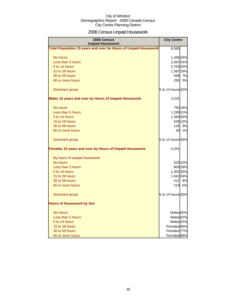# 2006 Census Unpaid Housework

| 2006 Census<br><b>Unpaid Housework</b>                                 | <b>City Centre</b>     |    |
|------------------------------------------------------------------------|------------------------|----|
| <b>Total Population 15 years and over by Hours of Unpaid Housework</b> | 8,565                  |    |
| No hours                                                               | 1,336 16%              |    |
| Less than 5 hours                                                      | 2,087 24%              |    |
| 5 to 14 hours                                                          | 2,705 32%              |    |
| 15 to 29 hours                                                         | 1,587 19%              |    |
| 30 to 59 hours                                                         | 558                    | 7% |
| 60 or more hours                                                       | 265                    | 3% |
| Dominant group                                                         | 5 to 14 hours 32%      |    |
| Males 15 years and over by Hours of Unpaid Housework                   | 4,231                  |    |
| No hours                                                               | 793 19%                |    |
| Less than 5 hours                                                      | 1,295 31%              |    |
| 5 to 14 hours                                                          | 1,384 33%              |    |
| 15 to 29 hours                                                         | 536 13%                |    |
| 30 to 59 hours                                                         | 125                    | 3% |
| 60 or more hours                                                       | 30                     | 1% |
| Dominant group                                                         | 5 to 14 hours 33%      |    |
| Females 15 years and over by Hours of Unpaid Housework                 | 4,341                  |    |
| By hours of unpaid housework                                           |                        |    |
| No hours                                                               | 525 12%                |    |
| Less than 5 hours                                                      | 800 18%                |    |
| 5 to 14 hours                                                          | 1,302 30%              |    |
| 15 to 29 hours                                                         | 1,042 24%              |    |
| 30 to 59 hours                                                         | 412 9%                 |    |
| 60 or more hours                                                       | 219                    | 5% |
| Dominant group                                                         | 5 to 14 hours 30%      |    |
| <b>Hours of Housework by Sex</b>                                       |                        |    |
| <b>No Hours</b>                                                        | Males 60%              |    |
| Less than 5 hours                                                      | Males <sub>62%</sub>   |    |
| 5 to 14 hours                                                          | Males <sup>52%</sup>   |    |
| 15 to 29 hours                                                         | Females 66%            |    |
| 30 to 59 hours                                                         | Females <sup>77%</sup> |    |
| 60 or more hours                                                       | Females <sup>88%</sup> |    |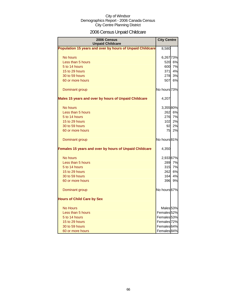# 2006 Census Unpaid Childcare

| 2006 Census<br><b>Unpaid Childcare</b>                    | <b>City Centre</b>     |        |
|-----------------------------------------------------------|------------------------|--------|
| Population 15 years and over by hours of Unpaid Childcare | 8,580                  |        |
| No hours                                                  | 6,267 73%              |        |
| Less than 5 hours                                         | <b>520</b>             | 6%     |
| 5 to 14 hours                                             | 600                    | 7%     |
| 15 to 29 hours                                            | 371l                   | 4%     |
| 30 to 59 hours                                            | 278                    | 3%     |
| 60 or more hours                                          | 507                    | 6%     |
| Dominant group                                            | No hours 73%           |        |
| Males 15 years and over by hours of Unpaid Childcare      | 4,207                  |        |
| No hours                                                  | 3,35580%               |        |
| Less than 5 hours                                         |                        | 262 6% |
| 5 to 14 hours                                             | 276                    | 7%     |
| 15 to 29 hours                                            | 102                    | 2%     |
| 30 to 59 hours                                            | 92                     | 2%     |
| 60 or more hours                                          | 75                     | 2%     |
| Dominant group                                            | No hours 81%           |        |
| Females 15 years and over by hours of Unpaid Childcare    | 4,350                  |        |
| No hours                                                  | 2,933 67%              |        |
| Less than 5 hours                                         | 289                    | 7%     |
| 5 to 14 hours                                             | 315                    | 7%     |
| 15 to 29 hours                                            | 262                    | 6%     |
| 30 to 59 hours                                            | 164                    | 4%     |
| 60 or more hours                                          | 396                    | 9%     |
| Dominant group                                            | No hours 67%           |        |
| <b>Hours of Child Care by Sex</b>                         |                        |        |
| <b>No Hours</b>                                           | Males <sub>53%</sub>   |        |
| Less than 5 hours                                         | Females <sub>52%</sub> |        |
| 5 to 14 hours                                             | Females 53%            |        |
| 15 to 29 hours                                            | Females <sub>72%</sub> |        |
| 30 to 59 hours                                            | Females <sup>64%</sup> |        |
| 60 or more hours                                          | Females <sup>84%</sup> |        |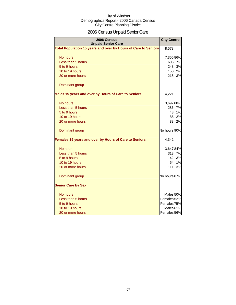# 2006 Census Unpaid Senior Care

| 2006 Census<br><b>Unpaid Senior Care</b>                              | <b>City Centre</b>     |    |
|-----------------------------------------------------------------------|------------------------|----|
| <b>Total Population 15 years and over by Hours of Care to Seniors</b> | 8,578                  |    |
| No hours                                                              | 7,35586%               |    |
| Less than 5 hours                                                     | 605                    | 7% |
| 5 to 9 hours                                                          | 248                    | 3% |
| 10 to 19 hours                                                        | 150                    | 2% |
| 20 or more hours                                                      | 215                    | 3% |
| Dominant group                                                        |                        |    |
| Males 15 years and over by Hours of Care to Seniors                   | 4,221                  |    |
| No hours                                                              | 3,69788%               |    |
| Less than 5 hours                                                     | 286                    | 7% |
| 5 to 9 hours                                                          | 48                     | 1% |
| 10 to 19 hours                                                        | 85                     | 2% |
| 20 or more hours                                                      | 88                     | 2% |
| Dominant group                                                        | No hours 90%           |    |
| Females 15 years and over by Hours of Care to Seniors                 | 4,342                  |    |
| No hours                                                              | 3,64784%               |    |
| Less than 5 hours                                                     | 313                    | 7% |
| 5 to 9 hours                                                          | 142                    | 3% |
| 10 to 19 hours                                                        | 54                     | 1% |
| 20 or more hours                                                      | 111                    | 3% |
| Dominant group                                                        | No hours 87%           |    |
| <b>Senior Care by Sex</b>                                             |                        |    |
| No hours                                                              | Males <sub>50%</sub>   |    |
| Less than 5 hours                                                     | Females <sub>52%</sub> |    |
| 5 to 9 hours                                                          | Females 75%            |    |
| 10 to 19 hours                                                        | Males <sup>61%</sup>   |    |
| 20 or more hours                                                      | Females <sub>56%</sub> |    |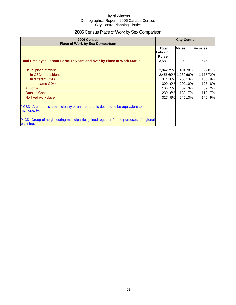# 2006 Census Place of Work by Sex Comparison

| 2006 Census<br><b>Place of Work by Sex Comparison</b>                                                 | <b>City Centre</b>               |        |                     |         |                |        |
|-------------------------------------------------------------------------------------------------------|----------------------------------|--------|---------------------|---------|----------------|--------|
|                                                                                                       | Totall<br>Labour<br><b>Force</b> |        | <b>Males</b>        |         | <b>Females</b> |        |
| <b>Total Employed Labour Force 15 years and over by Place of Work Status</b>                          | 3,581                            |        | 1,909               |         | 1,645          |        |
| Usual place of work                                                                                   |                                  |        | 2,842 79% 1,494 78% |         | 1,32781%       |        |
| In CSD <sup>*</sup> of residence                                                                      |                                  |        | 2,45669% 1,26966%   |         | 1,178 72%      |        |
| In different CSD                                                                                      |                                  | 37410% |                     | 255 13% |                | 150 9% |
| In same CD**                                                                                          |                                  | 309 9% |                     | 20010%  | 126            | 8%     |
| At home                                                                                               | 106                              | 3%     | 67                  | 3%      | 39             | 2%     |
| <b>Outside Canada</b>                                                                                 | 230                              | 6%     | 133                 | 7%      | 113            | 7%     |
| No fixed workplace                                                                                    | 327                              | 9%     |                     | 24513%  | 140 <b>I</b>   | 9%     |
| CSD: Area that is a municipality or an area that is deemed to be equivalent to a<br>municipality.     |                                  |        |                     |         |                |        |
| ** CD: Group of neighbouring municipalities joined together for the purposes of regional<br>planning. |                                  |        |                     |         |                |        |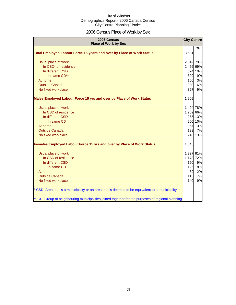# 2006 Census Place of Work by Sex

| 2006 Census<br><b>Place of Work by Sex</b>                                                         | <b>City Centre</b> |         |
|----------------------------------------------------------------------------------------------------|--------------------|---------|
|                                                                                                    |                    | $\%$    |
| Total Employed Labour Force 15 years and over by Place of Work Status                              | 3,581              |         |
| Usual place of work                                                                                | 2,842 79%          |         |
| In CSD <sup>*</sup> of residence                                                                   | 2,456 69%          |         |
| In different CSD                                                                                   |                    | 374 10% |
| In same CD**                                                                                       | 309                | 9%      |
| At home                                                                                            | 106                | 3%      |
| <b>Outside Canada</b>                                                                              | 230                | 6%      |
| No fixed workplace                                                                                 | 327                | 9%      |
| Males Employed Labour Force 15 yrs and over by Place of Work Status                                | 1,909              |         |
| Usual place of work                                                                                | 1,494 78%          |         |
| In CSD of residence                                                                                | 1,269 66%          |         |
| In different CSD                                                                                   |                    | 255 13% |
| In same CD                                                                                         |                    | 200 10% |
| At home                                                                                            | 67                 | 3%      |
| <b>Outside Canada</b>                                                                              | 133                | 7%      |
| No fixed workplace                                                                                 |                    | 245 13% |
| <b>Females Employed Labour Force 15 yrs and over by Place of Work Status</b>                       | 1,645              |         |
| Usual place of work                                                                                | 1,327 81%          |         |
| In CSD of residence                                                                                | 1,178 72%          |         |
| In different CSD                                                                                   | 150                | 9%      |
| In same CD                                                                                         | 126                | 8%      |
| At home                                                                                            | 39                 | 2%      |
| <b>Outside Canada</b>                                                                              | 113                | 7%      |
| No fixed workplace                                                                                 | 140                | 9%      |
| * CSD: Area that is a municipality or an area that is deemed to be equivalent to a municipality.   |                    |         |
| ** CD: Group of neighbouring municipalities joined together for the purposes of regional planning. |                    |         |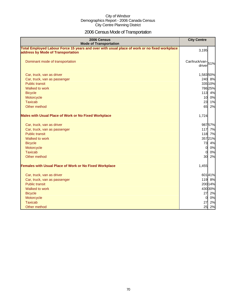# 2006 Census Mode of Transportation

| 2006 Census<br><b>Mode of Transportation</b>                                                                                      | <b>City Centre</b>           |
|-----------------------------------------------------------------------------------------------------------------------------------|------------------------------|
| Total Employed Labour Force 15 years and over with usual place of work or no fixed workplace<br>address by Mode of Transportation | 3,195                        |
| Dominant mode of transportation                                                                                                   | Car/truck/van-151%<br>driver |
| Car, truck, van as driver                                                                                                         | 1,583 50%                    |
| Car, truck, van as passenger                                                                                                      | 240 8%                       |
| <b>Public transit</b>                                                                                                             | 335 10%                      |
| Walked to work                                                                                                                    | 78625%                       |
| <b>Bicycle</b>                                                                                                                    | 113 4%                       |
| Motorcycle                                                                                                                        | 10 0%                        |
| <b>Taxicab</b>                                                                                                                    | 23<br>1%                     |
| Other method                                                                                                                      | 65<br>2%                     |
| <b>Males with Usual Place of Work or No Fixed Workplace</b>                                                                       | 1,724                        |
| Car, truck, van as driver                                                                                                         | 98757%                       |
| Car, truck, van as passenger                                                                                                      | 117 7%                       |
| <b>Public transit</b>                                                                                                             | 118 7%                       |
| Walked to work                                                                                                                    | 35721%                       |
| <b>Bicycle</b>                                                                                                                    | 73<br>4%                     |
| Motorcycle                                                                                                                        | $\overline{0}$<br>0%         |
| <b>Taxicab</b>                                                                                                                    | 0%<br>$\overline{0}$         |
| Other method                                                                                                                      | 30<br>2%                     |
| <b>Females with Usual Place of Work or No Fixed Workplace</b>                                                                     | 1,455                        |
| Car, truck, van as driver                                                                                                         | 60141%                       |
| Car, truck, van as passenger                                                                                                      | 119 8%                       |
| <b>Public transit</b>                                                                                                             | 200 14%                      |
| Walked to work                                                                                                                    | 430 30%                      |
| <b>Bicycle</b>                                                                                                                    | 27<br>2%                     |
| Motorcycle                                                                                                                        | $\overline{0}$<br>0%         |
| <b>Taxicab</b>                                                                                                                    | 27<br>2%                     |
| Other method                                                                                                                      | 25<br>2%                     |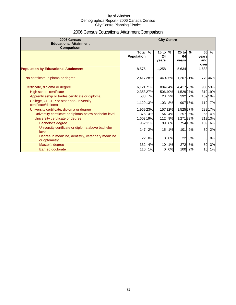# 2006 Census Educational Attainment Comparison

| 2006 Census<br><b>Educational Attainment</b><br>Comparison         | <b>City Centre</b>                |         |                        |                   |                        |               |                            |                  |
|--------------------------------------------------------------------|-----------------------------------|---------|------------------------|-------------------|------------------------|---------------|----------------------------|------------------|
|                                                                    | <b>Total</b><br><b>Population</b> | $\%$    | $15$ to<br>24<br>vears | $\frac{9}{6}$     | $25$ to<br>64<br>years | $\frac{9}{6}$ | 65<br>vears<br>and<br>over | $\frac{9}{6}$    |
| <b>Population by Educational Attainment</b>                        | 8,575                             |         | 1,258                  |                   | 5,634                  |               | 1,683                      |                  |
| No certificate, diploma or degree                                  | 2,417 28%                         |         |                        | 440 35%           | 1,207 21%              |               |                            | 77046%           |
| Certificate, diploma or degree<br>High school certificate          | 6,121 71%<br>2,353 27%            |         |                        | 804 64%<br>50640% | 4,417 78%<br>1,529 27% |               |                            | 90053%<br>31919% |
| Apprenticeship or trades certificate or diploma                    |                                   | 583 7%  | 23                     | 2%                | 392                    | 7%            |                            | 169 10%          |
| College, CEGEP or other non-university<br>certificate/diploma      | 1,120 13%                         |         | 103                    | 8%                |                        | 907 16%       |                            | 110 7%           |
| University certificate, diploma or degree                          | 1,969 23%                         |         |                        | 157 12%           | 1,525 27%              |               |                            | 288 17%          |
| University certificate or diploma below bachelor level             | 376                               | 4%      | 54                     | 4%                | 257                    | 5%            | 65                         | 4%               |
| University certificate or degree                                   | 1,603 19%                         |         | 112                    | 9%                | 1,271 23%              |               |                            | 21913%           |
| Bachelor's degree                                                  |                                   | 962 11% | 99                     | 8%                |                        | 75413%        | 109                        | 6%               |
| University certificate or diploma above bachelor<br>level          | 147                               | 2%      | 15                     | 1%                | 101                    | 2%            | 30                         | 2%               |
| Degree in medicine, dentistry, veterinary medicine<br>or optometry | 22                                | 0%      | $\Omega$               | 0%                | 22                     | 0%            | 0                          | 0%               |
| Master's degree                                                    | 332                               | 4%      | 10                     | 1%                | 272                    | 5%            | 50                         | 3%               |
| <b>Earned doctorate</b>                                            | 110                               | 1%      | 0                      | 0%                | 100                    | 2%            | 10                         | 1%               |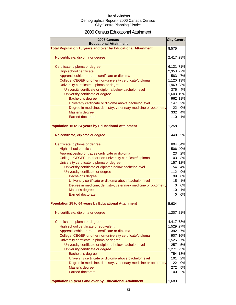### 2006 Census Educational Attainment

| 2006 Census<br><b>Educational Attainment</b>                        |                |          |  |  |
|---------------------------------------------------------------------|----------------|----------|--|--|
| <b>Total Population 15 years and over by Educational Attainment</b> | 8,575          |          |  |  |
|                                                                     |                |          |  |  |
| No certificate, diploma or degree                                   | 2,417 28%      |          |  |  |
| Certificate, diploma or degree                                      | 6,121 71%      |          |  |  |
| <b>High school certificate</b>                                      | 2,353 27%      |          |  |  |
| Apprenticeship or trades certificate or diploma                     | 583            | 7%       |  |  |
| College, CEGEP or other non-university certificate/diploma          | 1,120 13%      |          |  |  |
| University certificate, diploma or degree                           | 1,969 23%      |          |  |  |
| University certificate or diploma below bachelor level              | 376            | 4%       |  |  |
| University certificate or degree                                    | 1,603 19%      |          |  |  |
| Bachelor's degree                                                   |                | 962 11%  |  |  |
| University certificate or diploma above bachelor level              | 147            | 2%       |  |  |
| Degree in medicine, dentistry, veterinary medicine or optometry     | 22             | 0%       |  |  |
| Master's degree                                                     | 332            | 4%       |  |  |
| <b>Earned doctorate</b>                                             | 110            | 1%       |  |  |
|                                                                     |                |          |  |  |
| <b>Population 15 to 24 years by Educational Attainment</b>          | 1,258          |          |  |  |
| No certificate, diploma or degree                                   |                | 440 35%  |  |  |
|                                                                     |                |          |  |  |
| Certificate, diploma or degree                                      |                | 804 64%  |  |  |
| <b>High school certificate</b>                                      |                | 506 40%  |  |  |
| Apprenticeship or trades certificate or diploma                     | 23             | 2%       |  |  |
| College, CEGEP or other non-university certificate/diploma          | 103            | 8%       |  |  |
| University certificate, diploma or degree                           |                | 157 12%  |  |  |
| University certificate or diploma below bachelor level              | 54             | 4%       |  |  |
| University certificate or degree                                    | 112            | 9%       |  |  |
| Bachelor's degree                                                   | 99             | 8%       |  |  |
| University certificate or diploma above bachelor level              | 15             | 1%       |  |  |
| Degree in medicine, dentistry, veterinary medicine or optometry     | $\overline{0}$ | 0%       |  |  |
| Master's degree                                                     | 10             | 1%<br>0% |  |  |
| <b>Earned doctorate</b>                                             | 0              |          |  |  |
| <b>Population 25 to 64 years by Educational Attainment</b>          | 5,634          |          |  |  |
| No certificate, diploma or degree                                   | 1,207          | 21%      |  |  |
| Certificate, diploma or degree                                      | 4,417 78%      |          |  |  |
| High school certificate or equivalent                               | 1,529 27%      |          |  |  |
| Apprenticeship or trades certificate or diploma                     | 392            | 7%       |  |  |
| College, CEGEP or other non-university certificate/diploma          |                | 907 16%  |  |  |
| University certificate, diploma or degree                           | 1,525 27%      |          |  |  |
| University certificate or diploma below bachelor level              | 257            | 5%       |  |  |
| University certificate or degree                                    | 1,271 23%      |          |  |  |
| Bachelor's degree                                                   |                | 754 13%  |  |  |
| University certificate or diploma above bachelor level              | 101            | 2%       |  |  |
| Degree in medicine, dentistry, veterinary medicine or optometry     | 22             | 0%       |  |  |
| Master's degree                                                     | 272            | 5%       |  |  |
| <b>Earned doctorate</b>                                             | 100            | 2%       |  |  |
|                                                                     |                |          |  |  |
| Population 65 years and over by Educational Attainment              | 1,683          |          |  |  |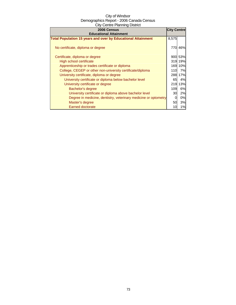| 2006 Census<br><b>Educational Attainment</b>                        | <b>City Centre</b> |           |
|---------------------------------------------------------------------|--------------------|-----------|
| <b>Total Population 15 years and over by Educational Attainment</b> | 8,575              |           |
| No certificate, diploma or degree                                   | 770                | 46%       |
| Certificate, diploma or degree                                      |                    | 900 53%   |
| High school certificate                                             |                    | 319 19%   |
| Apprenticeship or trades certificate or diploma                     |                    | 169 10%   |
| College, CEGEP or other non-university certificate/diploma          | 110                | 7%        |
| University certificate, diploma or degree                           | 288                | 17%       |
| University certificate or diploma below bachelor level              | 65                 | 4%        |
| University certificate or degree                                    | 219                | 13%       |
| Bachelor's degree                                                   | 109                | <b>6%</b> |
| University certificate or diploma above bachelor level              | 30                 | 2%        |
| Degree in medicine, dentistry, veterinary medicine or optometry     |                    | 0%        |
| Master's degree                                                     | 50                 | 3%        |
| <b>Earned doctorate</b>                                             | 10                 | 1%        |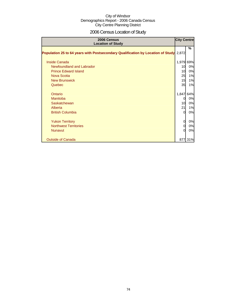# 2006 Census Location of Study

| 2006 Census<br><b>Location of Study</b>                                               | <b>City Centre</b> |     |
|---------------------------------------------------------------------------------------|--------------------|-----|
| Population 25 to 64 years with Postsecondary Qualification by Location of Study 2,872 |                    | %   |
| <b>Inside Canada</b>                                                                  | 1,979 69%          |     |
| Newfoundland and Labrador                                                             | 10                 | 0%  |
| <b>Prince Edward Island</b>                                                           | 10                 | 0%  |
| Nova Scotia                                                                           | 25                 | 1%  |
| <b>New Brunswick</b>                                                                  | 15                 | 1%  |
| Quebec                                                                                | 35                 | 1%  |
| Ontario                                                                               | 1,847              | 64% |
| <b>Manitoba</b>                                                                       | 0                  | 0%  |
| Saskatchewan                                                                          | 10 <sup>1</sup>    | 0%  |
| Alberta                                                                               | 21                 | 1%  |
| <b>British Columbia</b>                                                               | 0                  | 0%  |
| <b>Yukon Territory</b>                                                                | 0                  | 0%  |
| <b>Northwest Territories</b>                                                          | 0                  | 0%  |
| <b>Nunavut</b>                                                                        | $\Omega$           | 0%  |
| <b>Outside of Canada</b>                                                              | 877                | 31% |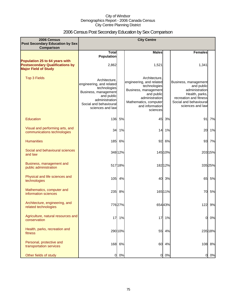# 2006 Census Post Secondary Education by Sex Comparison

| 2006 Census<br>Post Secondary Education by Sex                                                          |                                                                                                                                                                 |         | <b>City Centre</b>                                                                                                                                                        |         |                                                                                                                                                |         |
|---------------------------------------------------------------------------------------------------------|-----------------------------------------------------------------------------------------------------------------------------------------------------------------|---------|---------------------------------------------------------------------------------------------------------------------------------------------------------------------------|---------|------------------------------------------------------------------------------------------------------------------------------------------------|---------|
| Comparison                                                                                              |                                                                                                                                                                 |         |                                                                                                                                                                           |         |                                                                                                                                                |         |
|                                                                                                         | <b>Total</b><br><b>Population</b>                                                                                                                               |         | <b>Males</b>                                                                                                                                                              |         | <b>Females</b>                                                                                                                                 |         |
| Population 25 to 64 years with<br><b>Postsecondary Qualifications by</b><br><b>Major Field of Study</b> | 2,862                                                                                                                                                           |         | 1,521                                                                                                                                                                     |         | 1,341                                                                                                                                          |         |
| <b>Top 3 Fields</b>                                                                                     | Architecture.<br>engineering, and related<br>technologies<br>Business, management<br>and public<br>administration<br>Social and behavioural<br>sciences and law |         | Architecture,<br>engineering, and related<br>technologies<br>Business, management<br>and public<br>administration<br>Mathematics, computer<br>and information<br>sciences |         | Business, management<br>and public<br>administration<br>Health, parks,<br>recreation and fitness<br>Social and behavioural<br>sciences and law |         |
| Education                                                                                               | 136                                                                                                                                                             | 5%      | 45                                                                                                                                                                        | 3%      | 91                                                                                                                                             | 7%      |
| Visual and performing arts, and<br>communications technologies                                          | 34                                                                                                                                                              | 1%      |                                                                                                                                                                           | 14 1%   | 20                                                                                                                                             | 1%      |
| <b>Humanities</b>                                                                                       | 185                                                                                                                                                             | 6%      | 92                                                                                                                                                                        | 6%      |                                                                                                                                                | 93 7%   |
| Social and behavioural sciences<br>and law                                                              |                                                                                                                                                                 | 348 12% |                                                                                                                                                                           | 145 10% |                                                                                                                                                | 203 15% |
| Business, management and<br>public administration                                                       |                                                                                                                                                                 | 51718%  |                                                                                                                                                                           | 18212%  |                                                                                                                                                | 335 25% |
| Physical and life sciences and<br>technologies                                                          | 105                                                                                                                                                             | 4%      | 40                                                                                                                                                                        | 3%      | 65                                                                                                                                             | 5%      |
| Mathematics, computer and<br>information sciences                                                       | 235                                                                                                                                                             | 8%      |                                                                                                                                                                           | 165 11% | 70                                                                                                                                             | 5%      |
| Architecture, engineering, and<br>related technologies                                                  |                                                                                                                                                                 | 77627%  |                                                                                                                                                                           | 65443%  |                                                                                                                                                | 122 9%  |
| Agriculture, natural resources and<br>conservation                                                      | 17                                                                                                                                                              | 1%      | 17                                                                                                                                                                        | 1%      | $\Omega$                                                                                                                                       | 0%      |
| Health, parks, recreation and<br>fitness                                                                |                                                                                                                                                                 | 290 10% | 55                                                                                                                                                                        | 4%      |                                                                                                                                                | 235 18% |
| Personal, protective and<br>transportation services                                                     |                                                                                                                                                                 | 168 6%  | 60                                                                                                                                                                        | 4%      |                                                                                                                                                | 108 8%  |
| Other fields of study                                                                                   | 0                                                                                                                                                               | 0%      | $\overline{0}$                                                                                                                                                            | 0%      | 01                                                                                                                                             | 0%      |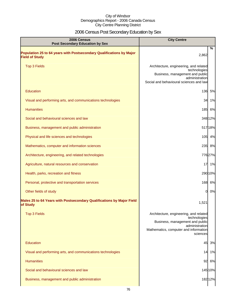# 2006 Census Post Secondary Education by Sex

| <b>2006 Census</b><br><b>Post Secondary Education by Sex</b>                                  | <b>City Centre</b>                                                                                                                                               |  |
|-----------------------------------------------------------------------------------------------|------------------------------------------------------------------------------------------------------------------------------------------------------------------|--|
| Population 25 to 64 years with Postsecondary Qualifications by Major<br><b>Field of Study</b> | $\frac{0}{0}$<br>2,862                                                                                                                                           |  |
| <b>Top 3 Fields</b>                                                                           | Architecture, engineering, and related<br>technologies<br>Business, management and public<br>administration<br>Social and behavioural sciences and law           |  |
| Education                                                                                     | 136<br>5%                                                                                                                                                        |  |
| Visual and performing arts, and communications technologies                                   | 34<br>1%                                                                                                                                                         |  |
| <b>Humanities</b>                                                                             | 185<br>6%                                                                                                                                                        |  |
| Social and behavioural sciences and law                                                       | 348 12%                                                                                                                                                          |  |
| Business, management and public administration                                                | 517 18%                                                                                                                                                          |  |
| Physical and life sciences and technologies                                                   | 105 4%                                                                                                                                                           |  |
| Mathematics, computer and information sciences                                                | 235 8%                                                                                                                                                           |  |
| Architecture, engineering, and related technologies                                           | 77627%                                                                                                                                                           |  |
| Agriculture, natural resources and conservation                                               | 17<br>1%                                                                                                                                                         |  |
| Health, parks, recreation and fitness                                                         | 29010%                                                                                                                                                           |  |
| Personal, protective and transportation services                                              | 168 6%                                                                                                                                                           |  |
| Other fields of study                                                                         | 0%<br>$\overline{0}$                                                                                                                                             |  |
| Males 25 to 64 Years with Postsecondary Qualifications by Major Field<br>of Study             | 1,521                                                                                                                                                            |  |
| <b>Top 3 Fields</b>                                                                           | Architecture, engineering, and related<br>technologies<br>Business, management and public<br>administration<br>Mathematics, computer and information<br>sciences |  |
| Education                                                                                     | 45<br>3%                                                                                                                                                         |  |
| Visual and performing arts, and communications technologies                                   | 1%<br>14                                                                                                                                                         |  |
| <b>Humanities</b>                                                                             | 92<br>6%                                                                                                                                                         |  |
| Social and behavioural sciences and law                                                       | 14510%                                                                                                                                                           |  |
| Business, management and public administration                                                | 18212%                                                                                                                                                           |  |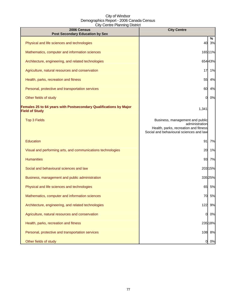| 2006 Census<br><b>Post Secondary Education by Sex</b>                                      | <b>City Centre</b>                                                                                                                    |         |
|--------------------------------------------------------------------------------------------|---------------------------------------------------------------------------------------------------------------------------------------|---------|
| Physical and life sciences and technologies                                                | 40                                                                                                                                    | %<br>3% |
| Mathematics, computer and information sciences                                             |                                                                                                                                       | 165 11% |
| Architecture, engineering, and related technologies                                        |                                                                                                                                       | 65443%  |
| Agriculture, natural resources and conservation                                            | 17                                                                                                                                    | 1%      |
| Health, parks, recreation and fitness                                                      | 55                                                                                                                                    | 4%      |
| Personal, protective and transportation services                                           | 60                                                                                                                                    | 4%      |
| Other fields of study                                                                      | O.                                                                                                                                    | 0%      |
| Females 25 to 64 years with Postsecondary Qualifications by Major<br><b>Field of Study</b> | 1,341                                                                                                                                 |         |
| <b>Top 3 Fields</b>                                                                        | Business, management and public<br>administration<br>Health, parks, recreation and fitness<br>Social and behavioural sciences and law |         |
| Education                                                                                  | 91                                                                                                                                    | 7%      |
| Visual and performing arts, and communications technologies                                | 20                                                                                                                                    | 1%      |
| <b>Humanities</b>                                                                          | 93                                                                                                                                    | 7%      |
| Social and behavioural sciences and law                                                    |                                                                                                                                       | 20315%  |
| Business, management and public administration                                             |                                                                                                                                       | 33525%  |
| Physical and life sciences and technologies                                                | 65                                                                                                                                    | 5%      |
| Mathematics, computer and information sciences                                             | 70                                                                                                                                    | 5%      |
| Architecture, engineering, and related technologies                                        | 122                                                                                                                                   | 9%      |
| Agriculture, natural resources and conservation                                            | 0                                                                                                                                     | 0%      |
| Health, parks, recreation and fitness                                                      |                                                                                                                                       | 235 18% |
| Personal, protective and transportation services                                           |                                                                                                                                       | 108 8%  |
| Other fields of study                                                                      | 01                                                                                                                                    | 0%      |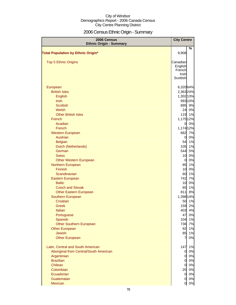# 2006 Census Ethnic Origin - Summary

| 2006 Census                               | <b>City Centre</b>  |             |
|-------------------------------------------|---------------------|-------------|
| <b>Ethnic Origin - Summary</b>            |                     | %           |
| <b>Total Population by Ethnic Origin*</b> | 9,908               |             |
|                                           |                     |             |
| <b>Top 5 Ethnic Origins</b>               | Canadian            |             |
|                                           | English             |             |
|                                           | French              |             |
|                                           | Irish               |             |
|                                           | Scottish            |             |
| European                                  | 6,32064%            |             |
| <b>British Isles</b>                      | 2,363 24%           |             |
| English                                   | 1,302 13%           |             |
| <b>Irish</b>                              |                     | 993 10%     |
| <b>Scottish</b>                           | 895                 | 9%          |
| Welsh                                     | 24                  | 0%          |
| <b>Other British Isles</b>                | 119                 | 1%          |
| French                                    | 1,175 12%           |             |
| Acadian                                   | 0l                  | 0%          |
| French                                    | 1,174 12%           |             |
| <b>Western European</b>                   | 682                 | 7%          |
| Austrian                                  | 0                   | 0%          |
| <b>Belgian</b>                            | 54                  | 1%          |
| Dutch (Netherlands)                       | 105                 | 1%          |
| German                                    | 544                 | 5%          |
| <b>Swiss</b>                              | 10                  | 0%          |
| <b>Other Western European</b>             | $\overline{0}$      | 0%          |
| Northern European                         | 85                  | 1%          |
| Finnish<br>Scandinavian                   | 10<br>60            | 0%<br>1%    |
| Eastern European                          | 742                 | 7%          |
| <b>Baltic</b>                             | 10                  | 0%          |
| <b>Czech and Slovak</b>                   | 65                  | 1%          |
| <b>Other Eastern European</b>             | 811                 | 8%          |
| Southern European                         | 1,398 14%           |             |
| Croatian                                  | 50                  | 1%          |
| Greek                                     | 159                 | 2%          |
| Italian                                   | 403                 | 4%          |
| Portuguese                                | 47                  | $0\%$       |
| Spanish                                   | 104                 | 1%          |
| Other Southern European                   | 736                 | 7%          |
| <b>Other European</b>                     | 92                  | 1%          |
| <b>Jewish</b>                             | 85                  | 1%          |
| <b>Other European</b>                     |                     | 0%          |
| Latin, Central and South American         | 147                 | 1%          |
| Aboriginal from Central/South American    | 0                   | 0%          |
| Argentinian                               | $\overline{0}$      | 0%          |
| <b>Brazilian</b>                          | $\overline{0}$      | 0%          |
| Chilean                                   | $\overline{0}$      | 0%          |
| Colombian                                 | 25                  | 0%          |
| Ecuadorian                                | $\overline{0}$      | 0%          |
| Guatemalan<br>Mexican                     | $\overline{0}$<br>0 | $0\%$<br>0% |
|                                           |                     |             |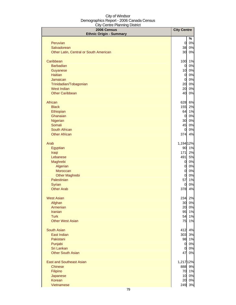| 2006 Census                            | <b>City Centre</b> |        |
|----------------------------------------|--------------------|--------|
| <b>Ethnic Origin - Summary</b>         |                    | $\%$   |
| Peruvian                               | $\overline{0}$     | 0%     |
| Salvadorean                            | 38                 | 0%     |
| Other Latin, Central or South American | 30                 | 0%     |
|                                        |                    |        |
| Caribbean                              | 100                | 1%     |
| <b>Barbadian</b>                       | $\overline{0}$     | 0%     |
| Guyanese                               | 10                 | 0%     |
| <b>Haitian</b>                         | $\overline{0}$     | 0%     |
| Jamaican                               | $\overline{0}$     | 0%     |
| Trinidadian/Tobagonian                 | 20                 | 0%     |
| <b>West Indian</b>                     | 20                 | 0%     |
| <b>Other Caribbean</b>                 | 40                 | 0%     |
| African                                | 628                | 6%     |
| <b>Black</b>                           | 155                | 2%     |
| Ethiopian                              | 64                 | 1%     |
| Ghanaian                               | $\mathbf 0$        | 0%     |
| Nigerian                               | 30                 | 0%     |
| Somali                                 | 45                 | 0%     |
| South African                          | $\overline{0}$     | 0%     |
| <b>Other African</b>                   | 374                | 4%     |
| Arab                                   | 1,194 12%          |        |
| Egyptian                               | 90                 | 1%     |
| Iraqi                                  | 171                | 2%     |
| Lebanese                               | 491                | 5%     |
| Maghrebi                               | $\overline{0}$     | 0%     |
| Algerian                               | $\overline{0}$     | 0%     |
| Moroccan                               | $\mathbf 0$        | 0%     |
| <b>Other Maghrebi</b>                  | $\overline{0}$     | 0%     |
| Palestinian                            | 57                 | 1%     |
| Syrian                                 | $\overline{0}$     | 0%     |
| <b>Other Arab</b>                      | 378                | 4%     |
| <b>West Asian</b>                      |                    | 234 2% |
| Afghan                                 | 30                 | 0%     |
| Armenian                               | 20                 | 0%     |
| <b>Iranian</b>                         | 95                 | 1%     |
| <b>Turk</b>                            | 54                 | 1%     |
| <b>Other West Asian</b>                | 75                 | 1%     |
| <b>South Asian</b>                     | 412                | 4%     |
| East Indian                            | 303                | 3%     |
| Pakistani                              | 98                 | 1%     |
| Punjabi                                | $\overline{O}$     | 0%     |
| Sri Lankan                             | $\overline{0}$     | 0%     |
| <b>Other South Asian</b>               | 47                 | 0%     |
| <b>East and Southeast Asian</b>        | 1,217 12%          |        |
| <b>Chinese</b>                         | 888                | 9%     |
| Filipino                               | 70                 | 1%     |
| Japanese                               | 10                 | 0%     |
| Korean                                 | 20                 | 0%     |
| Vietnamese                             | 249                | 3%     |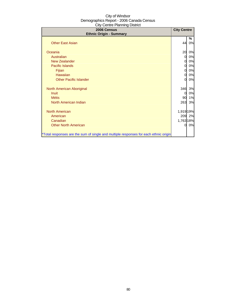| 2006 Census<br><b>Ethnic Origin - Summary</b>                                        | <b>City Centre</b> |         |
|--------------------------------------------------------------------------------------|--------------------|---------|
| <b>Other East Asian</b>                                                              | 44                 | ℅<br>0% |
| Oceania                                                                              | 20                 | 0%      |
| Australian                                                                           | 0                  | 0%      |
| <b>New Zealander</b>                                                                 | 0                  | 0%      |
| Pacific Islands                                                                      | 0                  | 0%      |
| Fijian                                                                               | 0                  | 0%      |
| Hawaiian                                                                             | 0                  | 0%      |
| <b>Other Pacific Islander</b>                                                        | 0                  | 0%      |
| North American Aboriginal                                                            | 346                | 3%      |
| <b>Inuit</b>                                                                         | 0                  | 0%      |
| <b>Métis</b>                                                                         | 90                 | 1%      |
| North American Indian                                                                | 263                | 3%      |
| <b>North American</b>                                                                | 1,919 19%          |         |
| American                                                                             |                    | 209 2%  |
| Canadian                                                                             | 1,763 18%          |         |
| <b>Other North American</b>                                                          | 0                  | 0%      |
| *Total responses are the sum of single and multiple responses for each ethnic origin |                    |         |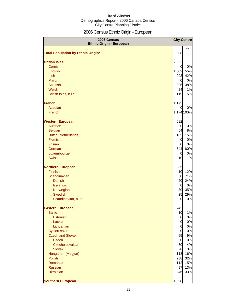# 2006 Census Ethnic Origin - European

| 2006 Census<br><b>Ethnic Origin - European</b> |                         | <b>City Centre</b> |
|------------------------------------------------|-------------------------|--------------------|
|                                                |                         | %                  |
| <b>Total Population by Ethnic Origin*</b>      | 9,908                   |                    |
|                                                |                         |                    |
| <b>British Isles</b>                           | 2,363                   |                    |
| Cornish<br>English                             | $\overline{0}$<br>1,302 | 0%<br>55%          |
| <b>Irish</b>                                   | 993                     | 42%                |
| <b>Manx</b>                                    | $\overline{0}$          | 0%                 |
| <b>Scottish</b>                                | 895                     | 38%                |
| Welsh                                          | 24                      | 1%                 |
| British Isles, n.i.e.                          | 119                     | 5%                 |
| <b>French</b>                                  | 1,175                   |                    |
| Acadian                                        | $\overline{O}$          | 0%                 |
| French                                         |                         | 1,174 100%         |
| <b>Western European</b>                        | 682                     |                    |
| Austrian                                       | $\overline{0}$          | 0%                 |
| <b>Belgian</b>                                 | 54                      | 8%                 |
| Dutch (Netherlands)                            | 105                     | 15%                |
| Flemish                                        | $\overline{0}$          | 0%                 |
| Frisian                                        | $\overline{0}$          | 0%                 |
| German                                         | 544                     | 80%                |
| Luxembourger                                   | $\overline{0}$          | 0%                 |
| <b>Swiss</b>                                   | 10                      | 1%                 |
| <b>Northern European</b>                       | 85                      |                    |
| <b>Finnish</b>                                 | 10                      | 12%                |
| Scandinavian                                   | 60                      | 71%                |
| <b>Danish</b>                                  | 20                      | 24%                |
| Icelandic                                      | $\overline{0}$          | 0%                 |
| Norwegian                                      | 30                      | 35%                |
| <b>Swedish</b>                                 | 25                      | 29%                |
| Scandinavian, n.i.e.                           | $\overline{0}$          | 0%                 |
| <b>Eastern European</b>                        | 742                     |                    |
| <b>Baltic</b>                                  | 10                      | 1%                 |
| Estonian                                       | $\mathbf{0}$            | 0%                 |
| Latvian                                        | $\overline{0}$          | 0%                 |
| Lithuanian                                     | $\overline{0}$          | 0%                 |
| <b>Byelorussian</b>                            | $\overline{0}$          | 0%                 |
| <b>Czech and Slovak</b>                        | 65                      | 9%                 |
| <b>Czech</b><br>Czechoslovakian                | $\overline{O}$<br>30    | 0%<br>4%           |
| <b>Slovak</b>                                  | 20                      | 3%                 |
| Hungarian (Magyar)                             | 118                     | 16%                |
| Polish                                         | 238                     | 32%                |
| Romanian                                       | 112                     | 15%                |
| Russian                                        | 97                      | 13%                |
| <b>Ukrainian</b>                               | 246                     | 33%                |
| <b>Southern European</b>                       | 1,398                   |                    |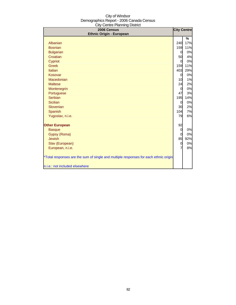| 2006 Census                                                                          | <b>City Centre</b> |          |
|--------------------------------------------------------------------------------------|--------------------|----------|
| <b>Ethnic Origin - European</b>                                                      |                    |          |
| Albanian                                                                             | 240                | %<br>17% |
| <b>Bosnian</b>                                                                       | 159                | 11%      |
| <b>Bulgarian</b>                                                                     | $\overline{0}$     | 0%       |
| Croatian                                                                             | 50                 | 4%       |
| Cypriot                                                                              | $\Omega$           | 0%       |
| <b>Greek</b>                                                                         | 159                | 11%      |
| Italian                                                                              | 403                | 29%      |
| Kosovar                                                                              | $\overline{0}$     | 0%       |
| Macedonian                                                                           | 10                 | 1%       |
| <b>Maltese</b>                                                                       | 24                 | 2%       |
| Montenegrin                                                                          | $\overline{0}$     | 0%       |
| Portuguese                                                                           | 47                 | 3%       |
| Serbian                                                                              | 195                | 14%      |
| <b>Sicilian</b>                                                                      | 0                  | 0%       |
| Slovenian                                                                            | 30                 | 2%       |
| Spanish                                                                              | 104                | 7%       |
| Yugoslav, n.i.e.                                                                     | 79                 | 6%       |
| <b>Other European</b>                                                                | 92                 |          |
| <b>Basque</b>                                                                        | $\Omega$           | 0%       |
| Gypsy (Roma)                                                                         | $\Omega$           | 0%       |
| <b>Jewish</b>                                                                        | 85                 | 92%      |
| Slav (European)                                                                      | 0                  | 0%       |
| European, n.i.e.                                                                     | 7                  | 8%       |
| *Total responses are the sum of single and multiple responses for each ethnic origin |                    |          |
| n.i.e.: not included elsewhere                                                       |                    |          |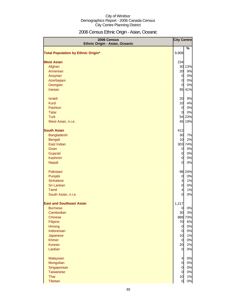# 2006 Census Ethnic Origin - Asian, Oceanic

| 2006 Census<br>Ethnic Origin - Asian, Oceanic | <b>City Centre</b>               |          |
|-----------------------------------------------|----------------------------------|----------|
|                                               |                                  | %        |
| <b>Total Population by Ethnic Origin*</b>     | 9,908                            |          |
| <b>West Asian</b>                             | 234                              |          |
| Afghan                                        |                                  | 30 13%   |
| Armenian                                      | 20                               | 9%       |
| Assyrian                                      | $\overline{0}$                   | 0%       |
| Azerbaijani                                   | $\overline{0}$                   | 0%       |
| Georgian                                      | $\overline{0}$                   | 0%       |
| <b>Iranian</b>                                |                                  | 95 41%   |
| <b>Israeli</b>                                | 20                               | 9%       |
| <b>Kurd</b>                                   | 10                               | 4%       |
| Pashtun                                       | $\overline{0}$                   | 0%       |
| <b>Tatar</b>                                  | $\overline{0}$                   | 0%       |
| <b>Turk</b>                                   |                                  | 54 23%   |
| West Asian, n.i.e.                            |                                  | 45 19%   |
| <b>South Asian</b>                            | 412                              |          |
| Bangladeshi                                   | 30                               | 7%       |
| Bengali                                       | 10                               | 2%       |
| East Indian                                   |                                  | 303 74%  |
| Goan                                          | $\overline{0}$                   | 0%       |
| Gujarati                                      | $\overline{O}$                   | 0%       |
| Kashmiri                                      | $\overline{0}$                   | 0%       |
| Nepali                                        | $\overline{O}$                   | 0%       |
| Pakistani                                     |                                  | 98 24%   |
| Punjabi                                       | $\overline{0}$                   | 0%       |
| <b>Sinhalese</b>                              | $\overline{4}$                   | 1%       |
| Sri Lankan                                    | $\overline{0}$                   | 0%       |
| Tamil                                         | $\overline{4}$                   | 1%       |
| South Asian, n.i.e.                           | 0                                | 0%       |
| <b>East and Southeast Asian</b>               | 1,217                            |          |
| <b>Burmese</b>                                | $\overline{0}$                   | 0%       |
| Cambodian                                     | 30                               | 3%       |
| <b>Chinese</b>                                |                                  | 888 73%  |
| Filipino                                      | 70                               | 6%       |
| Hmong                                         | $\overline{0}$                   | 0%       |
| Indonesian                                    | $\overline{0}$                   | 0%       |
| Japanese                                      | 10                               | 1%       |
| <b>Khmer</b>                                  | $\overline{O}$                   | 0%       |
| Korean<br>Laotian                             | 20<br>$\overline{O}$             | 2%<br>0% |
|                                               |                                  | 0%       |
| Malaysian                                     | $\overline{a}$<br>$\overline{O}$ |          |
| Mongolian<br>Singaporean                      | $\overline{0}$                   | 0%<br>0% |
| <b>Taiwanese</b>                              | $\overline{0}$                   | 0%       |
| Thai                                          | 10                               | 1%       |
| Tibetan                                       | $\overline{0}$                   | $0\%$    |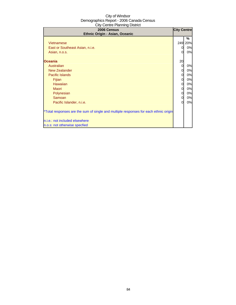| 2006 Census<br>Ethnic Origin - Asian, Oceanic                                                                                                                                                                                                                                                                                             | <b>City Centre</b>                                             |                                                                            |
|-------------------------------------------------------------------------------------------------------------------------------------------------------------------------------------------------------------------------------------------------------------------------------------------------------------------------------------------|----------------------------------------------------------------|----------------------------------------------------------------------------|
| Vietnamese<br>East or Southeast Asian, n.i.e.<br>Asian, n.o.s.<br><b>Oceania</b><br>Australian<br><b>New Zealander</b><br><b>Pacific Islands</b><br>Fijian<br><b>Hawaiian</b><br><b>Maori</b><br>Polynesian<br>Samoan<br>Pacific Islander, n.i.e.<br>*Total responses are the sum of single and multiple responses for each ethnic origin | 249I<br>$\Omega$<br>20<br>0<br>0<br>0<br>0<br>0<br>0<br>0<br>0 | ℅<br>20%<br>0%<br>0%<br>0%<br>0%<br>0%<br>0%<br>0%<br>0%<br>0%<br>0%<br>0% |
| n.i.e.: not included elsewhere<br>n.o.s: not otherwise specfied                                                                                                                                                                                                                                                                           |                                                                |                                                                            |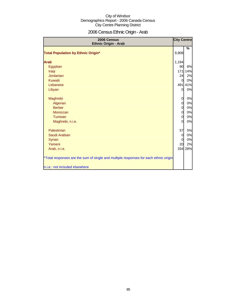# 2006 Census Ethnic Origin - Arab

| 2006 Census<br>Ethnic Origin - Arab                                                  | <b>City Centre</b> |         |
|--------------------------------------------------------------------------------------|--------------------|---------|
| <b>Total Population by Ethnic Origin*</b>                                            | 9,908              | %       |
|                                                                                      |                    |         |
| <b>Arab</b>                                                                          | 1,194              |         |
| Egyptian                                                                             | 90                 | 8%      |
| Iraqi                                                                                | 171                | 14%     |
| Jordanian                                                                            | 24                 | 2%      |
| Kuwaiti                                                                              | $\overline{0}$     | 0%      |
| Lebanese                                                                             | 491                | 41%     |
| Libyan                                                                               | $\overline{0}$     | 0%      |
| Maghrebi                                                                             | $\overline{0}$     | 0%      |
| Algerian                                                                             | 0                  | 0%      |
| <b>Berber</b>                                                                        | $\overline{0}$     | 0%      |
| Moroccan                                                                             | $\overline{0}$     | 0%      |
| Tunisian                                                                             | 0                  | 0%      |
| Maghrebi, n.i.e.                                                                     | $\overline{0}$     | 0%      |
| Palestinian                                                                          | 57                 | 5%      |
| Saudi Arabian                                                                        | $\Omega$           | 0%      |
| Syrian                                                                               | 0                  | 0%      |
| Yemeni                                                                               | 20                 | 2%      |
| Arab, n.i.e.                                                                         |                    | 334 28% |
| *Total responses are the sum of single and multiple responses for each ethnic origin |                    |         |
| n.i.e.: not included elsewhere                                                       |                    |         |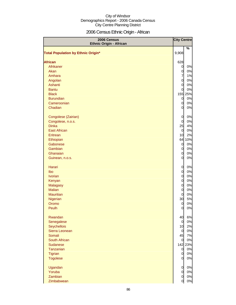# 2006 Census Ethnic Origin - African

| 2006 Census<br><b>Ethnic Origin - African</b> | <b>City Centre</b>               |         |
|-----------------------------------------------|----------------------------------|---------|
| <b>Total Population by Ethnic Origin*</b>     | 9,908                            | $\%$    |
| <b>African</b>                                | 628                              |         |
| Afrikaner                                     |                                  | 0%      |
| Akan                                          | $\overline{0}$                   | 0%      |
| Amhara                                        | $\overline{0}$<br>$\overline{7}$ |         |
|                                               |                                  | 1%      |
| Angolan<br>Ashanti                            | $\overline{0}$                   | 0%      |
|                                               | $\overline{0}$                   | 0%      |
| <b>Bantu</b>                                  | $\overline{0}$                   | 0%      |
| <b>Black</b>                                  |                                  | 155 25% |
| <b>Burundian</b>                              | $\overline{0}$                   | 0%      |
| Cameroonian                                   | $\overline{0}$                   | 0%      |
| Chadian                                       | $\overline{0}$                   | 0%      |
| Congolese (Zairian)                           | $\overline{0}$                   | 0%      |
| Congolese, n.o.s.                             | $\overline{0}$                   | 0%      |
| <b>Dinka</b>                                  | 25                               | 4%      |
| <b>East African</b>                           | $\overline{0}$                   | 0%      |
| Eritrean                                      | 10                               | 2%      |
| Ethiopian                                     |                                  | 64 10%  |
| Gabonese                                      | $\overline{0}$                   | 0%      |
| Gambian                                       | $\overline{0}$                   | 0%      |
| Ghanaian                                      | $\overline{0}$                   | 0%      |
| Guinean, n.o.s.                               | $\overline{0}$                   | 0%      |
| Harari                                        | $\overline{0}$                   | 0%      |
| Ibo                                           | $\overline{0}$                   | 0%      |
| <b>Ivorian</b>                                | $\overline{0}$                   | 0%      |
| Kenyan                                        | $\overline{0}$                   | 0%      |
| <b>Malagasy</b>                               | $\overline{0}$                   | 0%      |
| <b>Malian</b>                                 | $\overline{0}$                   | 0%      |
| <b>Mauritian</b>                              | $\overline{0}$                   | 0%      |
| Nigerian                                      | 30                               | 5%      |
| Oromo                                         | $\overline{0}$                   | 0%      |
| Peulh                                         | $\overline{0}$                   | 0%      |
| Rwandan                                       | 40                               | 6%      |
| Senegalese                                    | $\overline{0}$                   | 0%      |
| <b>Seychellois</b>                            | 10                               | 2%      |
| Sierra Leonean                                | $\overline{0}$                   | 0%      |
| Somali                                        | 45                               | 7%      |
| South African                                 | $\overline{0}$                   | 0%      |
| Sudanese                                      |                                  | 142 23% |
| Tanzanian                                     | $\overline{a}$                   | 0%      |
| Tigrian                                       | $\overline{0}$                   | 0%      |
| <b>Togolese</b>                               | $\overline{0}$                   | 0%      |
| Ugandan                                       | $\overline{0}$                   | 0%      |
| Yoruba                                        | $\overline{0}$                   | 0%      |
| Zambian                                       | $\overline{0}$                   | 0%      |
| Zimbabwean                                    | $\overline{0}$                   | 0%      |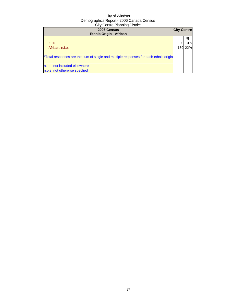| 2006 Census<br><b>Ethnic Origin - African</b>                                        | <b>City Centre</b> |                    |
|--------------------------------------------------------------------------------------|--------------------|--------------------|
| Zulu<br>African, n.i.e.                                                              |                    | %<br>0%<br>139 22% |
| *Total responses are the sum of single and multiple responses for each ethnic origin |                    |                    |
| n.i.e.: not included elsewhere<br>n.o.s: not otherwise specfied                      |                    |                    |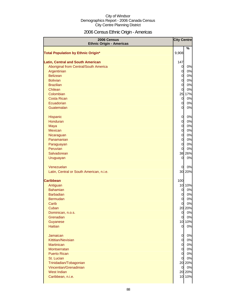# 2006 Census Ethnic Origin - Americas

| 2006 Census<br><b>Ethnic Origin - Americas</b>                                    | <b>City Centre</b>               |               |
|-----------------------------------------------------------------------------------|----------------------------------|---------------|
|                                                                                   |                                  | $\frac{9}{6}$ |
| <b>Total Population by Ethnic Origin*</b>                                         | 9,908                            |               |
|                                                                                   |                                  |               |
| <b>Latin, Central and South American</b><br>Aboriginal from Central/South America | 147<br>$\overline{0}$            | 0%            |
| Argentinian                                                                       | $\overline{0}$                   | 0%            |
| <b>Belizean</b>                                                                   | $\overline{0}$                   | 0%            |
| <b>Bolivian</b>                                                                   | $\overline{0}$                   | 0%            |
| <b>Brazilian</b>                                                                  | $\overline{0}$                   | 0%            |
| Chilean                                                                           | $\overline{0}$                   | 0%            |
| Colombian                                                                         |                                  | 25 17%        |
| <b>Costa Rican</b>                                                                | $\overline{0}$                   | 0%            |
| Ecuadorian                                                                        | $\overline{O}$                   | 0%            |
| Guatemalan                                                                        | $\overline{0}$                   | 0%            |
|                                                                                   |                                  |               |
| Hispanic                                                                          | $\overline{0}$                   | 0%            |
| Honduran                                                                          | $\overline{0}$                   | 0%            |
| Maya                                                                              | $\overline{0}$                   | 0%            |
| <b>Mexican</b>                                                                    | $\overline{0}$                   | 0%            |
| Nicaraguan<br>Panamanian                                                          | $\overline{0}$<br>$\overline{0}$ | 0%<br>0%      |
| Paraguayan                                                                        | $\overline{0}$                   | 0%            |
| Peruvian                                                                          | $\overline{O}$                   | 0%            |
| Salvadorean                                                                       |                                  | 38 26%        |
| Uruguayan                                                                         | <sub>0</sub>                     | 0%            |
|                                                                                   |                                  |               |
| Venezuelan                                                                        | $\overline{0}$                   | 0%            |
| Latin, Central or South American, n.i.e.                                          |                                  | 30 20%        |
|                                                                                   |                                  |               |
| <b>Caribbean</b>                                                                  | 100                              |               |
| Antiguan                                                                          |                                  | 10 10%        |
| <b>Bahamian</b>                                                                   | $\overline{0}$                   | 0%            |
| <b>Barbadian</b>                                                                  | $\overline{0}$                   | 0%            |
| <b>Bermudan</b>                                                                   | $\overline{0}$                   | 0%            |
| Carib                                                                             | 0                                | 0%            |
| Cuban                                                                             | $\overline{0}$                   | 20 20%<br>0%  |
| Dominican, n.o.s.<br>Grenadian                                                    | $\overline{0}$                   | 0%            |
| Guyanese                                                                          |                                  | 10 10%        |
| <b>Haitian</b>                                                                    | $\overline{0}$                   | 0%            |
|                                                                                   |                                  |               |
| <b>Jamaican</b>                                                                   | $\overline{0}$                   | 0%            |
| Kittitian/Nevisian                                                                | $\overline{0}$                   | 0%            |
| <b>Martinican</b>                                                                 | $\overline{0}$                   | 0%            |
| Montserratan                                                                      | $\overline{O}$                   | 0%            |
| <b>Puerto Rican</b>                                                               | $\overline{0}$                   | 0%            |
| St. Lucian                                                                        | $\overline{0}$                   | 0%            |
| Trinidadian/Tobagonian                                                            |                                  | 20 20%        |
| Vincentian/Grenadinian                                                            | $\overline{0}$                   | 0%            |
| West Indian                                                                       |                                  | 20 20%        |
| Caribbean, n.i.e.                                                                 |                                  | 10 10%        |
|                                                                                   |                                  |               |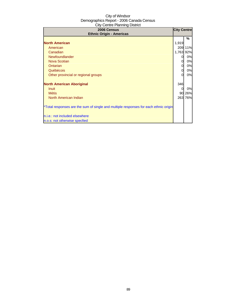| 2006 Census<br><b>Ethnic Origin - Americas</b>                                       | <b>City Centre</b> |         |
|--------------------------------------------------------------------------------------|--------------------|---------|
|                                                                                      |                    | ℅       |
| <b>North American</b>                                                                | 1,919              |         |
| American                                                                             |                    | 209 11% |
| Canadian                                                                             | 1,763 92%          |         |
| Newfoundlander                                                                       | 0                  | 0%      |
| <b>Nova Scotian</b>                                                                  | 0                  | 0%      |
| Ontarian                                                                             | 0l                 | 0%      |
| Québécois                                                                            | 0l                 | 0%      |
| Other provincial or regional groups                                                  | 0l                 | 0%      |
| <b>North American Aboriginal</b>                                                     | 346                |         |
| <b>Inuit</b>                                                                         | 0                  | 0%      |
| <b>Métis</b>                                                                         | 90                 | 26%     |
| North American Indian                                                                |                    | 263 76% |
| *Total responses are the sum of single and multiple responses for each ethnic origin |                    |         |
| n.i.e.: not included elsewhere                                                       |                    |         |
| n.o.s: not otherwise specfied                                                        |                    |         |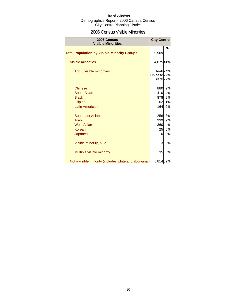### 2006 Census Visible Minorities

| 2006 Census<br><b>Visible Minorities</b>               | <b>City Centre</b>                             |                     |
|--------------------------------------------------------|------------------------------------------------|---------------------|
| <b>Total Population by Visible Minority Groups</b>     | 9,909                                          | %                   |
| <b>Visible minorities</b>                              | 4,07541%                                       |                     |
| Top 3 visible minorities                               | Chinese <sub>22%</sub><br>Black <sub>22%</sub> | Arab <sub>24%</sub> |
| <b>Chinese</b>                                         | 880                                            | 9%                  |
| South Asian                                            | 410                                            | 4%                  |
| <b>Black</b>                                           | 878                                            | 9%                  |
| <b>Filipino</b>                                        | 62                                             | 1%                  |
| <b>Latin American</b>                                  | 164                                            | 2%                  |
| Southeast Asian                                        | 256                                            | 3%                  |
| Arab                                                   | 939                                            | 9%                  |
| <b>West Asian</b>                                      | 360                                            | 4%                  |
| Korean                                                 | 25                                             | 0%                  |
| Japanese                                               | 10                                             | 0%                  |
| Visible minority, n.i.e.                               | 3                                              | 0%                  |
| Multiple visible minority                              | 35                                             | 0%                  |
| Not a visible minority (includes white and aboriginal) | 5,81459%                                       |                     |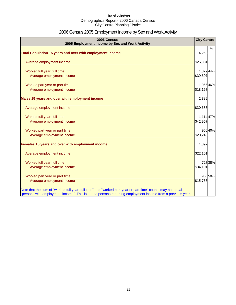# 2006 Census 2005 Employment Income by Sex and Work Activity

| 2006 Census<br>2005 Employment Income by Sex and Work Activity                                                                                                                                                            | <b>City Centre</b> |               |
|---------------------------------------------------------------------------------------------------------------------------------------------------------------------------------------------------------------------------|--------------------|---------------|
|                                                                                                                                                                                                                           |                    | $\frac{0}{0}$ |
| Total Population 15 years and over with employment income                                                                                                                                                                 | 4,268              |               |
| Average employment income                                                                                                                                                                                                 | \$26,881           |               |
| Worked full year, full time                                                                                                                                                                                               | 1,879 44%          |               |
| Average employment income                                                                                                                                                                                                 | \$39,607           |               |
| Worked part year or part time                                                                                                                                                                                             | 1,96546%           |               |
| Average employment income                                                                                                                                                                                                 | \$18,157           |               |
| Males 15 years and over with employment income                                                                                                                                                                            | 2,389              |               |
| Average employment income                                                                                                                                                                                                 | \$30,683           |               |
| Worked full year, full time                                                                                                                                                                                               | 1,114 47%          |               |
| Average employment income                                                                                                                                                                                                 | \$42,967           |               |
| Worked part year or part time                                                                                                                                                                                             |                    | 96640%        |
| Average employment income                                                                                                                                                                                                 | \$20,248           |               |
| Females 15 years and over with employment income                                                                                                                                                                          | 1,892              |               |
| Average employment income                                                                                                                                                                                                 | \$22,161           |               |
| Worked full year, full time                                                                                                                                                                                               |                    | 72738%        |
| Average employment income                                                                                                                                                                                                 | \$34,191           |               |
| Worked part year or part time                                                                                                                                                                                             |                    | 95350%        |
| Average employment income                                                                                                                                                                                                 | \$15,753           |               |
| Note that the sum of "worked full year, full time" and "worked part year or part time" counts may not equal<br>"persons with employment income". This is due to persons reporting employment income from a previous year. |                    |               |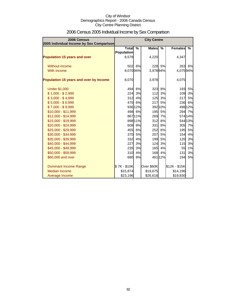| 2006 Census<br>2005 Individual Income by Sex Comparison |                            |               | <b>City Centre</b> |               |                |         |
|---------------------------------------------------------|----------------------------|---------------|--------------------|---------------|----------------|---------|
|                                                         | Total<br><b>Population</b> | $\frac{0}{2}$ | <b>Males</b>       | $\frac{9}{6}$ | <b>Females</b> | %       |
| <b>Population 15 years and over</b>                     | 8,578                      |               | 4,220              |               | 4,347          |         |
| Without income                                          |                            | 502 6%        |                    | 228 5%        | 263            | 6%      |
| With income                                             | 8,070 94%                  |               | 3,97894%           |               | 4,07594%       |         |
| Population 15 years and over by Income                  | 8,070                      |               | 3,978              |               | 4,075          |         |
| <b>Under \$1,000</b>                                    | 494                        | 6%            |                    | 323 8%        | 193            | 5%      |
| $$1,000 - $2,999$                                       | 224                        | 3%            | 112                | 3%            | 109            | 3%      |
| $$3,000 - $4,999$                                       | 312                        | 4%            | 125                | 3%            | 217            | 5%      |
| $$5,000 - $6,999$                                       |                            | 470 6%        | 217                | 5%            | 236            | 6%      |
| $$7,000 - $9,999$                                       |                            | 936 12%       |                    | 392 10%       |                | 498 12% |
| \$10,000 - \$11,999                                     |                            | 498 6%        | 195                | 5%            |                | 294 7%  |
| \$12,000 - \$14,999                                     |                            | 86711%        | 269                | 7%            |                | 574 14% |
| \$15,000 - \$19,999                                     |                            | 898 11%       | 312                | 8%            |                | 544 13% |
| \$20,000 - \$24,999                                     |                            | 608 8%        | 331                | 8%            |                | 305 7%  |
| \$25,000 - \$29,999                                     | 455                        | 6%            | 252                | 6%            | 195            | 5%      |
| \$30,000 - \$34,999                                     | 370                        | 5%            | 207                | 5%            | 154            | 4%      |
| \$35,000 - \$39,999                                     | 332                        | 4%            | 199                | 5%            | 120            | 3%      |
| \$40,000 - \$44,999                                     | 227                        | 3%            | 124                | 3%            | 115            | 3%      |
| \$45,000 - \$49,999                                     | 235                        | 3%            | 165                | 4%            | 55             | 1%      |
| \$50,000 - \$59,999                                     | 310                        | 4%            | 168                | 4%            | 131            | 3%      |
| \$60,000 and over                                       | 680                        | 8%            |                    | 461 12%       | 194            | 5%      |
| <b>Dominant Income Range</b>                            | \$7K-\$10K                 |               | Over \$60K         |               | \$12K - \$15K  |         |
| Median Income                                           | \$15,874                   |               | \$19,675           |               | \$14,196       |         |
| Average Income                                          | \$23,196                   |               | \$26,618           |               | \$19,830       |         |

# 2006 Census 2005 Individual Income by Sex Comparison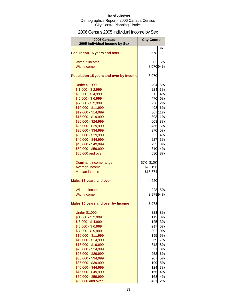# 2006 Census 2005 Individual Income by Sex

| <b>Population 15 years and over</b><br>8,578             | %        |
|----------------------------------------------------------|----------|
| <b>Without income</b><br>5021                            | 6%       |
| With income<br>8,07094%                                  |          |
| Population 15 years and over by Income<br>8,070          |          |
| <b>Under \$1,000</b><br>494l                             | 6%       |
| 224<br>$$1,000 - $2,999$                                 | 3%       |
| $$3,000 - $4,999$<br>312                                 | 4%       |
| $$5,000 - $6,999$<br>470 6%                              |          |
| $$7,000 - $9,999$<br>936 12%                             |          |
| \$10,000 - \$11,999<br>498 6%                            |          |
| \$12,000 - \$14,999<br>867 11%                           |          |
| 898 11%<br>\$15,000 - \$19,999                           |          |
| \$20,000 - \$24,999<br>608 8%                            |          |
| \$25,000 - \$29,999<br>455                               | 6%       |
| \$30,000 - \$34,999<br>370                               | 5%       |
| \$35,000 - \$39,999<br>332                               | 4%       |
| \$40,000 - \$44,999<br>227                               | 3%       |
| \$45,000 - \$49,999<br>235                               | 3%       |
| \$50,000 - \$59,999<br>310                               | 4%       |
| \$60,000 and over<br>680                                 | 8%       |
| \$7K-\$10K<br>Dominant income range                      |          |
| Average income<br>\$23,196                               |          |
| <b>Median income</b><br>\$15,874                         |          |
| <b>Males 15 years and over</b><br>4,220                  |          |
| Without income<br>228                                    | 5%       |
| 3,97894%<br>With income                                  |          |
| Males 15 years and over by Income<br>3,978               |          |
| <b>Under \$1,000</b><br>323                              | 8%       |
| $$1,000 - $2,999$<br>112                                 | 3%       |
| $$3,000 - $4,999$<br>125                                 | 3%       |
| $$5,000 - $6,999$<br>217                                 | 5%       |
| $$7,000 - $9,999$<br>392 10%                             |          |
| \$10,000 - \$11,999<br>195                               | 5%       |
| \$12,000 - \$14,999<br>269                               | 7%       |
| \$15,000 - \$19,999<br>312                               | 8%       |
| \$20,000 - \$24,999<br>331                               | 8%       |
| \$25,000 - \$29,999<br>252                               | 6%       |
| \$30,000 - \$34,999<br>207                               | 5%       |
| \$35,000 - \$39,999<br>199<br>\$40,000 - \$44,999<br>124 | 5%<br>3% |
| \$45,000 - \$49,999<br>165                               | 4%       |
| 168<br>\$50,000 - \$59,999                               | 4%       |
| \$60,000 and over<br>461 12%                             |          |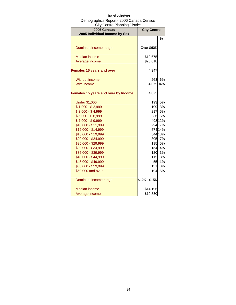| ony oomaan idiniiniy bioaiot<br><b>2006 Census</b><br>2005 Individual Income by Sex | <b>City Centre</b> |         |  |
|-------------------------------------------------------------------------------------|--------------------|---------|--|
|                                                                                     |                    | %       |  |
|                                                                                     |                    |         |  |
| Dominant income range                                                               | Over \$60K         |         |  |
| Median income                                                                       | \$19,675           |         |  |
| Average income                                                                      | \$26,618           |         |  |
| <b>Females 15 years and over</b>                                                    | 4,347              |         |  |
| <b>Without income</b>                                                               | 263                | 6%      |  |
| With income                                                                         | 4,075 94%          |         |  |
| <b>Females 15 years and over by Income</b>                                          | 4,075              |         |  |
| <b>Under \$1,000</b>                                                                | 193                | 5%      |  |
| $$1,000 - $2,999$                                                                   | 109                | 3%      |  |
| $$3,000 - $4,999$                                                                   | 217                | 5%      |  |
| $$5,000 - $6,999$                                                                   | 236                | 6%      |  |
| $$7,000 - $9,999$                                                                   |                    | 498 12% |  |
| \$10,000 - \$11,999                                                                 | 294                | 7%      |  |
| \$12,000 - \$14,999                                                                 |                    | 574 14% |  |
| \$15,000 - \$19,999                                                                 |                    | 544 13% |  |
| \$20,000 - \$24,999                                                                 |                    | 305 7%  |  |
| \$25,000 - \$29,999                                                                 | 195                | 5%      |  |
| \$30,000 - \$34,999                                                                 | 154                | 4%      |  |
| \$35,000 - \$39,999                                                                 | 120                | 3%      |  |
| \$40,000 - \$44,999                                                                 | 115                | 3%      |  |
| \$45,000 - \$49,999                                                                 | 55                 | 1%      |  |
| \$50,000 - \$59,999                                                                 | 131                | 3%      |  |
| \$60,000 and over                                                                   | 194                | 5%      |  |
| Dominant income range                                                               | \$12K - \$15K      |         |  |
| Median income                                                                       | \$14,196           |         |  |
| Average income                                                                      | \$19,830           |         |  |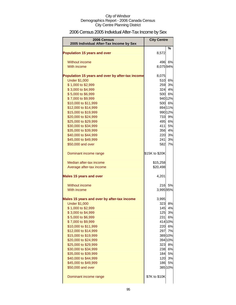# 2006 Census 2005 Individual After-Tax Income by Sex

| 2006 Census<br>2005 Individual After-Tax Income by Sex | <b>City Centre</b> |                  |
|--------------------------------------------------------|--------------------|------------------|
|                                                        |                    | %                |
| <b>Population 15 years and over</b>                    | 8,572              |                  |
| Without income                                         | 496                | 6%               |
| With income                                            | 8,07594%           |                  |
|                                                        |                    |                  |
| Population 15 years and over by after-tax income       | 8,075              |                  |
| <b>Under \$1,000</b>                                   | 510                | 6%               |
| \$1,000 to \$2,999                                     | 259                | 3%<br>324 4%     |
| \$3,000 to \$4,999<br>\$5,000 to \$6,999               |                    | 500 6%           |
| \$7,000 to \$9,999                                     |                    | 940 12%          |
| \$10,000 to \$11,999                                   |                    | 500 6%           |
| \$12,000 to \$14,999                                   |                    | 894 11%          |
| \$15,000 to \$19,999                                   |                    | 990 12%          |
| \$20,000 to \$24,999                                   | 733                | 9%               |
| \$25,000 to \$29,999                                   |                    | 495 6%           |
| \$30,000 to \$34,999                                   | 411                | 5%               |
| \$35,000 to \$39,999                                   | 356                | 4%               |
| \$40,000 to \$44,999                                   | 220                | 3%               |
| \$45,000 to \$49,999                                   | 241                | 3%               |
| \$50,000 and over                                      | 582                | 7%               |
| Dominant income range                                  | \$15K to \$20K     |                  |
| Median after-tax income                                | \$15,258           |                  |
| Average after-tax income                               | \$20,498           |                  |
| <b>Males 15 years and over</b>                         | 4,201              |                  |
| Without income                                         | 216                | 5%               |
| With income                                            | 3,995 95%          |                  |
| Males 15 years and over by after-tax income            | 3,995              |                  |
| <b>Under \$1,000</b>                                   | 323                | 8%               |
| \$1,000 to \$2,999                                     | 145                | 4%               |
| \$3,000 to \$4,999                                     |                    | 125 3%           |
| \$5,000 to \$6,999                                     |                    | 231 6%           |
| \$7,000 to \$9,999                                     |                    | 414 10%          |
| \$10,000 to \$11,999                                   |                    | 220 6%           |
| \$12,000 to \$14,999                                   | 297                | 7%               |
| \$15,000 to \$19,999                                   |                    | 389 10%          |
| \$20,000 to \$24,999                                   |                    | 394 10%          |
| \$25,000 to \$29,999<br>\$30,000 to \$34,999           |                    | 323 8%<br>238 6% |
| \$35,000 to \$39,999                                   |                    | 184 5%           |
| \$40,000 to \$44,999                                   |                    | 120 3%           |
| \$45,000 to \$49,999                                   |                    | 186 5%           |
| \$50,000 and over                                      |                    | 385 10%          |
| Dominant income range                                  | \$7K to \$10K      |                  |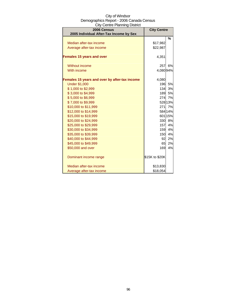| City of Windsor                          |
|------------------------------------------|
| Demographics Report - 2006 Canada Census |
| <b>City Centre Planning District</b>     |

| 2006 Census                                   | <b>City Centre</b> |         |
|-----------------------------------------------|--------------------|---------|
| 2005 Individual After-Tax Income by Sex       |                    |         |
|                                               |                    | %       |
| Median after-tax income                       | \$17,982           |         |
| Average after-tax income                      | \$22,987           |         |
| <b>Females 15 years and over</b>              | 4,351              |         |
| Without income                                | 257                | 6%      |
| With income                                   | 4,08094%           |         |
| Females 15 years and over by after-tax income | 4,080              |         |
| <b>Under \$1,000</b>                          | 196                | 5%      |
| \$1,000 to \$2,999                            | 134                | 3%      |
| \$3,000 to \$4,999                            | 189                | 5%      |
| \$5,000 to \$6,999                            | 274                | 7%      |
| \$7,000 to \$9,999                            |                    | 528 13% |
| \$10,000 to \$11,999                          | 271                | 7%      |
| \$12,000 to \$14,999                          |                    | 584 14% |
| \$15,000 to \$19,999                          |                    | 601 15% |
| \$20,000 to \$24,999                          |                    | 330 8%  |
| \$25,000 to \$29,999                          | 157                | 4%      |
| \$30,000 to \$34,999                          | 159                | 4%      |
| \$35,000 to \$39,999                          | 150                | 4%      |
| \$40,000 to \$44,999                          | 92                 | 2%      |
| \$45,000 to \$49,999                          | 65                 | 2%      |
| \$50,000 and over                             | 169                | 4%      |
| Dominant income range                         | \$15K to \$20K     |         |
| Median after-tax income                       | \$13,830           |         |
| Average after-tax income                      | \$18,054           |         |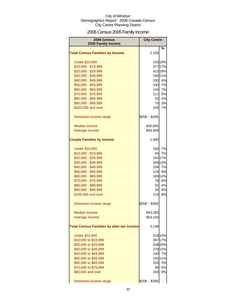# 2006 Census 2005 Family Income

| <b>2006 Census</b><br>2005 Family Income         | <b>City Centre</b> |          |
|--------------------------------------------------|--------------------|----------|
|                                                  |                    | ℅        |
| <b>Total Census Families by Income</b>           | 2,156              |          |
| <b>Under \$10,000</b>                            |                    | 210 10%  |
| \$10,000 - \$19,999                              |                    | 377 17%  |
| \$20,000 - \$29,999                              |                    | 415 19%  |
| \$30,000 - \$39,999                              |                    | 24011%   |
| \$40,000 - \$49,999                              |                    | 130 6%   |
| \$50,000 - \$59,999                              | 150                | 7%       |
| \$60,000 - \$69,999                              | 144                | 7%       |
| \$70,000 - \$79,999                              | 111                | 5%       |
| \$80,000 - \$89,999                              | 52                 | 2%       |
| \$90,000 - \$99,999                              | 70                 | 3%       |
| \$100,000 and over                               | 145                | 7%       |
| Dominant income range                            | \$20K - \$30K      |          |
| Median income                                    | \$30,842           |          |
| Average income                                   | \$44,959           |          |
| <b>Couple Families by Income</b>                 | 1,400              |          |
|                                                  |                    |          |
| <b>Under \$10,000</b>                            | 100                | 7%       |
| \$10,000 - \$19,999                              | 94                 | 7%       |
| \$20,000 - \$29,999                              |                    | 243 17%  |
| \$30,000 - \$39,999                              |                    | 184 13%  |
| \$40,000 - \$49,999                              | 104                | 7%       |
| \$50,000 - \$59,999                              | 124                | 9%       |
| \$60,000 - \$69,999                              |                    | 169 12%  |
| \$70,000 - \$79,999                              | 78                 | 6%       |
| \$80,000 - \$89,999                              | 62<br>35           | 4%<br>3% |
| \$90,000 - \$99,999<br>\$100,000 and over        | 119                | 8%       |
|                                                  |                    |          |
| Dominant income range                            | \$20K - \$30K      |          |
| <b>Median income</b>                             | \$43,393           |          |
| Average income                                   | \$53,150           |          |
| <b>Total Census Families by after-tax Income</b> | 2,148              |          |
| <b>Under \$10,000</b>                            |                    | 218 10%  |
| \$10,000 to \$19,999                             |                    | 367 17%  |
| \$20,000 to \$29,999                             |                    | 436 20%  |
| \$30,000 to \$39,999                             |                    | 270 13%  |
| \$40,000 to \$49,999                             | 140                | 7%       |
| \$50,000 to \$59,999                             |                    | 242 11%  |
| \$60,000 to \$69,999                             | 103                | 5%       |
| \$70,000 to \$79,999                             | 99                 | 5%       |
| \$80,000 and over                                | 193                | 9%       |
| Dominant income range                            | \$20K - \$30K      |          |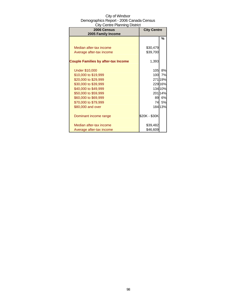| Uny UUTINUT TAHITING DISING<br>2006 Census<br>2005 Family Income | <b>City Centre</b> |         |
|------------------------------------------------------------------|--------------------|---------|
|                                                                  |                    | %       |
| Median after-tax income                                          | \$30,479           |         |
| Average after-tax income                                         | \$39,700           |         |
|                                                                  |                    |         |
| <b>Couple Families by after-tax Income</b>                       | 1,393              |         |
|                                                                  |                    |         |
| <b>Under \$10,000</b>                                            | 105                | 8%      |
| \$10,000 to \$19,999                                             | 100                | 7%      |
| \$20,000 to \$29,999                                             |                    | 27119%  |
| \$30,000 to \$39,999                                             |                    | 229 16% |
| \$40,000 to \$49,999                                             |                    | 134 10% |
| \$50,000 to \$59,999                                             |                    | 20114%  |
| \$60,000 to \$69,999                                             | 89                 | 6%      |
| \$70,000 to \$79,999                                             | 74                 | 5%      |
| \$80,000 and over                                                |                    | 184 13% |
| Dominant income range                                            | \$20K - \$30K      |         |
| Median after-tax income                                          | \$39,482           |         |
| Average after-tax income                                         | \$46,609           |         |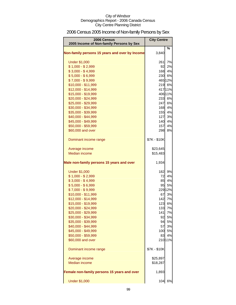# 2006 Census 2005 Income of Non-family Persons by Sex

| 2006 Census<br>2005 Income of Non-family Persons by Sex | <b>City Centre</b> |         |
|---------------------------------------------------------|--------------------|---------|
| Non-family persons 15 years and over by Income          | 3,840              | %       |
| <b>Under \$1,000</b>                                    | 261                | 7%      |
| $$1,000 - $2,999$                                       | 92                 | 2%      |
| $$3,000 - $4,999$                                       |                    | 168 4%  |
| $$5,000 - $6,999$                                       |                    | 230 6%  |
| $$7,000 - $9,999$                                       |                    | 465 12% |
| \$10,000 - \$11,999                                     |                    | 219 6%  |
| \$12,000 - \$14,999                                     |                    | 41711%  |
| \$15,000 - \$19,999                                     |                    | 406 11% |
| \$20,000 - \$24,999                                     |                    | 233 6%  |
| \$25,000 - \$29,999                                     | 247                | 6%      |
| \$30,000 - \$34,999                                     | 168                | 4%      |
| \$35,000 - \$39,999                                     | 155                | 4%      |
| \$40,000 - \$44,999                                     | 127                | 3%      |
| \$45,000 - \$49,999                                     | 140                | 4%      |
| \$50,000 - \$59,999                                     | 157                | 4%      |
| \$60,000 and over                                       | 298                | 8%      |
| Dominant income range                                   | \$7K - \$10K       |         |
| Average income                                          | \$23,645           |         |
| <b>Median income</b>                                    | \$15,483           |         |
| Male non-family persons 15 years and over               | 1,934              |         |
| <b>Under \$1,000</b>                                    | 182                | 9%      |
| $$1,000 - $2,999$                                       | 72                 | 4%      |
| $$3,000 - $4,999$                                       | 85                 | 4%      |
| $$5,000 - $6,999$                                       | 95                 | 5%      |
| $$7,000 - $9,999$                                       |                    | 229 12% |
| \$10,000 - \$11,999                                     | 67                 | 3%      |
| \$12,000 - \$14,999                                     |                    | 142 7%  |
| \$15,000 - \$19,999                                     |                    | 123 6%  |
| \$20,000 - \$24,999                                     | 133                | 7%      |
| \$25,000 - \$29,999                                     | 141                | 7%      |
| \$30,000 - \$34,999                                     | 92                 | 5%      |
| \$35,000 - \$39,999                                     | 94                 | 5%      |
| \$40,000 - \$44,999                                     | 57                 | 3%      |
| \$45,000 - \$49,999                                     | 100                | 5%      |
| \$50,000 - \$59,999                                     | 83                 | 4%      |
| \$60,000 and over                                       |                    | 210 11% |
| Dominant income range                                   | \$7K - \$10K       |         |
| Average income                                          | \$25,897           |         |
| <b>Median income</b>                                    | \$18,287           |         |
| Female non-family persons 15 years and over             | 1,893              |         |
| <b>Under \$1,000</b>                                    | 104                | 6%      |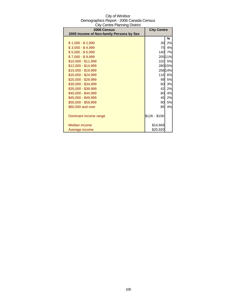| 2006 Census<br>2005 Income of Non-family Persons by Sex | <b>City Centre</b> |         |
|---------------------------------------------------------|--------------------|---------|
|                                                         |                    |         |
|                                                         |                    | %       |
| \$1,000 - \$2,999                                       | 30                 | 2%      |
| $$3,000 - $4,999$                                       | 75                 | 4%      |
| $$5,000 - $6,999$                                       | 140                | 7%      |
| $$7,000 - $9,999$                                       |                    | 205 11% |
| \$10,000 - \$11,999                                     | 102 <sub>l</sub>   | 5%      |
| \$12,000 - \$14,999                                     |                    | 280 15% |
| \$15,000 - \$19,999                                     |                    | 258 14% |
| \$20,000 - \$24,999                                     | 116                | 6%      |
| \$25,000 - \$29,999                                     | 99                 | 5%      |
| \$30,000 - \$34,999                                     | 60                 | 3%      |
| \$35,000 - \$39,999                                     | 42                 | 2%      |
| \$40,000 - \$44,999                                     | 80                 | 4%      |
| \$45,000 - \$49,999                                     | 45                 | 2%      |
| \$50,000 - \$59,999                                     | 90                 | 5%      |
| \$60,000 and over                                       | 85                 | 4%      |
|                                                         |                    |         |
| Dominant income range                                   | \$12K - \$15K      |         |
|                                                         |                    |         |
| Median income                                           | \$14,669           |         |
| Average income                                          | \$20,920           |         |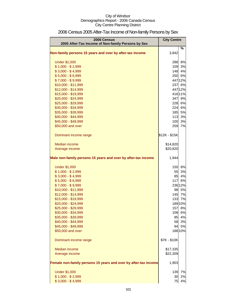| 2006 Census<br>2005 After-Tax Income of Non-family Persons by Sex | <b>City Centre</b> |         |
|-------------------------------------------------------------------|--------------------|---------|
| Non-family persons 15 years and over by after-tax income          | 3,842              | %       |
| <b>Under \$1,000</b>                                              | 288                | 8%      |
| $$1,000 - $2,999$                                                 | 109                | 3%      |
| $$3,000 - $4,999$                                                 | 148                | 4%      |
| $$5,000 - $6,999$                                                 |                    | 250 6%  |
| $$7,000 - $9,999$                                                 |                    | 447 12% |
| \$10,000 - \$11,999                                               | 237                | 6%      |
| \$12,000 - \$14,999                                               |                    | 447 12% |
| \$15,000 - \$19,999                                               |                    | 416 11% |
| \$20,000 - \$24,999                                               | 347                | 9%      |
| \$25,000 - \$29,999                                               | 228                | 6%      |
| \$30,000 - \$34,999                                               | 224                | 6%      |
| \$35,000 - \$39,999                                               | 185                | 5%      |
| \$40,000 - \$44,999                                               | 113                | 3%      |
| \$45,000 - \$49,999                                               | 100                | 3%      |
| \$50,000 and over                                                 | 259                | 7%      |
| Dominant income range                                             | \$12K - \$15K      |         |
| Median income                                                     | \$14,820           |         |
| Average income                                                    | \$20,820           |         |
|                                                                   |                    |         |
| Male non-family persons 15 years and over by after-tax income     | 1,944              |         |
| <b>Under \$1,000</b>                                              | 150                | 8%      |
| $$1,000 - $2,999$                                                 | 55                 | 3%      |
| $$3,000 - $4,999$                                                 | 85                 | 4%      |
| $$5,000 - $6,999$                                                 | 117                | 6%      |
| $$7,000 - $9,999$                                                 |                    | 236 12% |
| \$10,000 - \$11,999                                               | 98                 | 5%      |
| \$12,000 - \$14,999                                               | 145                | 7%      |
| \$15,000 - \$19,999                                               | 133                | 7%      |
| \$20,000 - \$24,999                                               |                    | 189 10% |
| \$25,000 - \$29,999                                               | 157                | 8%      |
| \$30,000 - \$34,999                                               | 108                | 6%      |
| \$35,000 - \$39,999                                               | 85                 | 4%      |
| \$40,000 - \$44,999                                               | 58                 | 3%      |
| \$45,000 - \$49,999                                               | 94                 | 5%      |
| \$50,000 and over                                                 |                    | 188 10% |
| Dominant income range                                             | \$7K - \$10K       |         |
| <b>Median income</b>                                              | \$17,335           |         |
| Average income                                                    | \$22,309           |         |
|                                                                   |                    |         |
| Female non-family persons 15 years and over by after-tax income   | 1,903              |         |
| <b>Under \$1,000</b>                                              | 139                | 7%      |
| $$1,000 - $2,999$                                                 | 30                 | 2%      |
| $$3,000 - $4,999$                                                 | 75                 | 4%      |

# 2006 Census 2005 After-Tax Income of Non-family Persons by Sex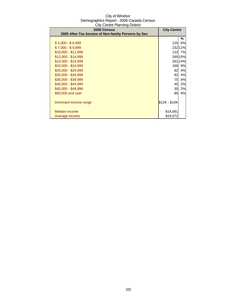| $5.7$ $5.7$ $5.7$ $5.7$ $5.7$ $5.7$ $5.7$ $5.7$ $5.7$ $5.7$ $5.7$ $5.7$ $5.7$ $5.7$ $5.7$ $5.7$ $5.7$ $5.7$ $5.7$ $5.7$ $5.7$ $5.7$ $5.7$ $5.7$ $5.7$ $5.7$ $5.7$ $5.7$ $5.7$ $5.7$ $5.7$ $5.7$ $5.7$ $5.7$ $5.7$ $5.7$ $5.7$<br>2006 Census | <b>City Centre</b> |         |
|----------------------------------------------------------------------------------------------------------------------------------------------------------------------------------------------------------------------------------------------|--------------------|---------|
| 2005 After-Tax Income of Non-family Persons by Sex                                                                                                                                                                                           |                    |         |
|                                                                                                                                                                                                                                              |                    | ℅       |
| $$5,000 - $6,999$                                                                                                                                                                                                                            | 125                | 6%      |
| $$7,000 - $9,999$                                                                                                                                                                                                                            |                    | 232 12% |
| $$10,000 - $11,999$                                                                                                                                                                                                                          |                    | 133 7%  |
| $$12,000 - $14,999$                                                                                                                                                                                                                          |                    | 295 15% |
| \$15,000 - \$19,999                                                                                                                                                                                                                          |                    | 281 14% |
| $$20,000 - $24,999$                                                                                                                                                                                                                          | 169                | 9%      |
| \$25,000 - \$29,999                                                                                                                                                                                                                          | 82                 | 4%      |
| \$30,000 - \$34,999                                                                                                                                                                                                                          | 82                 | 4%      |
| \$35,000 - \$39,999                                                                                                                                                                                                                          | 75                 | 4%      |
| \$40,000 - \$44,999                                                                                                                                                                                                                          | 45                 | 2%      |
| \$45,000 - \$49,999                                                                                                                                                                                                                          | 30                 | 2%      |
| \$50,000 and over                                                                                                                                                                                                                            | 85                 | 4%      |
|                                                                                                                                                                                                                                              |                    |         |
| Dominant income range                                                                                                                                                                                                                        | \$12K - \$15K      |         |
|                                                                                                                                                                                                                                              |                    |         |
| Median income                                                                                                                                                                                                                                | \$14,081           |         |
| Average income                                                                                                                                                                                                                               | \$19,072           |         |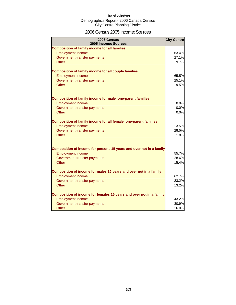### 2006 Census 2005 Income: Sources

| 2006 Census<br>2005 Income: Sources                                     | <b>City Centre</b> |
|-------------------------------------------------------------------------|--------------------|
| <b>Composition of family income for all families</b>                    |                    |
| <b>Employment income</b>                                                | 63.4%              |
| Government transfer payments                                            | 27.1%              |
| Other                                                                   | 9.7%               |
| <b>Composition of family income for all couple families</b>             |                    |
| <b>Employment income</b>                                                | 65.5%              |
| Government transfer payments                                            | 25.1%              |
| Other                                                                   | 9.5%               |
| <b>Composition of family income for male lone-parent families</b>       |                    |
| <b>Employment income</b>                                                | 0.0%               |
| Government transfer payments                                            | 0.0%               |
| Other                                                                   | 0.0%               |
| <b>Composition of family income for all female lone-parent families</b> |                    |
| <b>Employment income</b>                                                | 13.5%              |
| Government transfer payments                                            | 28.5%              |
| Other                                                                   | 1.8%               |
| Composition of income for persons 15 years and over not in a family     |                    |
| <b>Employment income</b>                                                | 55.7%              |
| Government transfer payments                                            | 28.6%              |
| Other                                                                   | 15.4%              |
| Composition of income for males 15 years and over not in a family       |                    |
| <b>Employment income</b>                                                | 62.7%              |
| Government transfer payments                                            | 23.2%              |
| Other                                                                   | 13.2%              |
| Composition of income for females 15 years and over not in a family     |                    |
| <b>Employment income</b>                                                | 43.2%              |
| Government transfer payments                                            | 30.9%              |
| Other                                                                   | 16.0%              |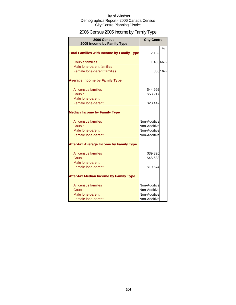# 2006 Census 2005 Income by Family Type

| 2006 Census<br>2005 Income by Family Type                               | <b>City Centre</b>                                           |         |
|-------------------------------------------------------------------------|--------------------------------------------------------------|---------|
| <b>Total Families with Income by Family Type</b>                        | 2,132                                                        | %       |
| <b>Couple families</b>                                                  | 1,40366%                                                     |         |
| Male lone-parent families<br>Female lone-parent families                |                                                              | 336 16% |
| <b>Average Income by Family Type</b>                                    |                                                              |         |
| All census families<br>Couple                                           | \$44,992<br>\$53,217                                         |         |
| Male lone-parent<br>Female lone-parent                                  | \$20,442                                                     |         |
| <b>Median Income by Family Type</b>                                     |                                                              |         |
| All census families<br>Couple<br>Male lone-parent<br>Female lone-parent | Non-Additive<br>Non-Additive<br>Non-Additive<br>Non-Additive |         |
| <b>After-tax Average Income by Family Type</b>                          |                                                              |         |
| All census families<br>Couple<br>Male lone-parent                       | \$39,826<br>\$46,688                                         |         |
| Female lone-parent                                                      | \$19,574                                                     |         |
| <b>After-tax Median Income by Family Type</b>                           |                                                              |         |
| All census families<br>Couple<br>Male lone-parent<br>Female lone-parent | Non-Additive<br>Non-Additive<br>Non-Additive<br>Non-Additive |         |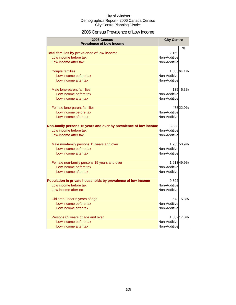### 2006 Census Prevalence of Low Income

| 2006 Census<br><b>Prevalence of Low Income</b>                   | <b>City Centre</b> |             |
|------------------------------------------------------------------|--------------------|-------------|
|                                                                  |                    | %           |
| Total families by prevalence of low income                       | 2,159              |             |
| Low income before tax                                            | Non-Additive       |             |
| Low income after tax                                             | Non-Additive       |             |
| <b>Couple families</b>                                           |                    | 1,385 64.1% |
| Low income before tax                                            | Non-Additive       |             |
| Low income after tax                                             | Non-Additive       |             |
| Male lone-parent families                                        |                    | 135 6.3%    |
| Low income before tax                                            | Non-Additive       |             |
| Low income after tax                                             | Non-Additive       |             |
| Female lone-parent families                                      |                    | 475 22.0%   |
| Low income before tax                                            | Non-Additive       |             |
| Low income after tax                                             | Non-Additive       |             |
| Non-family persons 15 years and over by prevalence of low income | 3,833              |             |
| Low income before tax                                            | Non-Additive       |             |
| Low income after tax                                             | Non-Additive       |             |
| Male non-family persons 15 years and over                        |                    | 1,95350.9%  |
| Low income before tax                                            | Non-Additive       |             |
| Low income after tax                                             | Non-Additive       |             |
| Female non-family persons 15 years and over                      |                    | 1,91349.9%  |
| Low income before tax                                            | Non-Additive       |             |
| Low income after tax                                             | Non-Additive       |             |
| Population in private households by prevalence of low income     | 9,892              |             |
| Low income before tax                                            | Non-Additive       |             |
| Low income after tax                                             | Non-Additive       |             |
| Children under 6 years of age                                    | 573                | 5.8%        |
| Low income before tax                                            | Non-Additive       |             |
| Low income after tax                                             | Non-Additive       |             |
| Persons 65 years of age and over                                 |                    | 1,682 17.0% |
| Low income before tax                                            | Non-Additive       |             |
| Low income after tax                                             | Non-Additive       |             |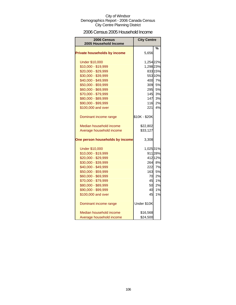### 2006 Census 2005 Household Income

| 2006 Census<br>2005 Household Income | <b>City Centre</b> |         |
|--------------------------------------|--------------------|---------|
|                                      |                    | %       |
| <b>Private households by income</b>  | 5,656              |         |
| <b>Under \$10,000</b>                | 1,254 22%          |         |
| \$10,000 - \$19,999                  | 1,298 23%          |         |
| \$20,000 - \$29,999                  |                    | 83315%  |
| \$30,000 - \$39,999                  |                    | 553 10% |
| \$40,000 - \$49,999                  |                    | 400 7%  |
| \$50,000 - \$59,999                  |                    | 309 5%  |
| \$60,000 - \$69,999                  | 295                | 5%      |
| \$70,000 - \$79,999                  | 145                | 3%      |
| \$80,000 - \$89,999                  | 147                | 3%      |
| \$90,000 - \$99,999                  | 116                | 2%      |
| \$100,000 and over                   | 221                | 4%      |
| Dominant income range                | \$10K - \$20K      |         |
| Median household income              | \$22,802           |         |
| Average household income             | \$33,127           |         |
| One person households by income      | 3,308              |         |
| <b>Under \$10,000</b>                | 1,025 31%          |         |
| \$10,000 - \$19,999                  |                    | 911 28% |
| \$20,000 - \$29,999                  |                    | 412 12% |
| \$30,000 - \$39,999                  |                    | 264 8%  |
| \$40,000 - \$49,999                  | 222                | 7%      |
| \$50,000 - \$59,999                  | 163                | 5%      |
| \$60,000 - \$69,999                  | 70                 | 2%      |
| \$70,000 - \$79,999                  | 45                 | 1%      |
| \$80,000 - \$89,999                  | 50                 | 2%      |
| \$90,000 - \$99,999                  | 40                 | 1%      |
| \$100,000 and over                   | 45                 | 1%      |
| Dominant income range                | Under \$10K        |         |
| Median household income              | \$16,568           |         |
| Average household income             | \$24,500           |         |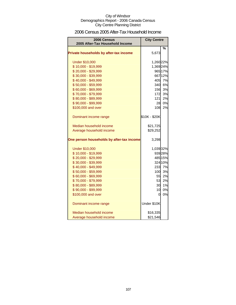### 2006 Census 2005 After-Tax Household Income

| <b>2006 Census</b><br>2005 After-Tax Household Income | <b>City Centre</b> |         |
|-------------------------------------------------------|--------------------|---------|
|                                                       |                    | %       |
| Private households by after-tax income                | 5,673              |         |
| <b>Under \$10,000</b>                                 | 1,260 22%          |         |
| \$10,000 - \$19,999                                   | 1,369 24%          |         |
| \$20,000 - \$29,999                                   |                    | 965 17% |
| \$30,000 - \$39,999                                   |                    | 667 12% |
| \$40,000 - \$49,999                                   |                    | 405 7%  |
| \$50,000 - \$59,999                                   |                    | 340 6%  |
| \$60,000 - \$69,999                                   | 156                | 3%      |
| \$70,000 - \$79,999                                   | 172                | 3%      |
| \$80,000 - \$89,999                                   | 121                | 2%      |
| \$90,000 - \$99,999                                   | 28                 | 0%      |
| \$100,000 and over                                    | 108                | 2%      |
| Dominant income range                                 | \$10K - \$20K      |         |
| Median household income                               | \$21,725           |         |
| Average household income                              | \$29,252           |         |
| One person households by after-tax income             | 3,298              |         |
| <b>Under \$10,000</b>                                 | 1,039 32%          |         |
| \$10,000 - \$19,999                                   |                    | 939 28% |
| \$20,000 - \$29,999                                   |                    | 485 15% |
| \$30,000 - \$39,999                                   |                    | 324 10% |
| \$40,000 - \$49,999                                   |                    | 233 7%  |
| \$50,000 - \$59,999                                   |                    | 100 3%  |
| \$60,000 - \$69,999                                   | 55                 | 2%      |
| \$70,000 - \$79,999                                   | 53                 | 2%      |
| \$80,000 - \$89,999                                   | 30                 | 1%      |
| \$90,000 - \$99,999                                   | 10                 | 0%      |
| \$100,000 and over                                    | 0                  | 0%      |
| Dominant income range                                 | Under \$10K        |         |
| Median household income                               | \$16,335           |         |
| Average household income                              | \$21,546           |         |